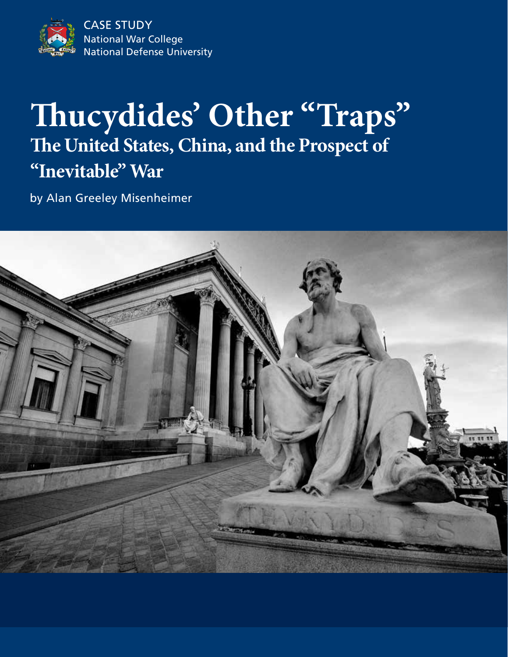National War College National Defense University CASE STUDY

## **Thucydides' Other "Traps" The United States, China, and the Prospect of "Inevitable" War**

by Alan Greeley Misenheimer

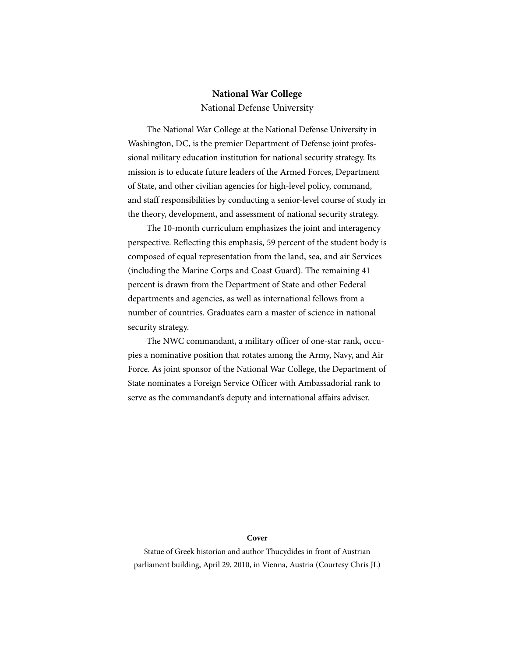#### **National War College** National Defense University

The National War College at the National Defense University in Washington, DC, is the premier Department of Defense joint professional military education institution for national security strategy. Its mission is to educate future leaders of the Armed Forces, Department of State, and other civilian agencies for high-level policy, command, and staff responsibilities by conducting a senior-level course of study in the theory, development, and assessment of national security strategy.

The 10-month curriculum emphasizes the joint and interagency perspective. Reflecting this emphasis, 59 percent of the student body is composed of equal representation from the land, sea, and air Services (including the Marine Corps and Coast Guard). The remaining 41 percent is drawn from the Department of State and other Federal departments and agencies, as well as international fellows from a number of countries. Graduates earn a master of science in national security strategy.

The NWC commandant, a military officer of one-star rank, occupies a nominative position that rotates among the Army, Navy, and Air Force. As joint sponsor of the National War College, the Department of State nominates a Foreign Service Officer with Ambassadorial rank to serve as the commandant's deputy and international affairs adviser.

#### **Cover**

Statue of Greek historian and author Thucydides in front of Austrian parliament building, April 29, 2010, in Vienna, Austria (Courtesy Chris JL)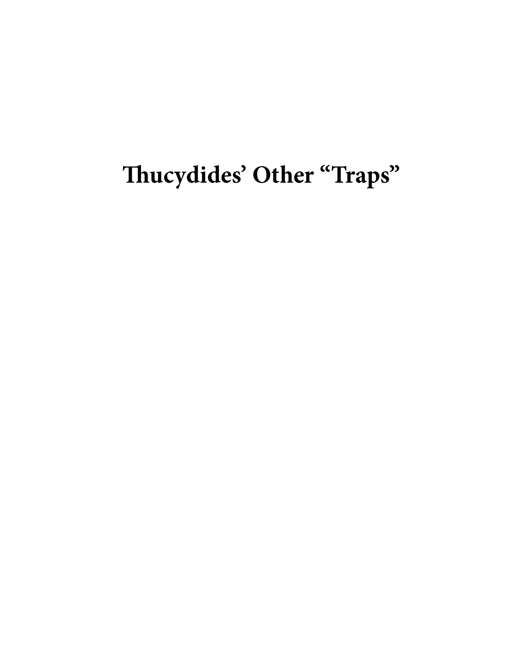# **Thucydides' Other "Traps"**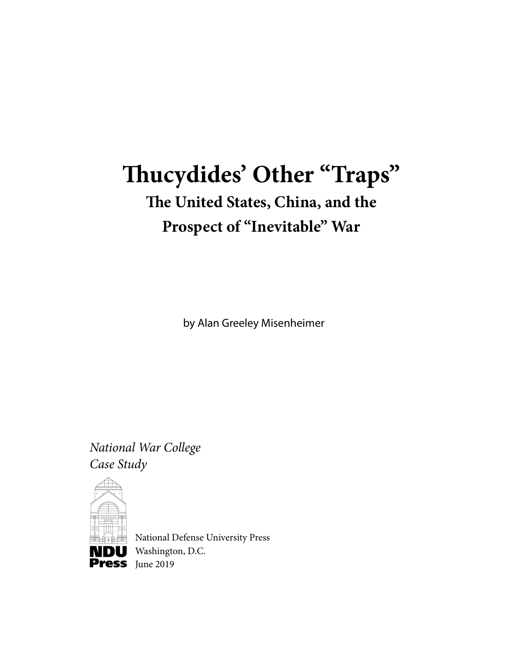## **Thucydides' Other "Traps" The United States, China, and the Prospect of "Inevitable" War**

by Alan Greeley Misenheimer

*National War College Case Study*



National Defense University Press **NDU** Washington, D.C.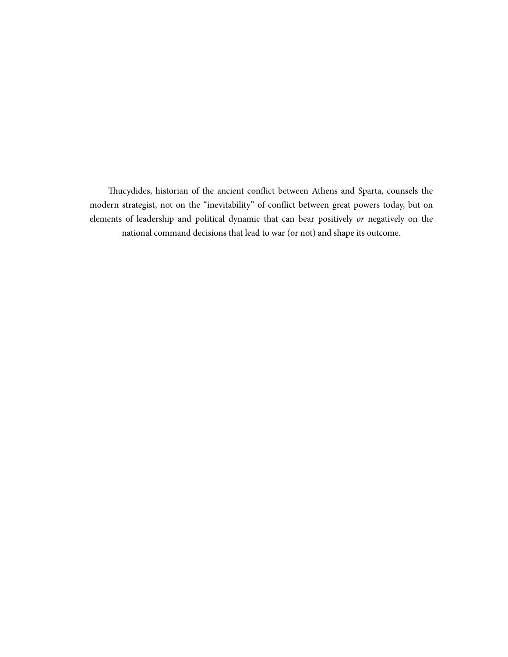Thucydides, historian of the ancient conflict between Athens and Sparta, counsels the modern strategist, not on the "inevitability" of conflict between great powers today, but on elements of leadership and political dynamic that can bear positively *or* negatively on the national command decisions that lead to war (or not) and shape its outcome.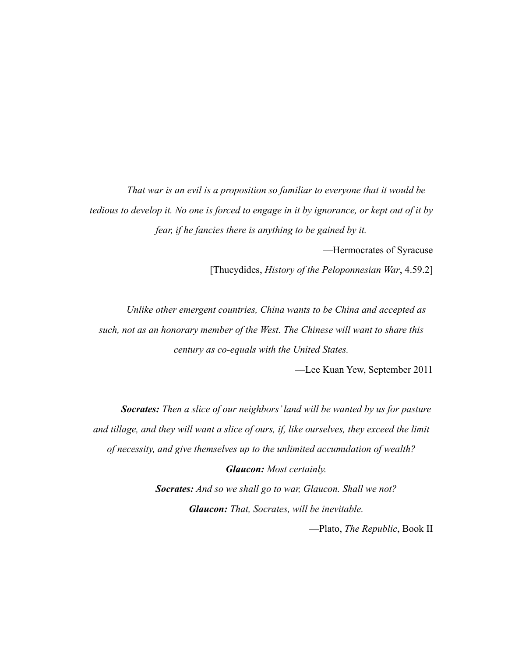*That war is an evil is a proposition so familiar to everyone that it would be tedious to develop it. No one is forced to engage in it by ignorance, or kept out of it by fear, if he fancies there is anything to be gained by it.*

—Hermocrates of Syracuse

[Thucydides, *History of the Peloponnesian War*, 4.59.2]

*Unlike other emergent countries, China wants to be China and accepted as such, not as an honorary member of the West. The Chinese will want to share this century as co-equals with the United States.*

—Lee Kuan Yew, September 2011

*Socrates: Then a slice of our neighbors' land will be wanted by us for pasture and tillage, and they will want a slice of ours, if, like ourselves, they exceed the limit of necessity, and give themselves up to the unlimited accumulation of wealth? Glaucon: Most certainly.*

> *Socrates: And so we shall go to war, Glaucon. Shall we not? Glaucon: That, Socrates, will be inevitable.*

> > —Plato, *The Republic*, Book II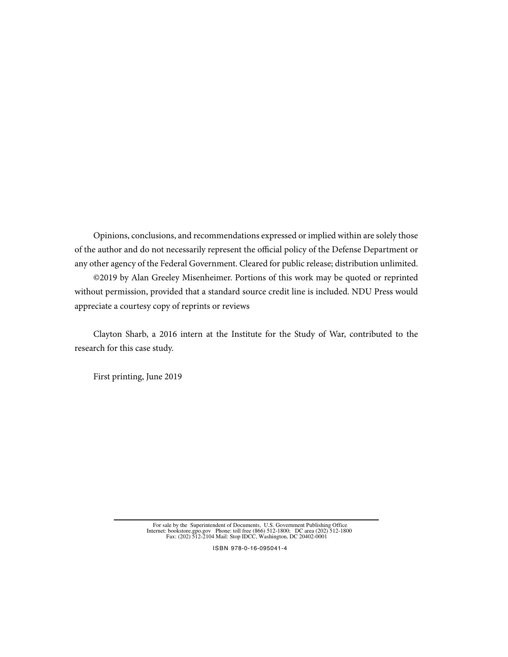Opinions, conclusions, and recommendations expressed or implied within are solely those of the author and do not necessarily represent the official policy of the Defense Department or any other agency of the Federal Government. Cleared for public release; distribution unlimited.

©2019 by Alan Greeley Misenheimer. Portions of this work may be quoted or reprinted without permission, provided that a standard source credit line is included. NDU Press would appreciate a courtesy copy of reprints or reviews

Clayton Sharb, a 2016 intern at the Institute for the Study of War, contributed to the research for this case study.

First printing, June 2019

For sale by the Superintendent of Documents, U.S. Government Publishing Office Internet: bookstore.gpo.gov Phone: toll free (866) 512-1800; DC area (202) 512-1800<br>Fax: (202) 512-2104 Mail: Stop IDCC, Washington, DC 20402-0 ublishing

ISBN 978-0-16-095041-4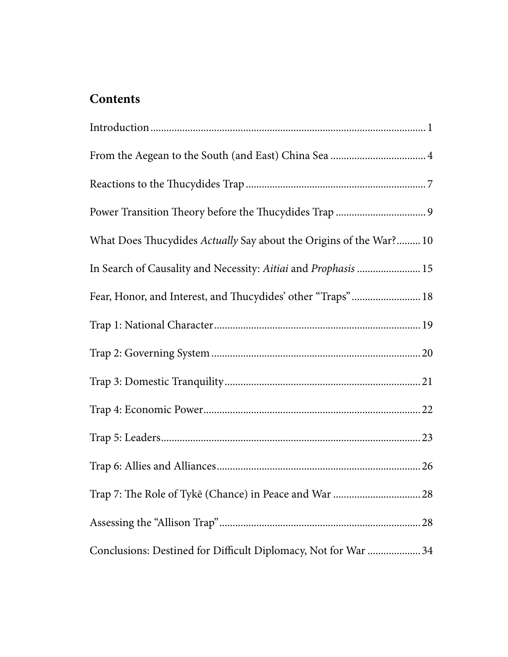### **Contents**

| What Does Thucydides Actually Say about the Origins of the War? 10 |
|--------------------------------------------------------------------|
| In Search of Causality and Necessity: Aitiai and Prophasis  15     |
| Fear, Honor, and Interest, and Thucydides' other "Traps" 18        |
|                                                                    |
|                                                                    |
|                                                                    |
|                                                                    |
|                                                                    |
|                                                                    |
|                                                                    |
|                                                                    |
| Conclusions: Destined for Difficult Diplomacy, Not for War  34     |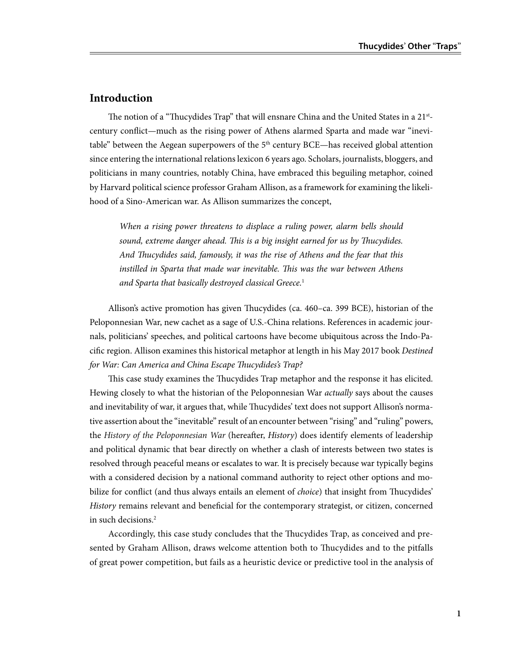#### **Introduction**

The notion of a "Thucydides Trap" that will ensnare China and the United States in a 21<sup>st</sup>century conflict—much as the rising power of Athens alarmed Sparta and made war "inevitable" between the Aegean superpowers of the  $5<sup>th</sup>$  century BCE—has received global attention since entering the international relations lexicon 6 years ago. Scholars, journalists, bloggers, and politicians in many countries, notably China, have embraced this beguiling metaphor, coined by Harvard political science professor Graham Allison, as a framework for examining the likelihood of a Sino-American war. As Allison summarizes the concept,

*When a rising power threatens to displace a ruling power, alarm bells should sound, extreme danger ahead. This is a big insight earned for us by Thucydides. And Thucydides said, famously, it was the rise of Athens and the fear that this instilled in Sparta that made war inevitable. This was the war between Athens and Sparta that basically destroyed classical Greece.*<sup>1</sup>

Allison's active promotion has given Thucydides (ca. 460–ca. 399 BCE), historian of the Peloponnesian War, new cachet as a sage of U.S.-China relations. References in academic journals, politicians' speeches, and political cartoons have become ubiquitous across the Indo-Pacific region. Allison examines this historical metaphor at length in his May 2017 book *Destined for War: Can America and China Escape Thucydides's Trap?*

This case study examines the Thucydides Trap metaphor and the response it has elicited. Hewing closely to what the historian of the Peloponnesian War *actually* says about the causes and inevitability of war, it argues that, while Thucydides' text does not support Allison's normative assertion about the "inevitable" result of an encounter between "rising" and "ruling" powers, the *History of the Peloponnesian War* (hereafter, *History*) does identify elements of leadership and political dynamic that bear directly on whether a clash of interests between two states is resolved through peaceful means or escalates to war. It is precisely because war typically begins with a considered decision by a national command authority to reject other options and mobilize for conflict (and thus always entails an element of *choice*) that insight from Thucydides' *History* remains relevant and beneficial for the contemporary strategist, or citizen, concerned in such decisions.2

Accordingly, this case study concludes that the Thucydides Trap, as conceived and presented by Graham Allison, draws welcome attention both to Thucydides and to the pitfalls of great power competition, but fails as a heuristic device or predictive tool in the analysis of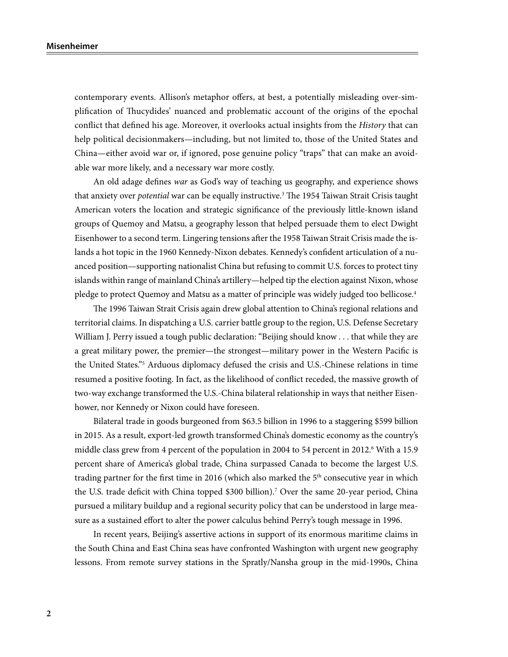contemporary events. Allison's metaphor offers, at best, a potentially misleading over-simplification of Thucydides' nuanced and problematic account of the origins of the epochal conflict that defined his age. Moreover, it overlooks actual insights from the *History* that can help political decisionmakers—including, but not limited to, those of the United States and China—either avoid war or, if ignored, pose genuine policy "traps" that can make an avoidable war more likely, and a necessary war more costly.

An old adage defines *war* as God's way of teaching us geography, and experience shows that anxiety over *potential* war can be equally instructive.3 The 1954 Taiwan Strait Crisis taught American voters the location and strategic significance of the previously little-known island groups of Quemoy and Matsu, a geography lesson that helped persuade them to elect Dwight Eisenhower to a second term. Lingering tensions after the 1958 Taiwan Strait Crisis made the islands a hot topic in the 1960 Kennedy-Nixon debates. Kennedy's confident articulation of a nuanced position—supporting nationalist China but refusing to commit U.S. forces to protect tiny islands within range of mainland China's artillery—helped tip the election against Nixon, whose pledge to protect Quemoy and Matsu as a matter of principle was widely judged too bellicose.<sup>4</sup>

The 1996 Taiwan Strait Crisis again drew global attention to China's regional relations and territorial claims. In dispatching a U.S. carrier battle group to the region, U.S. Defense Secretary William J. Perry issued a tough public declaration: "Beijing should know . . . that while they are a great military power, the premier—the strongest—military power in the Western Pacific is the United States."5 Arduous diplomacy defused the crisis and U.S.-Chinese relations in time resumed a positive footing. In fact, as the likelihood of conflict receded, the massive growth of two-way exchange transformed the U.S.-China bilateral relationship in ways that neither Eisenhower, nor Kennedy or Nixon could have foreseen.

Bilateral trade in goods burgeoned from \$63.5 billion in 1996 to a staggering \$599 billion in 2015. As a result, export-led growth transformed China's domestic economy as the country's middle class grew from 4 percent of the population in 2004 to 54 percent in 2012.<sup>6</sup> With a 15.9 percent share of America's global trade, China surpassed Canada to become the largest U.S. trading partner for the first time in 2016 (which also marked the  $5<sup>th</sup>$  consecutive year in which the U.S. trade deficit with China topped \$300 billion).7 Over the same 20-year period, China pursued a military buildup and a regional security policy that can be understood in large measure as a sustained effort to alter the power calculus behind Perry's tough message in 1996.

In recent years, Beijing's assertive actions in support of its enormous maritime claims in the South China and East China seas have confronted Washington with urgent new geography lessons. From remote survey stations in the Spratly/Nansha group in the mid-1990s, China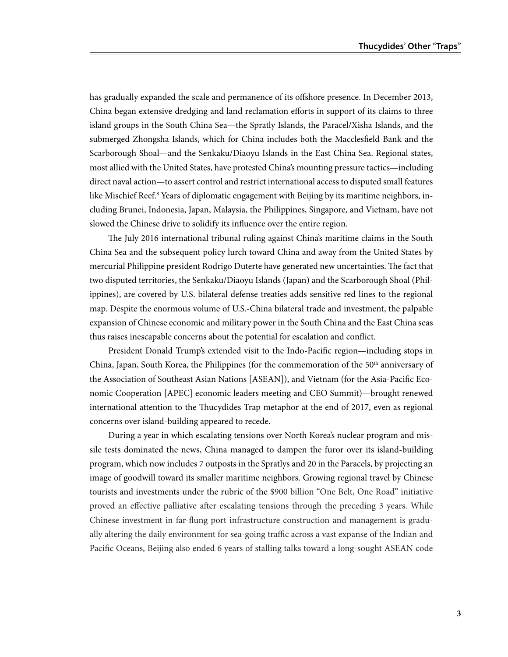has gradually expanded the scale and permanence of its offshore presence. In December 2013, China began extensive dredging and land reclamation efforts in support of its claims to three island groups in the South China Sea—the Spratly Islands, the Paracel/Xisha Islands, and the submerged Zhongsha Islands, which for China includes both the Macclesfield Bank and the Scarborough Shoal—and the Senkaku/Diaoyu Islands in the East China Sea. Regional states, most allied with the United States, have protested China's mounting pressure tactics—including direct naval action—to assert control and restrict international access to disputed small features like Mischief Reef.<sup>8</sup> Years of diplomatic engagement with Beijing by its maritime neighbors, including Brunei, Indonesia, Japan, Malaysia, the Philippines, Singapore, and Vietnam, have not slowed the Chinese drive to solidify its influence over the entire region.

The July 2016 international tribunal ruling against China's maritime claims in the South China Sea and the subsequent policy lurch toward China and away from the United States by mercurial Philippine president Rodrigo Duterte have generated new uncertainties. The fact that two disputed territories, the Senkaku/Diaoyu Islands (Japan) and the Scarborough Shoal (Philippines), are covered by U.S. bilateral defense treaties adds sensitive red lines to the regional map. Despite the enormous volume of U.S.-China bilateral trade and investment, the palpable expansion of Chinese economic and military power in the South China and the East China seas thus raises inescapable concerns about the potential for escalation and conflict.

President Donald Trump's extended visit to the Indo-Pacific region—including stops in China, Japan, South Korea, the Philippines (for the commemoration of the 50<sup>th</sup> anniversary of the Association of Southeast Asian Nations [ASEAN]), and Vietnam (for the Asia-Pacific Economic Cooperation [APEC] economic leaders meeting and CEO Summit)—brought renewed international attention to the Thucydides Trap metaphor at the end of 2017, even as regional concerns over island-building appeared to recede.

During a year in which escalating tensions over North Korea's nuclear program and missile tests dominated the news, China managed to dampen the furor over its island-building program, which now includes 7 outposts in the Spratlys and 20 in the Paracels, by projecting an image of goodwill toward its smaller maritime neighbors. Growing regional travel by Chinese tourists and investments under the rubric of the \$900 billion "One Belt, One Road" initiative proved an effective palliative after escalating tensions through the preceding 3 years. While Chinese investment in far-flung port infrastructure construction and management is gradually altering the daily environment for sea-going traffic across a vast expanse of the Indian and Pacific Oceans, Beijing also ended 6 years of stalling talks toward a long-sought ASEAN code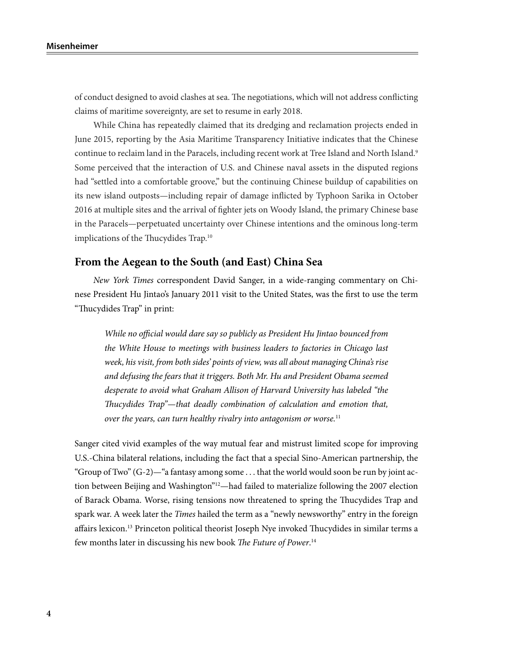of conduct designed to avoid clashes at sea. The negotiations, which will not address conflicting claims of maritime sovereignty, are set to resume in early 2018.

While China has repeatedly claimed that its dredging and reclamation projects ended in June 2015, reporting by the Asia Maritime Transparency Initiative indicates that the Chinese continue to reclaim land in the Paracels, including recent work at Tree Island and North Island.<sup>9</sup> Some perceived that the interaction of U.S. and Chinese naval assets in the disputed regions had "settled into a comfortable groove," but the continuing Chinese buildup of capabilities on its new island outposts—including repair of damage inflicted by Typhoon Sarika in October 2016 at multiple sites and the arrival of fighter jets on Woody Island, the primary Chinese base in the Paracels—perpetuated uncertainty over Chinese intentions and the ominous long-term implications of the Thucydides Trap.<sup>10</sup>

#### **From the Aegean to the South (and East) China Sea**

*New York Times* correspondent David Sanger, in a wide-ranging commentary on Chinese President Hu Jintao's January 2011 visit to the United States, was the first to use the term "Thucydides Trap" in print:

*While no official would dare say so publicly as President Hu Jintao bounced from the White House to meetings with business leaders to factories in Chicago last week, his visit, from both sides' points of view, was all about managing China's rise and defusing the fears that it triggers. Both Mr. Hu and President Obama seemed desperate to avoid what Graham Allison of Harvard University has labeled "the Thucydides Trap"—that deadly combination of calculation and emotion that, over the years, can turn healthy rivalry into antagonism or worse.*<sup>11</sup>

Sanger cited vivid examples of the way mutual fear and mistrust limited scope for improving U.S.-China bilateral relations, including the fact that a special Sino-American partnership, the "Group of Two"  $(G-2)$ —"a fantasy among some ... that the world would soon be run by joint action between Beijing and Washington"<sup>12</sup>—had failed to materialize following the 2007 election of Barack Obama. Worse, rising tensions now threatened to spring the Thucydides Trap and spark war. A week later the *Times* hailed the term as a "newly newsworthy" entry in the foreign affairs lexicon.<sup>13</sup> Princeton political theorist Joseph Nye invoked Thucydides in similar terms a few months later in discussing his new book *The Future of Power*. 14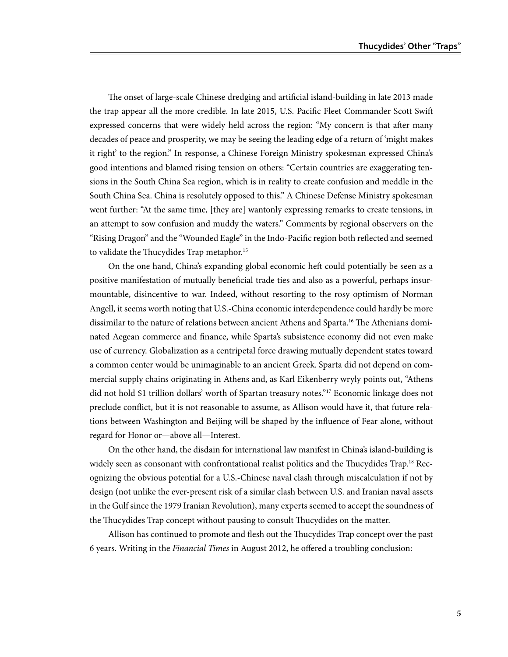The onset of large-scale Chinese dredging and artificial island-building in late 2013 made the trap appear all the more credible. In late 2015, U.S. Pacific Fleet Commander Scott Swift expressed concerns that were widely held across the region: "My concern is that after many decades of peace and prosperity, we may be seeing the leading edge of a return of 'might makes it right' to the region." In response, a Chinese Foreign Ministry spokesman expressed China's good intentions and blamed rising tension on others: "Certain countries are exaggerating tensions in the South China Sea region, which is in reality to create confusion and meddle in the South China Sea. China is resolutely opposed to this." A Chinese Defense Ministry spokesman went further: "At the same time, [they are] wantonly expressing remarks to create tensions, in an attempt to sow confusion and muddy the waters." Comments by regional observers on the "Rising Dragon" and the "Wounded Eagle" in the Indo-Pacific region both reflected and seemed to validate the Thucydides Trap metaphor.<sup>15</sup>

On the one hand, China's expanding global economic heft could potentially be seen as a positive manifestation of mutually beneficial trade ties and also as a powerful, perhaps insurmountable, disincentive to war. Indeed, without resorting to the rosy optimism of Norman Angell, it seems worth noting that U.S.-China economic interdependence could hardly be more dissimilar to the nature of relations between ancient Athens and Sparta.16 The Athenians dominated Aegean commerce and finance, while Sparta's subsistence economy did not even make use of currency. Globalization as a centripetal force drawing mutually dependent states toward a common center would be unimaginable to an ancient Greek. Sparta did not depend on commercial supply chains originating in Athens and, as Karl Eikenberry wryly points out, "Athens did not hold \$1 trillion dollars' worth of Spartan treasury notes."17 Economic linkage does not preclude conflict, but it is not reasonable to assume, as Allison would have it, that future relations between Washington and Beijing will be shaped by the influence of Fear alone, without regard for Honor or—above all—Interest.

On the other hand, the disdain for international law manifest in China's island-building is widely seen as consonant with confrontational realist politics and the Thucydides Trap.<sup>18</sup> Recognizing the obvious potential for a U.S.-Chinese naval clash through miscalculation if not by design (not unlike the ever-present risk of a similar clash between U.S. and Iranian naval assets in the Gulf since the 1979 Iranian Revolution), many experts seemed to accept the soundness of the Thucydides Trap concept without pausing to consult Thucydides on the matter.

Allison has continued to promote and flesh out the Thucydides Trap concept over the past 6 years. Writing in the *Financial Times* in August 2012, he offered a troubling conclusion: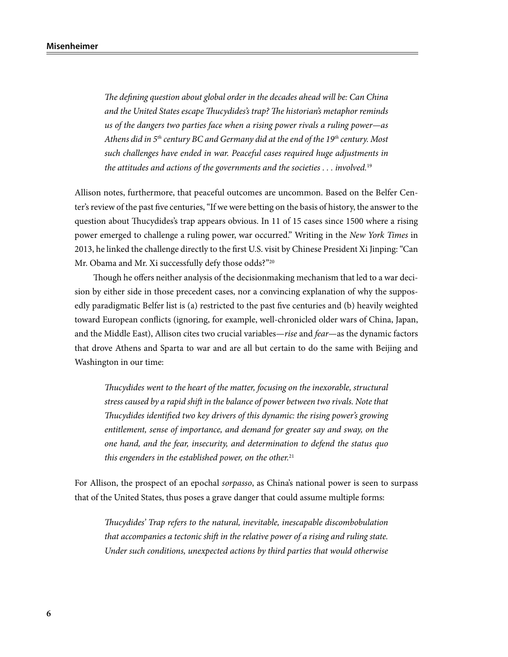*The defining question about global order in the decades ahead will be: Can China and the United States escape Thucydides's trap? The historian's metaphor reminds us of the dangers two parties face when a rising power rivals a ruling power—as Athens did in 5th century BC and Germany did at the end of the 19th century. Most such challenges have ended in war. Peaceful cases required huge adjustments in the attitudes and actions of the governments and the societies . . . involved.*<sup>19</sup>

Allison notes, furthermore, that peaceful outcomes are uncommon. Based on the Belfer Center's review of the past five centuries, "If we were betting on the basis of history, the answer to the question about Thucydides's trap appears obvious. In 11 of 15 cases since 1500 where a rising power emerged to challenge a ruling power, war occurred." Writing in the *New York Times* in 2013, he linked the challenge directly to the first U.S. visit by Chinese President Xi Jinping: "Can Mr. Obama and Mr. Xi successfully defy those odds?"<sup>20</sup>

Though he offers neither analysis of the decisionmaking mechanism that led to a war decision by either side in those precedent cases, nor a convincing explanation of why the supposedly paradigmatic Belfer list is (a) restricted to the past five centuries and (b) heavily weighted toward European conflicts (ignoring, for example, well-chronicled older wars of China, Japan, and the Middle East), Allison cites two crucial variables—*rise* and *fear*—as the dynamic factors that drove Athens and Sparta to war and are all but certain to do the same with Beijing and Washington in our time:

*Thucydides went to the heart of the matter, focusing on the inexorable, structural stress caused by a rapid shift in the balance of power between two rivals. Note that Thucydides identified two key drivers of this dynamic: the rising power's growing entitlement, sense of importance, and demand for greater say and sway, on the one hand, and the fear, insecurity, and determination to defend the status quo this engenders in the established power, on the other.*<sup>21</sup>

For Allison, the prospect of an epochal *sorpasso*, as China's national power is seen to surpass that of the United States, thus poses a grave danger that could assume multiple forms:

*Thucydides' Trap refers to the natural, inevitable, inescapable discombobulation that accompanies a tectonic shift in the relative power of a rising and ruling state. Under such conditions, unexpected actions by third parties that would otherwise*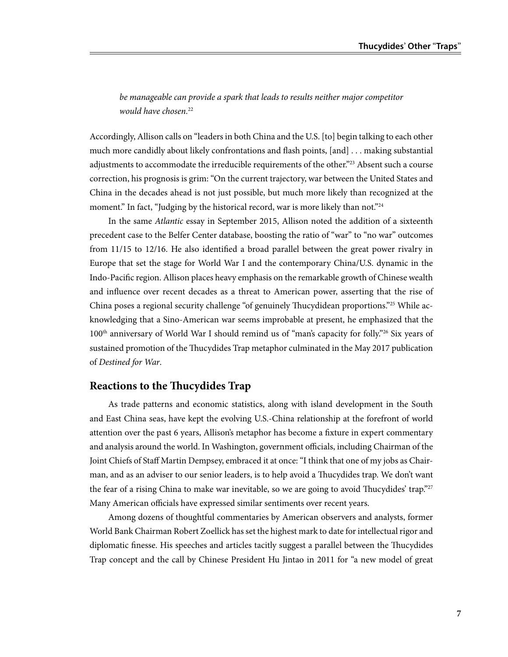be manageable can provide a spark that leads to results neither major competitor *would have chosen.*<sup>22</sup>

Accordingly, Allison calls on "leaders in both China and the U.S. [to] begin talking to each other much more candidly about likely confrontations and flash points, [and] . . . making substantial adjustments to accommodate the irreducible requirements of the other."<sup>23</sup> Absent such a course correction, his prognosis is grim: "On the current trajectory, war between the United States and China in the decades ahead is not just possible, but much more likely than recognized at the moment." In fact, "Judging by the historical record, war is more likely than not."<sup>24</sup>

In the same *Atlantic* essay in September 2015, Allison noted the addition of a sixteenth precedent case to the Belfer Center database, boosting the ratio of "war" to "no war" outcomes from 11/15 to 12/16. He also identified a broad parallel between the great power rivalry in Europe that set the stage for World War I and the contemporary China/U.S. dynamic in the Indo-Pacific region. Allison places heavy emphasis on the remarkable growth of Chinese wealth and influence over recent decades as a threat to American power, asserting that the rise of China poses a regional security challenge "of genuinely Thucydidean proportions."25 While acknowledging that a Sino-American war seems improbable at present, he emphasized that the 100th anniversary of World War I should remind us of "man's capacity for folly."26 Six years of sustained promotion of the Thucydides Trap metaphor culminated in the May 2017 publication of *Destined for War*.

#### **Reactions to the Thucydides Trap**

As trade patterns and economic statistics, along with island development in the South and East China seas, have kept the evolving U.S.-China relationship at the forefront of world attention over the past 6 years, Allison's metaphor has become a fixture in expert commentary and analysis around the world. In Washington, government officials, including Chairman of the Joint Chiefs of Staff Martin Dempsey, embraced it at once: "I think that one of my jobs as Chairman, and as an adviser to our senior leaders, is to help avoid a Thucydides trap. We don't want the fear of a rising China to make war inevitable, so we are going to avoid Thucydides' trap."<sup>27</sup> Many American officials have expressed similar sentiments over recent years.

Among dozens of thoughtful commentaries by American observers and analysts, former World Bank Chairman Robert Zoellick has set the highest mark to date for intellectual rigor and diplomatic finesse. His speeches and articles tacitly suggest a parallel between the Thucydides Trap concept and the call by Chinese President Hu Jintao in 2011 for "a new model of great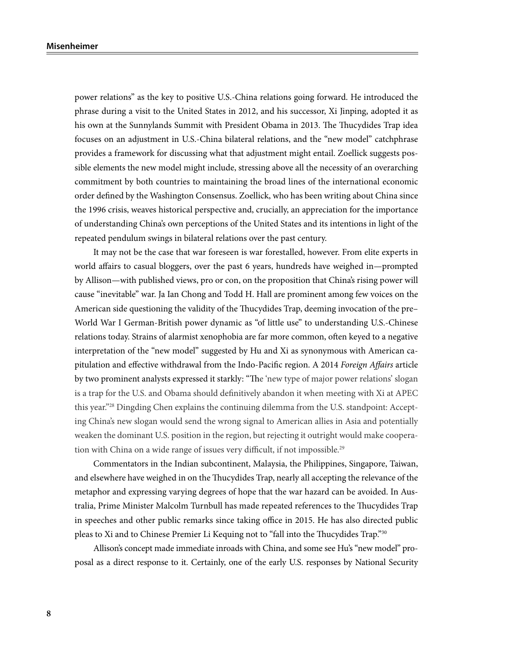power relations" as the key to positive U.S.-China relations going forward. He introduced the phrase during a visit to the United States in 2012, and his successor, Xi Jinping, adopted it as his own at the Sunnylands Summit with President Obama in 2013. The Thucydides Trap idea focuses on an adjustment in U.S.-China bilateral relations, and the "new model" catchphrase provides a framework for discussing what that adjustment might entail. Zoellick suggests possible elements the new model might include, stressing above all the necessity of an overarching commitment by both countries to maintaining the broad lines of the international economic order defined by the Washington Consensus. Zoellick, who has been writing about China since the 1996 crisis, weaves historical perspective and, crucially, an appreciation for the importance of understanding China's own perceptions of the United States and its intentions in light of the repeated pendulum swings in bilateral relations over the past century.

It may not be the case that war foreseen is war forestalled, however. From elite experts in world affairs to casual bloggers, over the past 6 years, hundreds have weighed in—prompted by Allison—with published views, pro or con, on the proposition that China's rising power will cause "inevitable" war. Ja Ian Chong and Todd H. Hall are prominent among few voices on the American side questioning the validity of the Thucydides Trap, deeming invocation of the pre– World War I German-British power dynamic as "of little use" to understanding U.S.-Chinese relations today. Strains of alarmist xenophobia are far more common, often keyed to a negative interpretation of the "new model" suggested by Hu and Xi as synonymous with American capitulation and effective withdrawal from the Indo-Pacific region. A 2014 *Foreign Affairs* article by two prominent analysts expressed it starkly: "The 'new type of major power relations' slogan is a trap for the U.S. and Obama should definitively abandon it when meeting with Xi at APEC this year."28 Dingding Chen explains the continuing dilemma from the U.S. standpoint: Accepting China's new slogan would send the wrong signal to American allies in Asia and potentially weaken the dominant U.S. position in the region, but rejecting it outright would make cooperation with China on a wide range of issues very difficult, if not impossible.<sup>29</sup>

Commentators in the Indian subcontinent, Malaysia, the Philippines, Singapore, Taiwan, and elsewhere have weighed in on the Thucydides Trap, nearly all accepting the relevance of the metaphor and expressing varying degrees of hope that the war hazard can be avoided. In Australia, Prime Minister Malcolm Turnbull has made repeated references to the Thucydides Trap in speeches and other public remarks since taking office in 2015. He has also directed public pleas to Xi and to Chinese Premier Li Kequing not to "fall into the Thucydides Trap."30

Allison's concept made immediate inroads with China, and some see Hu's "new model" proposal as a direct response to it. Certainly, one of the early U.S. responses by National Security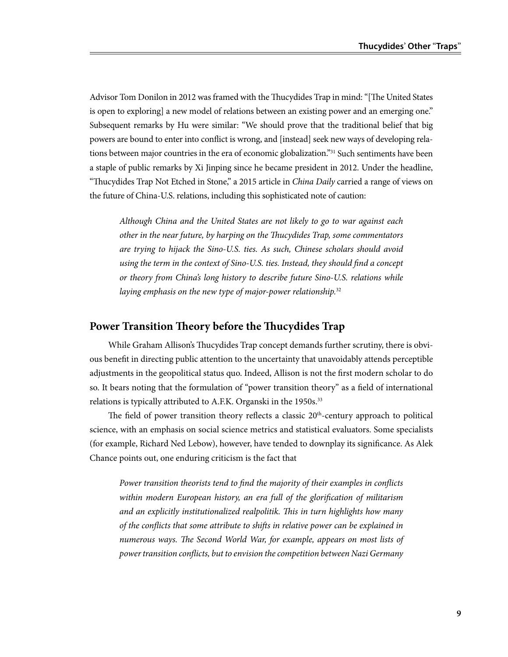Advisor Tom Donilon in 2012 was framed with the Thucydides Trap in mind: "[The United States is open to exploring] a new model of relations between an existing power and an emerging one." Subsequent remarks by Hu were similar: "We should prove that the traditional belief that big powers are bound to enter into conflict is wrong, and [instead] seek new ways of developing relations between major countries in the era of economic globalization."31 Such sentiments have been a staple of public remarks by Xi Jinping since he became president in 2012. Under the headline, "Thucydides Trap Not Etched in Stone," a 2015 article in *China Daily* carried a range of views on the future of China-U.S. relations, including this sophisticated note of caution:

*Although China and the United States are not likely to go to war against each other in the near future, by harping on the Thucydides Trap, some commentators are trying to hijack the Sino-U.S. ties. As such, Chinese scholars should avoid using the term in the context of Sino-U.S. ties. Instead, they should find a concept or theory from China's long history to describe future Sino-U.S. relations while laying emphasis on the new type of major-power relationship.*<sup>32</sup>

#### **Power Transition Theory before the Thucydides Trap**

While Graham Allison's Thucydides Trap concept demands further scrutiny, there is obvious benefit in directing public attention to the uncertainty that unavoidably attends perceptible adjustments in the geopolitical status quo. Indeed, Allison is not the first modern scholar to do so. It bears noting that the formulation of "power transition theory" as a field of international relations is typically attributed to A.F.K. Organski in the 1950s.<sup>33</sup>

The field of power transition theory reflects a classic  $20<sup>th</sup>$ -century approach to political science, with an emphasis on social science metrics and statistical evaluators. Some specialists (for example, Richard Ned Lebow), however, have tended to downplay its significance. As Alek Chance points out, one enduring criticism is the fact that

*Power transition theorists tend to find the majority of their examples in conflicts within modern European history, an era full of the glorification of militarism and an explicitly institutionalized realpolitik. This in turn highlights how many of the conflicts that some attribute to shifts in relative power can be explained in numerous ways. The Second World War, for example, appears on most lists of power transition conflicts, but to envision the competition between Nazi Germany*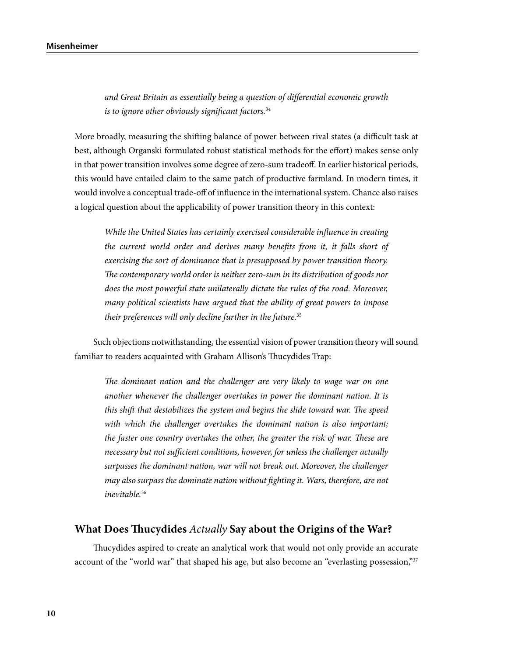*and Great Britain as essentially being a question of differential economic growth is to ignore other obviously significant factors.*<sup>34</sup>

More broadly, measuring the shifting balance of power between rival states (a difficult task at best, although Organski formulated robust statistical methods for the effort) makes sense only in that power transition involves some degree of zero-sum tradeoff. In earlier historical periods, this would have entailed claim to the same patch of productive farmland. In modern times, it would involve a conceptual trade-off of influence in the international system. Chance also raises a logical question about the applicability of power transition theory in this context:

*While the United States has certainly exercised considerable influence in creating the current world order and derives many benefits from it, it falls short of exercising the sort of dominance that is presupposed by power transition theory. The contemporary world order is neither zero-sum in its distribution of goods nor does the most powerful state unilaterally dictate the rules of the road. Moreover, many political scientists have argued that the ability of great powers to impose their preferences will only decline further in the future.*<sup>35</sup>

Such objections notwithstanding, the essential vision of power transition theory will sound familiar to readers acquainted with Graham Allison's Thucydides Trap:

*The dominant nation and the challenger are very likely to wage war on one another whenever the challenger overtakes in power the dominant nation. It is this shift that destabilizes the system and begins the slide toward war. The speed with which the challenger overtakes the dominant nation is also important; the faster one country overtakes the other, the greater the risk of war. These are necessary but not sufficient conditions, however, for unless the challenger actually surpasses the dominant nation, war will not break out. Moreover, the challenger may also surpass the dominate nation without fighting it. Wars, therefore, are not inevitable.*<sup>36</sup>

#### **What Does Thucydides** *Actually* **Say about the Origins of the War?**

Thucydides aspired to create an analytical work that would not only provide an accurate account of the "world war" that shaped his age, but also become an "everlasting possession,"<sup>37</sup>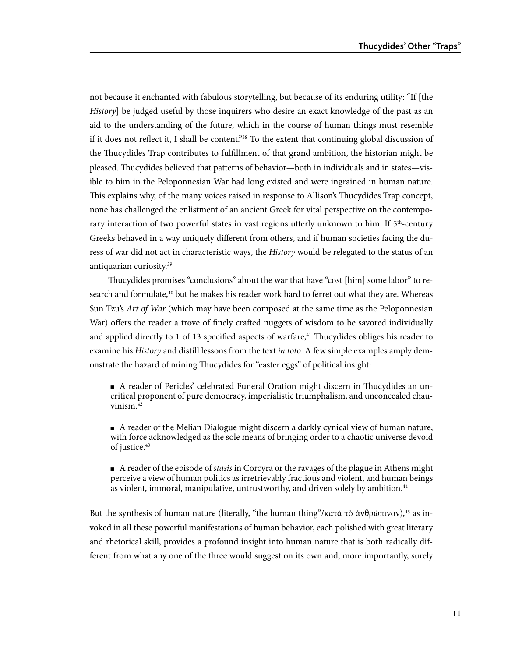not because it enchanted with fabulous storytelling, but because of its enduring utility: "If [the *History*] be judged useful by those inquirers who desire an exact knowledge of the past as an aid to the understanding of the future, which in the course of human things must resemble if it does not reflect it, I shall be content."<sup>38</sup> To the extent that continuing global discussion of the Thucydides Trap contributes to fulfillment of that grand ambition, the historian might be pleased. Thucydides believed that patterns of behavior—both in individuals and in states—visible to him in the Peloponnesian War had long existed and were ingrained in human nature. This explains why, of the many voices raised in response to Allison's Thucydides Trap concept, none has challenged the enlistment of an ancient Greek for vital perspective on the contemporary interaction of two powerful states in vast regions utterly unknown to him. If  $5<sup>th</sup>$ -century Greeks behaved in a way uniquely different from others, and if human societies facing the duress of war did not act in characteristic ways, the *History* would be relegated to the status of an antiquarian curiosity.39

Thucydides promises "conclusions" about the war that have "cost [him] some labor" to research and formulate,<sup>40</sup> but he makes his reader work hard to ferret out what they are. Whereas Sun Tzu's *Art of War* (which may have been composed at the same time as the Peloponnesian War) offers the reader a trove of finely crafted nuggets of wisdom to be savored individually and applied directly to 1 of 13 specified aspects of warfare, $4<sup>1</sup>$  Thucydides obliges his reader to examine his *History* and distill lessons from the text *in toto*. A few simple examples amply demonstrate the hazard of mining Thucydides for "easter eggs" of political insight:

■ A reader of Pericles' celebrated Funeral Oration might discern in Thucydides an uncritical proponent of pure democracy, imperialistic triumphalism, and unconcealed chauvinism. $42$ 

■ A reader of the Melian Dialogue might discern a darkly cynical view of human nature, with force acknowledged as the sole means of bringing order to a chaotic universe devoid of justice.<sup>43</sup>

■ A reader of the episode of *stasis* in Corcyra or the ravages of the plague in Athens might perceive a view of human politics as irretrievably fractious and violent, and human beings as violent, immoral, manipulative, untrustworthy, and driven solely by ambition.<sup>44</sup>

But the synthesis of human nature (literally, "the human thing"/κατὰ τὸ ἀνθρώπινον),<sup>45</sup> as invoked in all these powerful manifestations of human behavior, each polished with great literary and rhetorical skill, provides a profound insight into human nature that is both radically different from what any one of the three would suggest on its own and, more importantly, surely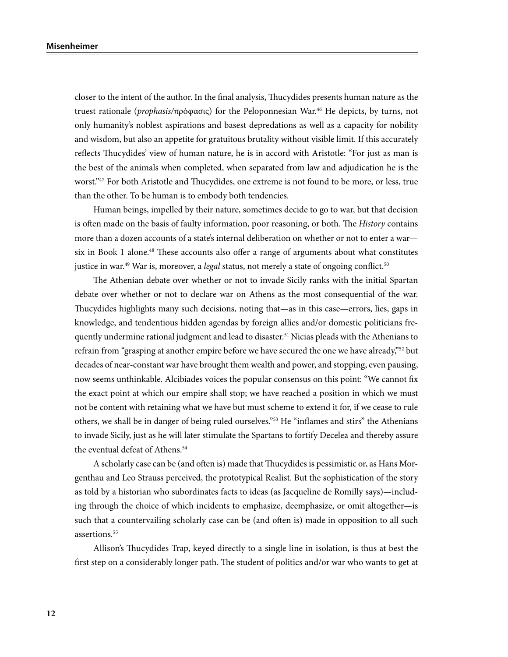closer to the intent of the author. In the final analysis, Thucydides presents human nature as the truest rationale (*prophasis/*πρόφασις) for the Peloponnesian War.46 He depicts, by turns, not only humanity's noblest aspirations and basest depredations as well as a capacity for nobility and wisdom, but also an appetite for gratuitous brutality without visible limit. If this accurately reflects Thucydides' view of human nature, he is in accord with Aristotle: "For just as man is the best of the animals when completed, when separated from law and adjudication he is the worst."<sup>47</sup> For both Aristotle and Thucydides, one extreme is not found to be more, or less, true than the other. To be human is to embody both tendencies.

Human beings, impelled by their nature, sometimes decide to go to war, but that decision is often made on the basis of faulty information, poor reasoning, or both. The *History* contains more than a dozen accounts of a state's internal deliberation on whether or not to enter a war six in Book 1 alone.<sup>48</sup> These accounts also offer a range of arguments about what constitutes justice in war.<sup>49</sup> War is, moreover, a *legal* status, not merely a state of ongoing conflict.<sup>50</sup>

The Athenian debate over whether or not to invade Sicily ranks with the initial Spartan debate over whether or not to declare war on Athens as the most consequential of the war. Thucydides highlights many such decisions, noting that—as in this case—errors, lies, gaps in knowledge, and tendentious hidden agendas by foreign allies and/or domestic politicians frequently undermine rational judgment and lead to disaster.<sup>51</sup> Nicias pleads with the Athenians to refrain from "grasping at another empire before we have secured the one we have already,"<sup>52</sup> but decades of near-constant war have brought them wealth and power, and stopping, even pausing, now seems unthinkable. Alcibiades voices the popular consensus on this point: "We cannot fix the exact point at which our empire shall stop; we have reached a position in which we must not be content with retaining what we have but must scheme to extend it for, if we cease to rule others, we shall be in danger of being ruled ourselves."53 He "inflames and stirs" the Athenians to invade Sicily, just as he will later stimulate the Spartans to fortify Decelea and thereby assure the eventual defeat of Athens.<sup>54</sup>

A scholarly case can be (and often is) made that Thucydides is pessimistic or, as Hans Morgenthau and Leo Strauss perceived, the prototypical Realist. But the sophistication of the story as told by a historian who subordinates facts to ideas (as Jacqueline de Romilly says)—including through the choice of which incidents to emphasize, deemphasize, or omit altogether—is such that a countervailing scholarly case can be (and often is) made in opposition to all such assertions.<sup>55</sup>

Allison's Thucydides Trap, keyed directly to a single line in isolation, is thus at best the first step on a considerably longer path. The student of politics and/or war who wants to get at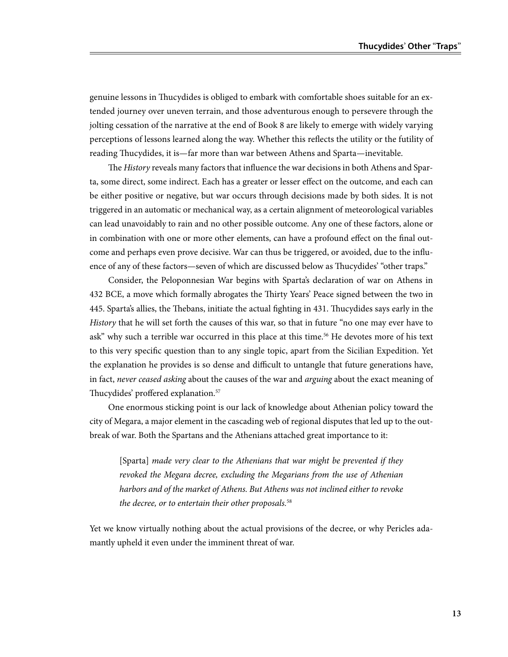genuine lessons in Thucydides is obliged to embark with comfortable shoes suitable for an extended journey over uneven terrain, and those adventurous enough to persevere through the jolting cessation of the narrative at the end of Book 8 are likely to emerge with widely varying perceptions of lessons learned along the way. Whether this reflects the utility or the futility of reading Thucydides, it is—far more than war between Athens and Sparta—inevitable.

The *History* reveals many factors that influence the war decisions in both Athens and Sparta, some direct, some indirect. Each has a greater or lesser effect on the outcome, and each can be either positive or negative, but war occurs through decisions made by both sides. It is not triggered in an automatic or mechanical way, as a certain alignment of meteorological variables can lead unavoidably to rain and no other possible outcome. Any one of these factors, alone or in combination with one or more other elements, can have a profound effect on the final outcome and perhaps even prove decisive. War can thus be triggered, or avoided, due to the influence of any of these factors—seven of which are discussed below as Thucydides' "other traps."

Consider, the Peloponnesian War begins with Sparta's declaration of war on Athens in 432 BCE, a move which formally abrogates the Thirty Years' Peace signed between the two in 445. Sparta's allies, the Thebans, initiate the actual fighting in 431. Thucydides says early in the *History* that he will set forth the causes of this war, so that in future "no one may ever have to ask" why such a terrible war occurred in this place at this time.<sup>56</sup> He devotes more of his text to this very specific question than to any single topic, apart from the Sicilian Expedition. Yet the explanation he provides is so dense and difficult to untangle that future generations have, in fact, *never ceased asking* about the causes of the war and *arguing* about the exact meaning of Thucydides' proffered explanation.57

One enormous sticking point is our lack of knowledge about Athenian policy toward the city of Megara, a major element in the cascading web of regional disputes that led up to the outbreak of war. Both the Spartans and the Athenians attached great importance to it:

[Sparta] *made very clear to the Athenians that war might be prevented if they*  revoked the Megara decree, excluding the Megarians from the use of Athenian *harbors and of the market of Athens. But Athens was not inclined either to revoke the decree, or to entertain their other proposals.*<sup>58</sup>

Yet we know virtually nothing about the actual provisions of the decree, or why Pericles adamantly upheld it even under the imminent threat of war.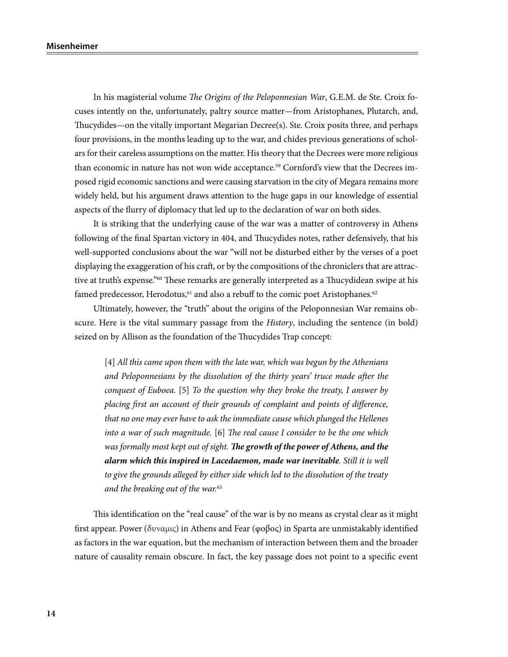In his magisterial volume *The Origins of the Peloponnesian War*, G.E.M. de Ste. Croix focuses intently on the, unfortunately, paltry source matter—from Aristophanes, Plutarch, and, Thucydides—on the vitally important Megarian Decree(s). Ste. Croix posits three, and perhaps four provisions, in the months leading up to the war, and chides previous generations of scholars for their careless assumptions on the matter. His theory that the Decrees were more religious than economic in nature has not won wide acceptance.<sup>59</sup> Cornford's view that the Decrees imposed rigid economic sanctions and were causing starvation in the city of Megara remains more widely held, but his argument draws attention to the huge gaps in our knowledge of essential aspects of the flurry of diplomacy that led up to the declaration of war on both sides.

It is striking that the underlying cause of the war was a matter of controversy in Athens following of the final Spartan victory in 404, and Thucydides notes, rather defensively, that his well-supported conclusions about the war "will not be disturbed either by the verses of a poet displaying the exaggeration of his craft, or by the compositions of the chroniclers that are attractive at truth's expense."60 These remarks are generally interpreted as a Thucydidean swipe at his famed predecessor, Herodotus,<sup>61</sup> and also a rebuff to the comic poet Aristophanes.<sup>62</sup>

Ultimately, however, the "truth" about the origins of the Peloponnesian War remains obscure. Here is the vital summary passage from the *History*, including the sentence (in bold) seized on by Allison as the foundation of the Thucydides Trap concept:

[4] *All this came upon them with the late war, which was begun by the Athenians and Peloponnesians by the dissolution of the thirty years' truce made after the conquest of Euboea.* [5] *To the question why they broke the treaty, I answer by placing first an account of their grounds of complaint and points of difference, that no one may ever have to ask the immediate cause which plunged the Hellenes into a war of such magnitude.* [6] *The real cause I consider to be the one which was formally most kept out of sight. The growth of the power of Athens, and the alarm which this inspired in Lacedaemon, made war inevitable. Still it is well to give the grounds alleged by either side which led to the dissolution of the treaty and the breaking out of the war.*<sup>63</sup>

This identification on the "real cause" of the war is by no means as crystal clear as it might first appear. Power (δυναμις) in Athens and Fear (φοβος) in Sparta are unmistakably identified as factors in the war equation, but the mechanism of interaction between them and the broader nature of causality remain obscure. In fact, the key passage does not point to a specific event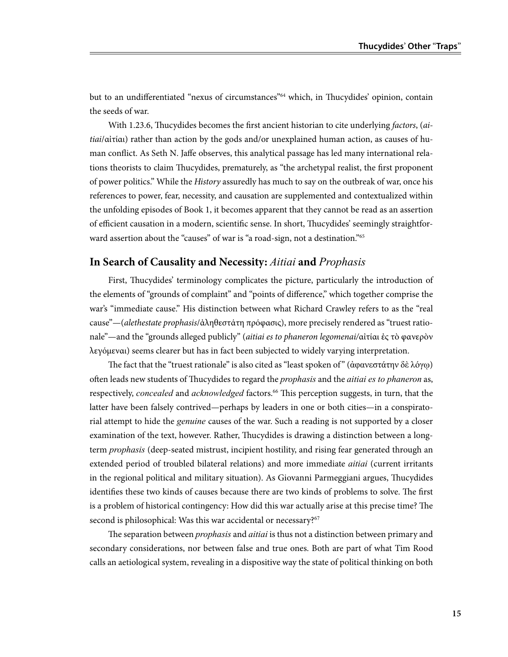but to an undifferentiated "nexus of circumstances"64 which, in Thucydides' opinion, contain the seeds of war.

With 1.23.6, Thucydides becomes the first ancient historian to cite underlying *factors*, (*aitiai*/αἰτίαι) rather than action by the gods and/or unexplained human action, as causes of human conflict. As Seth N. Jaffe observes, this analytical passage has led many international relations theorists to claim Thucydides, prematurely, as "the archetypal realist, the first proponent of power politics." While the *History* assuredly has much to say on the outbreak of war, once his references to power, fear, necessity, and causation are supplemented and contextualized within the unfolding episodes of Book 1, it becomes apparent that they cannot be read as an assertion of efficient causation in a modern, scientific sense. In short, Thucydides' seemingly straightforward assertion about the "causes" of war is "a road-sign, not a destination."<sup>65</sup>

#### **In Search of Causality and Necessity:** *Aitiai* **and** *Prophasis*

First, Thucydides' terminology complicates the picture, particularly the introduction of the elements of "grounds of complaint" and "points of difference," which together comprise the war's "immediate cause." His distinction between what Richard Crawley refers to as the "real cause"—(*alethestate prophasis*/ἀληθεστάτη πρόφασις), more precisely rendered as "truest rationale"—and the "grounds alleged publicly" (*aitiai es to phaneron legomenai/*αἰτίαι ἐς τὸ φανερὸν λεγόμεναι) seems clearer but has in fact been subjected to widely varying interpretation.

The fact that the "truest rationale" is also cited as "least spoken of " (ἀφανεστάτην δὲ λόγῳ) often leads new students of Thucydides to regard the *prophasis* and the *aitiai es to phaneron* as, respectively, *concealed* and *acknowledged* factors.<sup>66</sup> This perception suggests, in turn, that the latter have been falsely contrived—perhaps by leaders in one or both cities—in a conspiratorial attempt to hide the *genuine* causes of the war. Such a reading is not supported by a closer examination of the text, however. Rather, Thucydides is drawing a distinction between a longterm *prophasis* (deep-seated mistrust, incipient hostility, and rising fear generated through an extended period of troubled bilateral relations) and more immediate *aitiai* (current irritants in the regional political and military situation). As Giovanni Parmeggiani argues, Thucydides identifies these two kinds of causes because there are two kinds of problems to solve. The first is a problem of historical contingency: How did this war actually arise at this precise time? The second is philosophical: Was this war accidental or necessary?<sup>67</sup>

The separation between *prophasis* and *aitiai* is thus not a distinction between primary and secondary considerations, nor between false and true ones. Both are part of what Tim Rood calls an aetiological system, revealing in a dispositive way the state of political thinking on both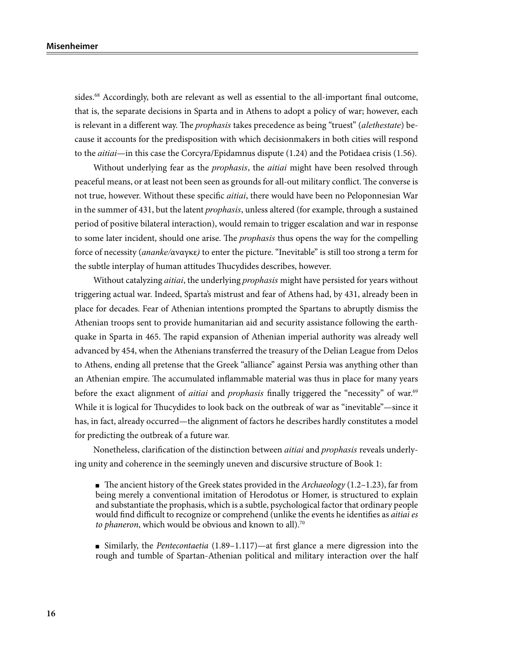sides.<sup>68</sup> Accordingly, both are relevant as well as essential to the all-important final outcome, that is, the separate decisions in Sparta and in Athens to adopt a policy of war; however, each is relevant in a different way. The *prophasis* takes precedence as being "truest" (*alethestate*) because it accounts for the predisposition with which decisionmakers in both cities will respond to the *aitiai*—in this case the Corcyra/Epidamnus dispute (1.24) and the Potidaea crisis (1.56).

Without underlying fear as the *prophasis*, the *aitiai* might have been resolved through peaceful means, or at least not been seen as grounds for all-out military conflict. The converse is not true, however. Without these specific *aitiai*, there would have been no Peloponnesian War in the summer of 431, but the latent *prophasis*, unless altered (for example, through a sustained period of positive bilateral interaction), would remain to trigger escalation and war in response to some later incident, should one arise. The *prophasis* thus opens the way for the compelling force of necessity (*ananke/*αναγκε*)* to enter the picture. "Inevitable" is still too strong a term for the subtle interplay of human attitudes Thucydides describes, however.

Without catalyzing *aitiai*, the underlying *prophasis* might have persisted for years without triggering actual war. Indeed, Sparta's mistrust and fear of Athens had, by 431, already been in place for decades. Fear of Athenian intentions prompted the Spartans to abruptly dismiss the Athenian troops sent to provide humanitarian aid and security assistance following the earthquake in Sparta in 465. The rapid expansion of Athenian imperial authority was already well advanced by 454, when the Athenians transferred the treasury of the Delian League from Delos to Athens, ending all pretense that the Greek "alliance" against Persia was anything other than an Athenian empire. The accumulated inflammable material was thus in place for many years before the exact alignment of *aitiai* and *prophasis* finally triggered the "necessity" of war.<sup>69</sup> While it is logical for Thucydides to look back on the outbreak of war as "inevitable"—since it has, in fact, already occurred—the alignment of factors he describes hardly constitutes a model for predicting the outbreak of a future war.

Nonetheless, clarification of the distinction between *aitiai* and *prophasis* reveals underlying unity and coherence in the seemingly uneven and discursive structure of Book 1:

■ The ancient history of the Greek states provided in the *Archaeology* (1.2–1.23), far from being merely a conventional imitation of Herodotus or Homer, is structured to explain and substantiate the prophasis, which is a subtle, psychological factor that ordinary people would find difficult to recognize or comprehend (unlike the events he identifies as *aitiai es*  to phaneron, which would be obvious and known to all).<sup>70</sup>

■ Similarly, the *Pentecontaetia* (1.89–1.117)—at first glance a mere digression into the rough and tumble of Spartan-Athenian political and military interaction over the half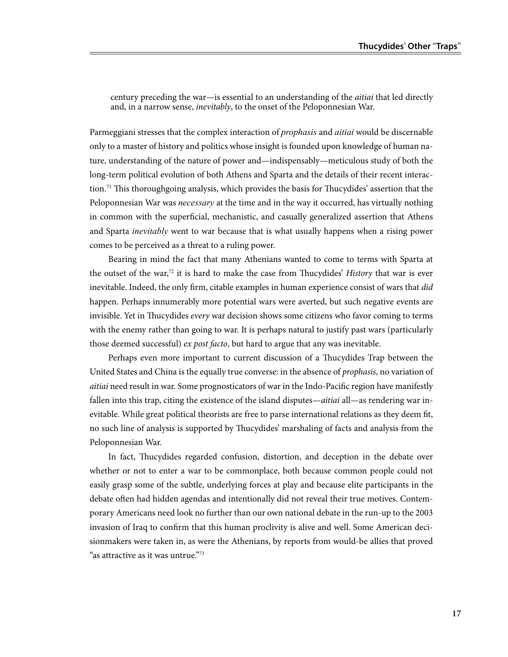century preceding the war—is essential to an understanding of the *aitiai* that led directly and, in a narrow sense, *inevitably*, to the onset of the Peloponnesian War.

Parmeggiani stresses that the complex interaction of *prophasis* and *aitiai* would be discernable only to a master of history and politics whose insight is founded upon knowledge of human nature, understanding of the nature of power and—indispensably—meticulous study of both the long-term political evolution of both Athens and Sparta and the details of their recent interaction.<sup>71</sup> This thoroughgoing analysis, which provides the basis for Thucydides' assertion that the Peloponnesian War was *necessary* at the time and in the way it occurred, has virtually nothing in common with the superficial, mechanistic, and casually generalized assertion that Athens and Sparta *inevitably* went to war because that is what usually happens when a rising power comes to be perceived as a threat to a ruling power.

Bearing in mind the fact that many Athenians wanted to come to terms with Sparta at the outset of the war,72 it is hard to make the case from Thucydides' *History* that war is ever inevitable. Indeed, the only firm, citable examples in human experience consist of wars that *did* happen. Perhaps innumerably more potential wars were averted, but such negative events are invisible. Yet in Thucydides *every* war decision shows some citizens who favor coming to terms with the enemy rather than going to war. It is perhaps natural to justify past wars (particularly those deemed successful) *ex post facto*, but hard to argue that any was inevitable.

Perhaps even more important to current discussion of a Thucydides Trap between the United States and China is the equally true converse: in the absence of *prophasis*, no variation of *aitiai* need result in war. Some prognosticators of war in the Indo-Pacific region have manifestly fallen into this trap, citing the existence of the island disputes—*aitiai* all—as rendering war inevitable. While great political theorists are free to parse international relations as they deem fit, no such line of analysis is supported by Thucydides' marshaling of facts and analysis from the Peloponnesian War.

In fact, Thucydides regarded confusion, distortion, and deception in the debate over whether or not to enter a war to be commonplace, both because common people could not easily grasp some of the subtle, underlying forces at play and because elite participants in the debate often had hidden agendas and intentionally did not reveal their true motives. Contemporary Americans need look no further than our own national debate in the run-up to the 2003 invasion of Iraq to confirm that this human proclivity is alive and well. Some American decisionmakers were taken in, as were the Athenians, by reports from would-be allies that proved "as attractive as it was untrue."73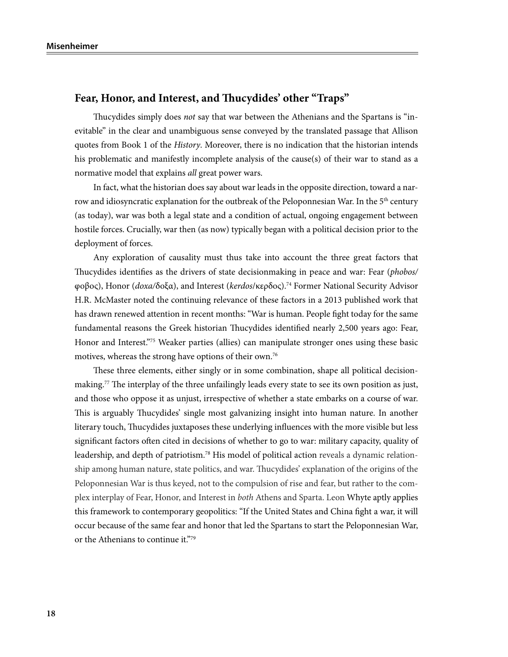#### **Fear, Honor, and Interest, and Thucydides' other "Traps"**

Thucydides simply does *not* say that war between the Athenians and the Spartans is "inevitable" in the clear and unambiguous sense conveyed by the translated passage that Allison quotes from Book 1 of the *History*. Moreover, there is no indication that the historian intends his problematic and manifestly incomplete analysis of the cause(s) of their war to stand as a normative model that explains *all* great power wars.

In fact, what the historian does say about war leads in the opposite direction, toward a narrow and idiosyncratic explanation for the outbreak of the Peloponnesian War. In the 5<sup>th</sup> century (as today), war was both a legal state and a condition of actual, ongoing engagement between hostile forces. Crucially, war then (as now) typically began with a political decision prior to the deployment of forces.

Any exploration of causality must thus take into account the three great factors that Thucydides identifies as the drivers of state decisionmaking in peace and war: Fear (*phobos/* φοβος), Honor (*doxa/*δοξα), and Interest (*kerdos*/κερδος).74 Former National Security Advisor H.R. McMaster noted the continuing relevance of these factors in a 2013 published work that has drawn renewed attention in recent months: "War is human. People fight today for the same fundamental reasons the Greek historian Thucydides identified nearly 2,500 years ago: Fear, Honor and Interest."75 Weaker parties (allies) can manipulate stronger ones using these basic motives, whereas the strong have options of their own.76

These three elements, either singly or in some combination, shape all political decisionmaking.<sup>77</sup> The interplay of the three unfailingly leads every state to see its own position as just, and those who oppose it as unjust, irrespective of whether a state embarks on a course of war. This is arguably Thucydides' single most galvanizing insight into human nature. In another literary touch, Thucydides juxtaposes these underlying influences with the more visible but less significant factors often cited in decisions of whether to go to war: military capacity, quality of leadership, and depth of patriotism.78 His model of political action reveals a dynamic relationship among human nature, state politics, and war. Thucydides' explanation of the origins of the Peloponnesian War is thus keyed, not to the compulsion of rise and fear, but rather to the complex interplay of Fear, Honor, and Interest in *both* Athens and Sparta. Leon Whyte aptly applies this framework to contemporary geopolitics: "If the United States and China fight a war, it will occur because of the same fear and honor that led the Spartans to start the Peloponnesian War, or the Athenians to continue it."79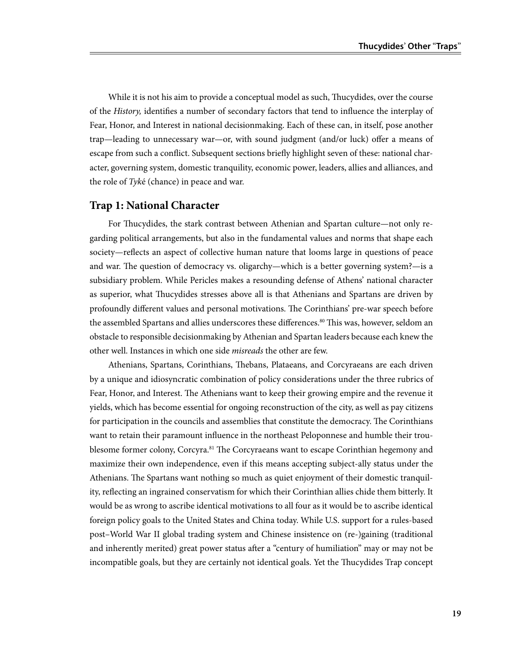While it is not his aim to provide a conceptual model as such, Thucydides, over the course of the *History,* identifies a number of secondary factors that tend to influence the interplay of Fear, Honor, and Interest in national decisionmaking. Each of these can, in itself, pose another trap—leading to unnecessary war—or, with sound judgment (and/or luck) offer a means of escape from such a conflict. Subsequent sections briefly highlight seven of these: national character, governing system, domestic tranquility, economic power, leaders, allies and alliances, and the role of *Tyk*é (chance) in peace and war.

#### **Trap 1: National Character**

For Thucydides, the stark contrast between Athenian and Spartan culture—not only regarding political arrangements, but also in the fundamental values and norms that shape each society—reflects an aspect of collective human nature that looms large in questions of peace and war. The question of democracy vs. oligarchy—which is a better governing system?—is a subsidiary problem. While Pericles makes a resounding defense of Athens' national character as superior, what Thucydides stresses above all is that Athenians and Spartans are driven by profoundly different values and personal motivations. The Corinthians' pre-war speech before the assembled Spartans and allies underscores these differences.<sup>80</sup> This was, however, seldom an obstacle to responsible decisionmaking by Athenian and Spartan leaders because each knew the other well. Instances in which one side *misreads* the other are few.

Athenians, Spartans, Corinthians, Thebans, Plataeans, and Corcyraeans are each driven by a unique and idiosyncratic combination of policy considerations under the three rubrics of Fear, Honor, and Interest. The Athenians want to keep their growing empire and the revenue it yields, which has become essential for ongoing reconstruction of the city, as well as pay citizens for participation in the councils and assemblies that constitute the democracy. The Corinthians want to retain their paramount influence in the northeast Peloponnese and humble their troublesome former colony, Corcyra.<sup>81</sup> The Corcyraeans want to escape Corinthian hegemony and maximize their own independence, even if this means accepting subject-ally status under the Athenians. The Spartans want nothing so much as quiet enjoyment of their domestic tranquility, reflecting an ingrained conservatism for which their Corinthian allies chide them bitterly. It would be as wrong to ascribe identical motivations to all four as it would be to ascribe identical foreign policy goals to the United States and China today. While U.S. support for a rules-based post–World War II global trading system and Chinese insistence on (re-)gaining (traditional and inherently merited) great power status after a "century of humiliation" may or may not be incompatible goals, but they are certainly not identical goals. Yet the Thucydides Trap concept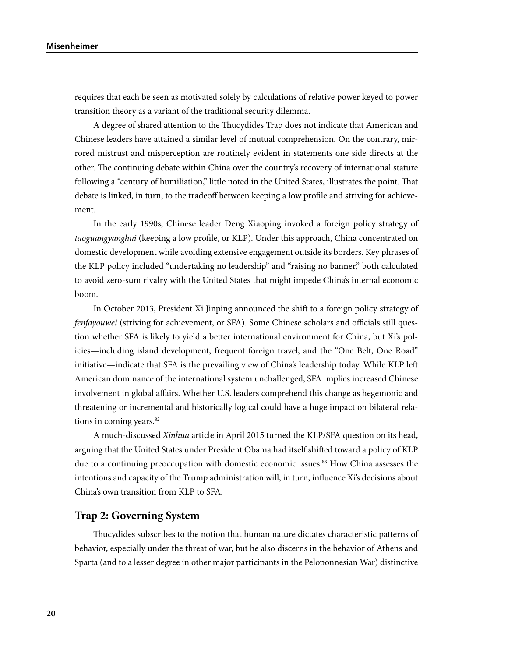requires that each be seen as motivated solely by calculations of relative power keyed to power transition theory as a variant of the traditional security dilemma.

A degree of shared attention to the Thucydides Trap does not indicate that American and Chinese leaders have attained a similar level of mutual comprehension. On the contrary, mirrored mistrust and misperception are routinely evident in statements one side directs at the other. The continuing debate within China over the country's recovery of international stature following a "century of humiliation," little noted in the United States, illustrates the point. That debate is linked, in turn, to the tradeoff between keeping a low profile and striving for achievement.

In the early 1990s, Chinese leader Deng Xiaoping invoked a foreign policy strategy of *taoguangyanghui* (keeping a low profile, or KLP). Under this approach, China concentrated on domestic development while avoiding extensive engagement outside its borders. Key phrases of the KLP policy included "undertaking no leadership" and "raising no banner," both calculated to avoid zero-sum rivalry with the United States that might impede China's internal economic boom.

In October 2013, President Xi Jinping announced the shift to a foreign policy strategy of *fenfayouwei* (striving for achievement, or SFA). Some Chinese scholars and officials still question whether SFA is likely to yield a better international environment for China, but Xi's policies—including island development, frequent foreign travel, and the "One Belt, One Road" initiative—indicate that SFA is the prevailing view of China's leadership today. While KLP left American dominance of the international system unchallenged, SFA implies increased Chinese involvement in global affairs. Whether U.S. leaders comprehend this change as hegemonic and threatening or incremental and historically logical could have a huge impact on bilateral relations in coming years.<sup>82</sup>

A much-discussed *Xinhua* article in April 2015 turned the KLP/SFA question on its head, arguing that the United States under President Obama had itself shifted toward a policy of KLP due to a continuing preoccupation with domestic economic issues.<sup>83</sup> How China assesses the intentions and capacity of the Trump administration will, in turn, influence Xi's decisions about China's own transition from KLP to SFA.

#### **Trap 2: Governing System**

Thucydides subscribes to the notion that human nature dictates characteristic patterns of behavior, especially under the threat of war, but he also discerns in the behavior of Athens and Sparta (and to a lesser degree in other major participants in the Peloponnesian War) distinctive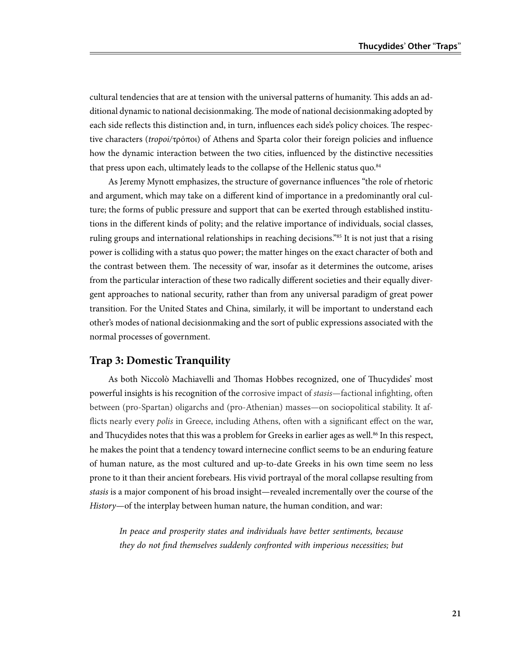cultural tendencies that are at tension with the universal patterns of humanity. This adds an additional dynamic to national decisionmaking. The mode of national decisionmaking adopted by each side reflects this distinction and, in turn, influences each side's policy choices. The respective characters (*tropoi/*τρόποι) of Athens and Sparta color their foreign policies and influence how the dynamic interaction between the two cities, influenced by the distinctive necessities that press upon each, ultimately leads to the collapse of the Hellenic status quo.<sup>84</sup>

As Jeremy Mynott emphasizes, the structure of governance influences "the role of rhetoric and argument, which may take on a different kind of importance in a predominantly oral culture; the forms of public pressure and support that can be exerted through established institutions in the different kinds of polity; and the relative importance of individuals, social classes, ruling groups and international relationships in reaching decisions."85 It is not just that a rising power is colliding with a status quo power; the matter hinges on the exact character of both and the contrast between them. The necessity of war, insofar as it determines the outcome, arises from the particular interaction of these two radically different societies and their equally divergent approaches to national security, rather than from any universal paradigm of great power transition. For the United States and China, similarly, it will be important to understand each other's modes of national decisionmaking and the sort of public expressions associated with the normal processes of government.

#### **Trap 3: Domestic Tranquility**

As both Niccolò Machiavelli and Thomas Hobbes recognized, one of Thucydides' most powerful insights is his recognition of the corrosive impact of *stasis*—factional infighting, often between (pro-Spartan) oligarchs and (pro-Athenian) masses—on sociopolitical stability. It afflicts nearly every *polis* in Greece, including Athens, often with a significant effect on the war, and Thucydides notes that this was a problem for Greeks in earlier ages as well.<sup>86</sup> In this respect, he makes the point that a tendency toward internecine conflict seems to be an enduring feature of human nature, as the most cultured and up-to-date Greeks in his own time seem no less prone to it than their ancient forebears. His vivid portrayal of the moral collapse resulting from *stasis* is a major component of his broad insight—revealed incrementally over the course of the *History*—of the interplay between human nature, the human condition, and war:

*In peace and prosperity states and individuals have better sentiments, because they do not find themselves suddenly confronted with imperious necessities; but*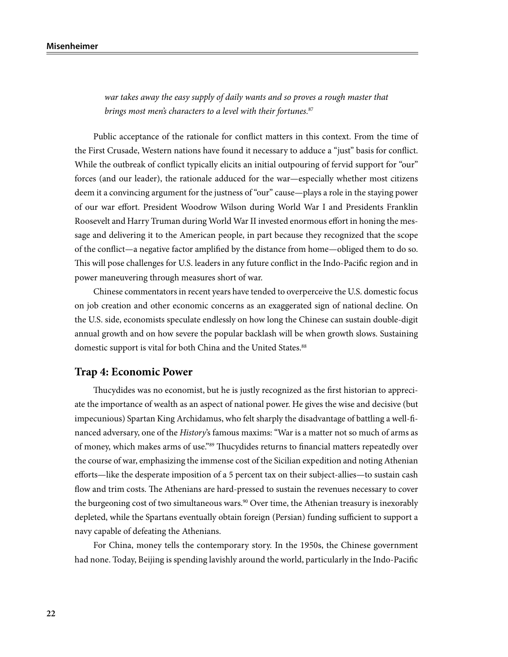*war takes away the easy supply of daily wants and so proves a rough master that brings most men's characters to a level with their fortunes.*<sup>87</sup>

Public acceptance of the rationale for conflict matters in this context. From the time of the First Crusade, Western nations have found it necessary to adduce a "just" basis for conflict. While the outbreak of conflict typically elicits an initial outpouring of fervid support for "our" forces (and our leader), the rationale adduced for the war—especially whether most citizens deem it a convincing argument for the justness of "our" cause—plays a role in the staying power of our war effort. President Woodrow Wilson during World War I and Presidents Franklin Roosevelt and Harry Truman during World War II invested enormous effort in honing the message and delivering it to the American people, in part because they recognized that the scope of the conflict—a negative factor amplified by the distance from home—obliged them to do so. This will pose challenges for U.S. leaders in any future conflict in the Indo-Pacific region and in power maneuvering through measures short of war.

Chinese commentators in recent years have tended to overperceive the U.S. domestic focus on job creation and other economic concerns as an exaggerated sign of national decline. On the U.S. side, economists speculate endlessly on how long the Chinese can sustain double-digit annual growth and on how severe the popular backlash will be when growth slows. Sustaining domestic support is vital for both China and the United States.<sup>88</sup>

#### **Trap 4: Economic Power**

Thucydides was no economist, but he is justly recognized as the first historian to appreciate the importance of wealth as an aspect of national power. He gives the wise and decisive (but impecunious) Spartan King Archidamus, who felt sharply the disadvantage of battling a well-financed adversary, one of the *History*'s famous maxims: "War is a matter not so much of arms as of money, which makes arms of use."89 Thucydides returns to financial matters repeatedly over the course of war, emphasizing the immense cost of the Sicilian expedition and noting Athenian efforts—like the desperate imposition of a 5 percent tax on their subject-allies—to sustain cash flow and trim costs. The Athenians are hard-pressed to sustain the revenues necessary to cover the burgeoning cost of two simultaneous wars.<sup>90</sup> Over time, the Athenian treasury is inexorably depleted, while the Spartans eventually obtain foreign (Persian) funding sufficient to support a navy capable of defeating the Athenians.

For China, money tells the contemporary story. In the 1950s, the Chinese government had none. Today, Beijing is spending lavishly around the world, particularly in the Indo-Pacific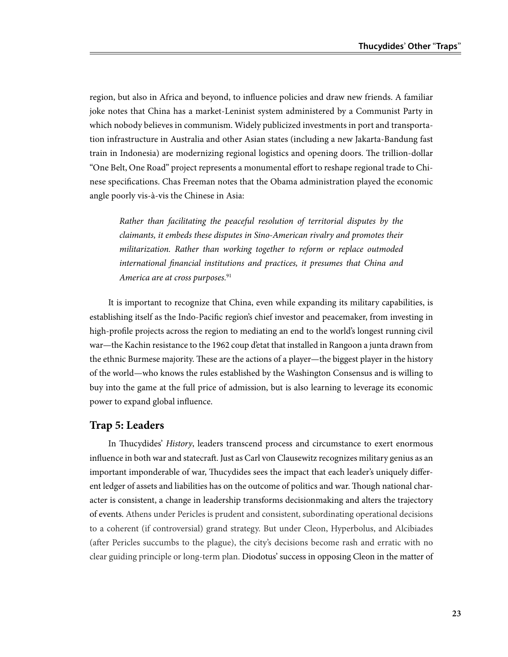region, but also in Africa and beyond, to influence policies and draw new friends. A familiar joke notes that China has a market-Leninist system administered by a Communist Party in which nobody believes in communism. Widely publicized investments in port and transportation infrastructure in Australia and other Asian states (including a new Jakarta-Bandung fast train in Indonesia) are modernizing regional logistics and opening doors. The trillion-dollar "One Belt, One Road" project represents a monumental effort to reshape regional trade to Chinese specifications. Chas Freeman notes that the Obama administration played the economic angle poorly vis-à-vis the Chinese in Asia:

*Rather than facilitating the peaceful resolution of territorial disputes by the claimants, it embeds these disputes in Sino-American rivalry and promotes their militarization. Rather than working together to reform or replace outmoded international financial institutions and practices, it presumes that China and America are at cross purposes.*<sup>91</sup>

It is important to recognize that China, even while expanding its military capabilities, is establishing itself as the Indo-Pacific region's chief investor and peacemaker, from investing in high-profile projects across the region to mediating an end to the world's longest running civil war—the Kachin resistance to the 1962 coup d'etat that installed in Rangoon a junta drawn from the ethnic Burmese majority. These are the actions of a player—the biggest player in the history of the world—who knows the rules established by the Washington Consensus and is willing to buy into the game at the full price of admission, but is also learning to leverage its economic power to expand global influence.

#### **Trap 5: Leaders**

In Thucydides' *History*, leaders transcend process and circumstance to exert enormous influence in both war and statecraft. Just as Carl von Clausewitz recognizes military genius as an important imponderable of war, Thucydides sees the impact that each leader's uniquely different ledger of assets and liabilities has on the outcome of politics and war. Though national character is consistent, a change in leadership transforms decisionmaking and alters the trajectory of events. Athens under Pericles is prudent and consistent, subordinating operational decisions to a coherent (if controversial) grand strategy. But under Cleon, Hyperbolus, and Alcibiades (after Pericles succumbs to the plague), the city's decisions become rash and erratic with no clear guiding principle or long-term plan. Diodotus' success in opposing Cleon in the matter of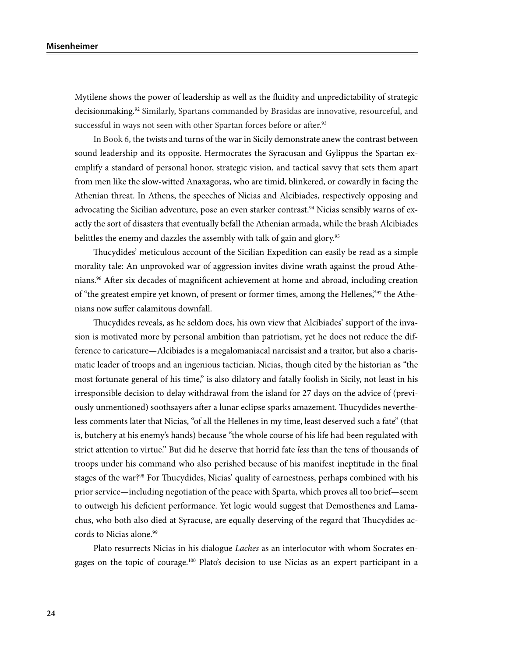Mytilene shows the power of leadership as well as the fluidity and unpredictability of strategic decisionmaking.<sup>92</sup> Similarly, Spartans commanded by Brasidas are innovative, resourceful, and successful in ways not seen with other Spartan forces before or after.<sup>93</sup>

In Book 6, the twists and turns of the war in Sicily demonstrate anew the contrast between sound leadership and its opposite. Hermocrates the Syracusan and Gylippus the Spartan exemplify a standard of personal honor, strategic vision, and tactical savvy that sets them apart from men like the slow-witted Anaxagoras, who are timid, blinkered, or cowardly in facing the Athenian threat. In Athens, the speeches of Nicias and Alcibiades, respectively opposing and advocating the Sicilian adventure, pose an even starker contrast.<sup>94</sup> Nicias sensibly warns of exactly the sort of disasters that eventually befall the Athenian armada, while the brash Alcibiades belittles the enemy and dazzles the assembly with talk of gain and glory.<sup>95</sup>

Thucydides' meticulous account of the Sicilian Expedition can easily be read as a simple morality tale: An unprovoked war of aggression invites divine wrath against the proud Athenians.96 After six decades of magnificent achievement at home and abroad, including creation of "the greatest empire yet known, of present or former times, among the Hellenes,"97 the Athenians now suffer calamitous downfall.

Thucydides reveals, as he seldom does, his own view that Alcibiades' support of the invasion is motivated more by personal ambition than patriotism, yet he does not reduce the difference to caricature—Alcibiades is a megalomaniacal narcissist and a traitor, but also a charismatic leader of troops and an ingenious tactician. Nicias, though cited by the historian as "the most fortunate general of his time," is also dilatory and fatally foolish in Sicily, not least in his irresponsible decision to delay withdrawal from the island for 27 days on the advice of (previously unmentioned) soothsayers after a lunar eclipse sparks amazement. Thucydides nevertheless comments later that Nicias, "of all the Hellenes in my time, least deserved such a fate" (that is, butchery at his enemy's hands) because "the whole course of his life had been regulated with strict attention to virtue." But did he deserve that horrid fate *less* than the tens of thousands of troops under his command who also perished because of his manifest ineptitude in the final stages of the war?<sup>98</sup> For Thucydides, Nicias' quality of earnestness, perhaps combined with his prior service—including negotiation of the peace with Sparta, which proves all too brief—seem to outweigh his deficient performance. Yet logic would suggest that Demosthenes and Lamachus, who both also died at Syracuse, are equally deserving of the regard that Thucydides accords to Nicias alone.<sup>99</sup>

Plato resurrects Nicias in his dialogue *Laches* as an interlocutor with whom Socrates engages on the topic of courage.100 Plato's decision to use Nicias as an expert participant in a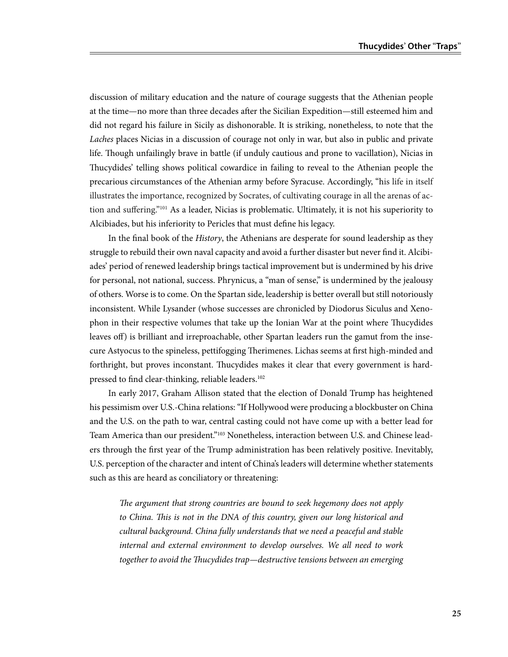discussion of military education and the nature of courage suggests that the Athenian people at the time—no more than three decades after the Sicilian Expedition—still esteemed him and did not regard his failure in Sicily as dishonorable. It is striking, nonetheless, to note that the *Laches* places Nicias in a discussion of courage not only in war, but also in public and private life. Though unfailingly brave in battle (if unduly cautious and prone to vacillation), Nicias in Thucydides' telling shows political cowardice in failing to reveal to the Athenian people the precarious circumstances of the Athenian army before Syracuse. Accordingly, "his life in itself illustrates the importance, recognized by Socrates, of cultivating courage in all the arenas of action and suffering."101 As a leader, Nicias is problematic. Ultimately, it is not his superiority to Alcibiades, but his inferiority to Pericles that must define his legacy.

In the final book of the *History*, the Athenians are desperate for sound leadership as they struggle to rebuild their own naval capacity and avoid a further disaster but never find it. Alcibiades' period of renewed leadership brings tactical improvement but is undermined by his drive for personal, not national, success. Phrynicus, a "man of sense," is undermined by the jealousy of others. Worse is to come. On the Spartan side, leadership is better overall but still notoriously inconsistent. While Lysander (whose successes are chronicled by Diodorus Siculus and Xenophon in their respective volumes that take up the Ionian War at the point where Thucydides leaves off) is brilliant and irreproachable, other Spartan leaders run the gamut from the insecure Astyocus to the spineless, pettifogging Therimenes. Lichas seems at first high-minded and forthright, but proves inconstant. Thucydides makes it clear that every government is hardpressed to find clear-thinking, reliable leaders.<sup>102</sup>

In early 2017, Graham Allison stated that the election of Donald Trump has heightened his pessimism over U.S.-China relations: "If Hollywood were producing a blockbuster on China and the U.S. on the path to war, central casting could not have come up with a better lead for Team America than our president."103 Nonetheless, interaction between U.S. and Chinese leaders through the first year of the Trump administration has been relatively positive. Inevitably, U.S. perception of the character and intent of China's leaders will determine whether statements such as this are heard as conciliatory or threatening:

*The argument that strong countries are bound to seek hegemony does not apply to China. This is not in the DNA of this country, given our long historical and cultural background. China fully understands that we need a peaceful and stable internal and external environment to develop ourselves. We all need to work together to avoid the Thucydides trap—destructive tensions between an emerging*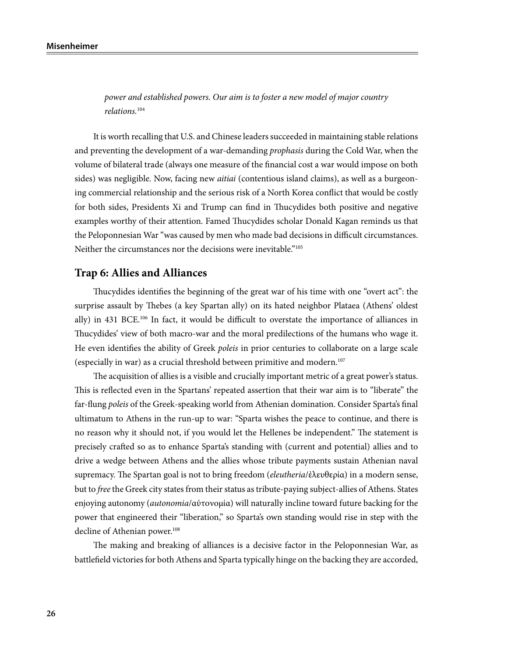*power and established powers. Our aim is to foster a new model of major country relations.*<sup>104</sup>

It is worth recalling that U.S. and Chinese leaders succeeded in maintaining stable relations and preventing the development of a war-demanding *prophasis* during the Cold War, when the volume of bilateral trade (always one measure of the financial cost a war would impose on both sides) was negligible. Now, facing new *aitiai* (contentious island claims), as well as a burgeoning commercial relationship and the serious risk of a North Korea conflict that would be costly for both sides, Presidents Xi and Trump can find in Thucydides both positive and negative examples worthy of their attention. Famed Thucydides scholar Donald Kagan reminds us that the Peloponnesian War "was caused by men who made bad decisions in difficult circumstances. Neither the circumstances nor the decisions were inevitable."<sup>105</sup>

# **Trap 6: Allies and Alliances**

Thucydides identifies the beginning of the great war of his time with one "overt act": the surprise assault by Thebes (a key Spartan ally) on its hated neighbor Plataea (Athens' oldest ally) in 431 BCE.106 In fact, it would be difficult to overstate the importance of alliances in Thucydides' view of both macro-war and the moral predilections of the humans who wage it. He even identifies the ability of Greek *poleis* in prior centuries to collaborate on a large scale (especially in war) as a crucial threshold between primitive and modern.107

The acquisition of allies is a visible and crucially important metric of a great power's status. This is reflected even in the Spartans' repeated assertion that their war aim is to "liberate" the far-flung *poleis* of the Greek-speaking world from Athenian domination. Consider Sparta's final ultimatum to Athens in the run-up to war: "Sparta wishes the peace to continue, and there is no reason why it should not, if you would let the Hellenes be independent." The statement is precisely crafted so as to enhance Sparta's standing with (current and potential) allies and to drive a wedge between Athens and the allies whose tribute payments sustain Athenian naval supremacy. The Spartan goal is not to bring freedom (*eleutheria*/ἐλευθερία) in a modern sense, but to *free* the Greek city states from their status as tribute-paying subject-allies of Athens. States enjoying autonomy (*autonomia*/αὐτονομία) will naturally incline toward future backing for the power that engineered their "liberation," so Sparta's own standing would rise in step with the decline of Athenian power.<sup>108</sup>

The making and breaking of alliances is a decisive factor in the Peloponnesian War, as battlefield victories for both Athens and Sparta typically hinge on the backing they are accorded,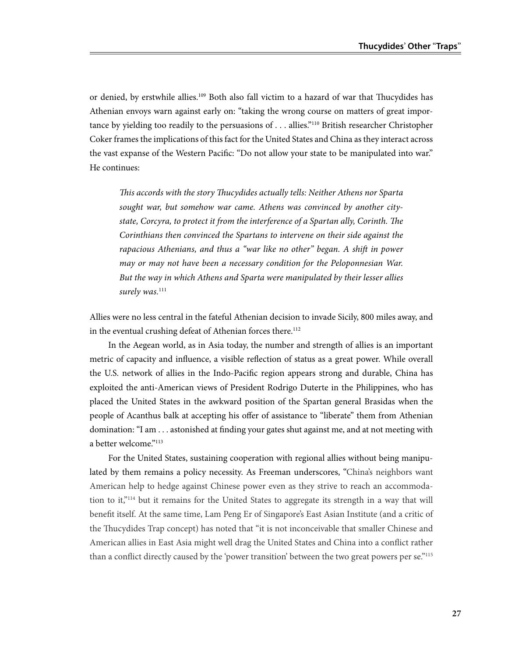or denied, by erstwhile allies.109 Both also fall victim to a hazard of war that Thucydides has Athenian envoys warn against early on: "taking the wrong course on matters of great importance by yielding too readily to the persuasions of . . . allies."110 British researcher Christopher Coker frames the implications of this fact for the United States and China as they interact across the vast expanse of the Western Pacific: "Do not allow your state to be manipulated into war." He continues:

*This accords with the story Thucydides actually tells: Neither Athens nor Sparta sought war, but somehow war came. Athens was convinced by another citystate, Corcyra, to protect it from the interference of a Spartan ally, Corinth. The Corinthians then convinced the Spartans to intervene on their side against the rapacious Athenians, and thus a "war like no other" began. A shift in power may or may not have been a necessary condition for the Peloponnesian War. But the way in which Athens and Sparta were manipulated by their lesser allies*  surely was.<sup>111</sup>

Allies were no less central in the fateful Athenian decision to invade Sicily, 800 miles away, and in the eventual crushing defeat of Athenian forces there.<sup>112</sup>

In the Aegean world, as in Asia today, the number and strength of allies is an important metric of capacity and influence, a visible reflection of status as a great power. While overall the U.S. network of allies in the Indo-Pacific region appears strong and durable, China has exploited the anti-American views of President Rodrigo Duterte in the Philippines, who has placed the United States in the awkward position of the Spartan general Brasidas when the people of Acanthus balk at accepting his offer of assistance to "liberate" them from Athenian domination: "I am . . . astonished at finding your gates shut against me, and at not meeting with a better welcome."<sup>113</sup>

For the United States, sustaining cooperation with regional allies without being manipulated by them remains a policy necessity. As Freeman underscores, "China's neighbors want American help to hedge against Chinese power even as they strive to reach an accommodation to it,"114 but it remains for the United States to aggregate its strength in a way that will benefit itself. At the same time, Lam Peng Er of Singapore's East Asian Institute (and a critic of the Thucydides Trap concept) has noted that "it is not inconceivable that smaller Chinese and American allies in East Asia might well drag the United States and China into a conflict rather than a conflict directly caused by the 'power transition' between the two great powers per se."<sup>115</sup>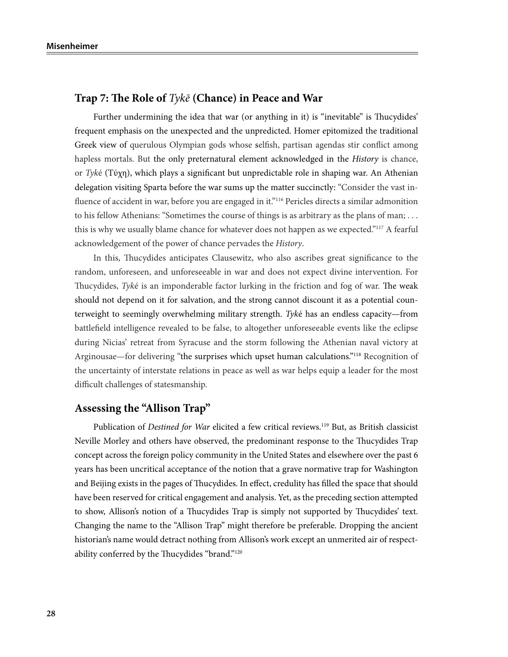# **Trap 7: The Role of** *Tykē* **(Chance) in Peace and War**

Further undermining the idea that war (or anything in it) is "inevitable" is Thucydides' frequent emphasis on the unexpected and the unpredicted. Homer epitomized the traditional Greek view of querulous Olympian gods whose selfish, partisan agendas stir conflict among hapless mortals. But the only preternatural element acknowledged in the *History* is chance, or *Tyk*é (Tύχη), which plays a significant but unpredictable role in shaping war. An Athenian delegation visiting Sparta before the war sums up the matter succinctly: "Consider the vast influence of accident in war, before you are engaged in it."<sup>116</sup> Pericles directs a similar admonition to his fellow Athenians: "Sometimes the course of things is as arbitrary as the plans of man; . . . this is why we usually blame chance for whatever does not happen as we expected."117 A fearful acknowledgement of the power of chance pervades the *History*.

In this, Thucydides anticipates Clausewitz, who also ascribes great significance to the random, unforeseen, and unforeseeable in war and does not expect divine intervention. For Thucydides, *Tyk*é is an imponderable factor lurking in the friction and fog of war. The weak should not depend on it for salvation, and the strong cannot discount it as a potential counterweight to seemingly overwhelming military strength. *Tyk*é has an endless capacity—from battlefield intelligence revealed to be false, to altogether unforeseeable events like the eclipse during Nicias' retreat from Syracuse and the storm following the Athenian naval victory at Arginousae—for delivering "the surprises which upset human calculations."118 Recognition of the uncertainty of interstate relations in peace as well as war helps equip a leader for the most difficult challenges of statesmanship.

### **Assessing the "Allison Trap"**

Publication of *Destined for War* elicited a few critical reviews.119 But, as British classicist Neville Morley and others have observed, the predominant response to the Thucydides Trap concept across the foreign policy community in the United States and elsewhere over the past 6 years has been uncritical acceptance of the notion that a grave normative trap for Washington and Beijing exists in the pages of Thucydides. In effect, credulity has filled the space that should have been reserved for critical engagement and analysis. Yet, as the preceding section attempted to show, Allison's notion of a Thucydides Trap is simply not supported by Thucydides' text. Changing the name to the "Allison Trap" might therefore be preferable. Dropping the ancient historian's name would detract nothing from Allison's work except an unmerited air of respectability conferred by the Thucydides "brand."120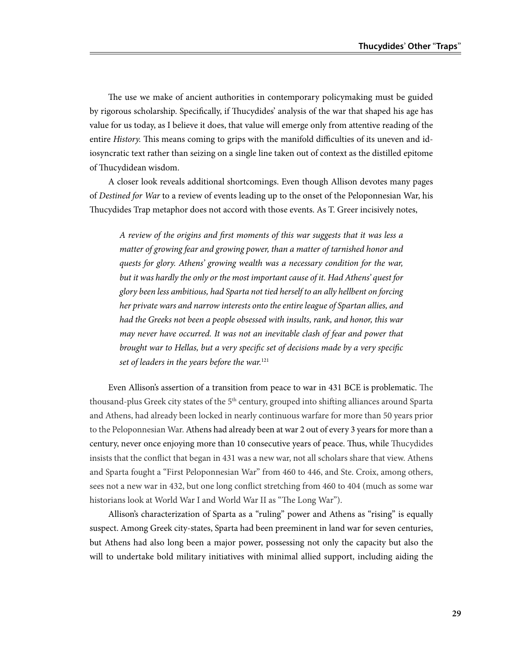The use we make of ancient authorities in contemporary policymaking must be guided by rigorous scholarship. Specifically, if Thucydides' analysis of the war that shaped his age has value for us today, as I believe it does, that value will emerge only from attentive reading of the entire *History.* This means coming to grips with the manifold difficulties of its uneven and idiosyncratic text rather than seizing on a single line taken out of context as the distilled epitome of Thucydidean wisdom.

A closer look reveals additional shortcomings. Even though Allison devotes many pages of *Destined for War* to a review of events leading up to the onset of the Peloponnesian War, his Thucydides Trap metaphor does not accord with those events. As T. Greer incisively notes,

*A review of the origins and first moments of this war suggests that it was less a matter of growing fear and growing power, than a matter of tarnished honor and quests for glory. Athens' growing wealth was a necessary condition for the war, but it was hardly the only or the most important cause of it. Had Athens' quest for glory been less ambitious, had Sparta not tied herself to an ally hellbent on forcing her private wars and narrow interests onto the entire league of Spartan allies, and had the Greeks not been a people obsessed with insults, rank, and honor, this war may never have occurred. It was not an inevitable clash of fear and power that brought war to Hellas, but a very specific set of decisions made by a very specific set of leaders in the years before the war.*<sup>121</sup>

Even Allison's assertion of a transition from peace to war in 431 BCE is problematic. The thousand-plus Greek city states of the 5<sup>th</sup> century, grouped into shifting alliances around Sparta and Athens, had already been locked in nearly continuous warfare for more than 50 years prior to the Peloponnesian War. Athens had already been at war 2 out of every 3 years for more than a century, never once enjoying more than 10 consecutive years of peace. Thus, while Thucydides insists that the conflict that began in 431 was a new war, not all scholars share that view. Athens and Sparta fought a "First Peloponnesian War" from 460 to 446, and Ste. Croix, among others, sees not a new war in 432, but one long conflict stretching from 460 to 404 (much as some war historians look at World War I and World War II as "The Long War").

Allison's characterization of Sparta as a "ruling" power and Athens as "rising" is equally suspect. Among Greek city-states, Sparta had been preeminent in land war for seven centuries, but Athens had also long been a major power, possessing not only the capacity but also the will to undertake bold military initiatives with minimal allied support, including aiding the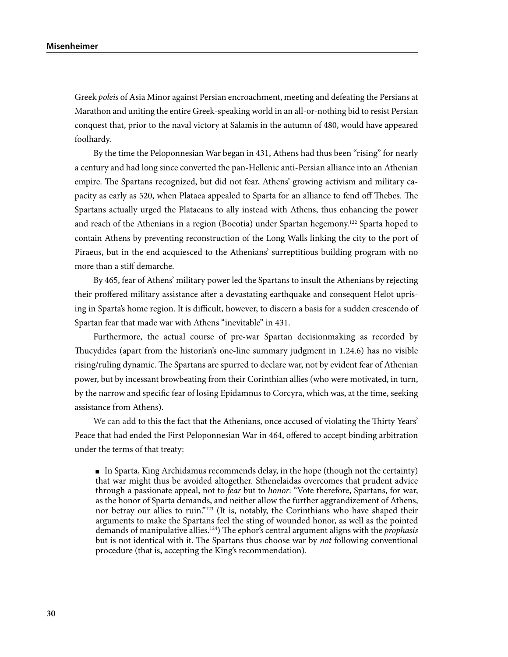Greek *poleis* of Asia Minor against Persian encroachment, meeting and defeating the Persians at Marathon and uniting the entire Greek-speaking world in an all-or-nothing bid to resist Persian conquest that, prior to the naval victory at Salamis in the autumn of 480, would have appeared foolhardy.

By the time the Peloponnesian War began in 431, Athens had thus been "rising" for nearly a century and had long since converted the pan-Hellenic anti-Persian alliance into an Athenian empire. The Spartans recognized, but did not fear, Athens' growing activism and military capacity as early as 520, when Plataea appealed to Sparta for an alliance to fend off Thebes. The Spartans actually urged the Plataeans to ally instead with Athens, thus enhancing the power and reach of the Athenians in a region (Boeotia) under Spartan hegemony.122 Sparta hoped to contain Athens by preventing reconstruction of the Long Walls linking the city to the port of Piraeus, but in the end acquiesced to the Athenians' surreptitious building program with no more than a stiff demarche.

By 465, fear of Athens' military power led the Spartans to insult the Athenians by rejecting their proffered military assistance after a devastating earthquake and consequent Helot uprising in Sparta's home region. It is difficult, however, to discern a basis for a sudden crescendo of Spartan fear that made war with Athens "inevitable" in 431.

Furthermore, the actual course of pre-war Spartan decisionmaking as recorded by Thucydides (apart from the historian's one-line summary judgment in 1.24.6) has no visible rising/ruling dynamic. The Spartans are spurred to declare war, not by evident fear of Athenian power, but by incessant browbeating from their Corinthian allies (who were motivated, in turn, by the narrow and specific fear of losing Epidamnus to Corcyra, which was, at the time, seeking assistance from Athens).

We can add to this the fact that the Athenians, once accused of violating the Thirty Years' Peace that had ended the First Peloponnesian War in 464, offered to accept binding arbitration under the terms of that treaty:

■ In Sparta, King Archidamus recommends delay, in the hope (though not the certainty) that war might thus be avoided altogether. Sthenelaidas overcomes that prudent advice through a passionate appeal, not to *fear* but to *honor*: "Vote therefore, Spartans, for war, as the honor of Sparta demands, and neither allow the further aggrandizement of Athens, nor betray our allies to ruin."123 (It is, notably, the Corinthians who have shaped their arguments to make the Spartans feel the sting of wounded honor, as well as the pointed demands of manipulative allies.124) The ephor's central argument aligns with the *prophasis* but is not identical with it. The Spartans thus choose war by *not* following conventional procedure (that is, accepting the King's recommendation).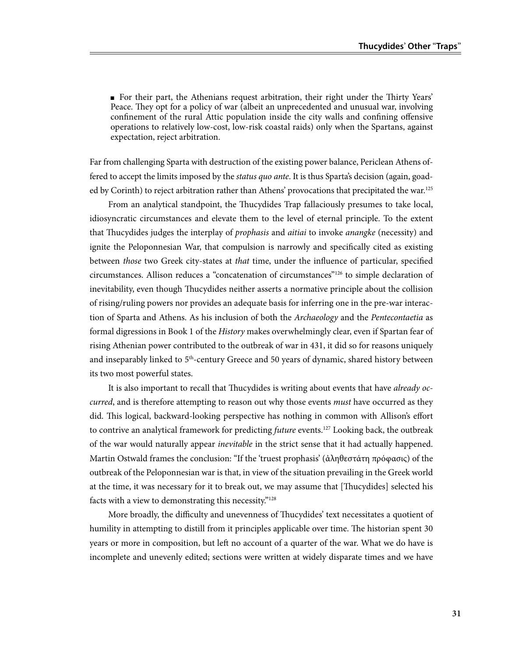■ For their part, the Athenians request arbitration, their right under the Thirty Years' Peace. They opt for a policy of war (albeit an unprecedented and unusual war, involving confinement of the rural Attic population inside the city walls and confining offensive operations to relatively low-cost, low-risk coastal raids) only when the Spartans, against expectation, reject arbitration.

Far from challenging Sparta with destruction of the existing power balance, Periclean Athens offered to accept the limits imposed by the *status quo ante*. It is thus Sparta's decision (again, goaded by Corinth) to reject arbitration rather than Athens' provocations that precipitated the war.<sup>125</sup>

From an analytical standpoint, the Thucydides Trap fallaciously presumes to take local, idiosyncratic circumstances and elevate them to the level of eternal principle. To the extent that Thucydides judges the interplay of *prophasis* and *aitiai* to invoke *anangke* (necessity) and ignite the Peloponnesian War, that compulsion is narrowly and specifically cited as existing between *those* two Greek city-states at *that* time, under the influence of particular, specified circumstances. Allison reduces a "concatenation of circumstances"126 to simple declaration of inevitability, even though Thucydides neither asserts a normative principle about the collision of rising/ruling powers nor provides an adequate basis for inferring one in the pre-war interaction of Sparta and Athens. As his inclusion of both the *Archaeology* and the *Pentecontaetia* as formal digressions in Book 1 of the *History* makes overwhelmingly clear, even if Spartan fear of rising Athenian power contributed to the outbreak of war in 431, it did so for reasons uniquely and inseparably linked to  $5<sup>th</sup>$ -century Greece and 50 years of dynamic, shared history between its two most powerful states.

It is also important to recall that Thucydides is writing about events that have *already occurred*, and is therefore attempting to reason out why those events *must* have occurred as they did. This logical, backward-looking perspective has nothing in common with Allison's effort to contrive an analytical framework for predicting *future* events.<sup>127</sup> Looking back, the outbreak of the war would naturally appear *inevitable* in the strict sense that it had actually happened. Martin Ostwald frames the conclusion: "If the 'truest prophasis' (ἀληθεστάτη πρόφασις) of the outbreak of the Peloponnesian war is that, in view of the situation prevailing in the Greek world at the time, it was necessary for it to break out, we may assume that [Thucydides] selected his facts with a view to demonstrating this necessity."128

More broadly, the difficulty and unevenness of Thucydides' text necessitates a quotient of humility in attempting to distill from it principles applicable over time. The historian spent 30 years or more in composition, but left no account of a quarter of the war. What we do have is incomplete and unevenly edited; sections were written at widely disparate times and we have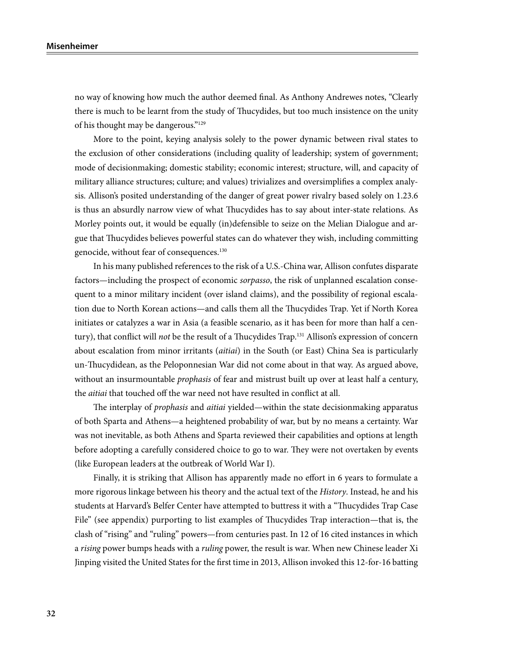no way of knowing how much the author deemed final. As Anthony Andrewes notes, "Clearly there is much to be learnt from the study of Thucydides, but too much insistence on the unity of his thought may be dangerous."129

More to the point, keying analysis solely to the power dynamic between rival states to the exclusion of other considerations (including quality of leadership; system of government; mode of decisionmaking; domestic stability; economic interest; structure, will, and capacity of military alliance structures; culture; and values) trivializes and oversimplifies a complex analysis. Allison's posited understanding of the danger of great power rivalry based solely on 1.23.6 is thus an absurdly narrow view of what Thucydides has to say about inter-state relations. As Morley points out, it would be equally (in)defensible to seize on the Melian Dialogue and argue that Thucydides believes powerful states can do whatever they wish, including committing genocide, without fear of consequences.130

In his many published references to the risk of a U.S.-China war, Allison confutes disparate factors—including the prospect of economic *sorpasso*, the risk of unplanned escalation consequent to a minor military incident (over island claims), and the possibility of regional escalation due to North Korean actions—and calls them all the Thucydides Trap. Yet if North Korea initiates or catalyzes a war in Asia (a feasible scenario, as it has been for more than half a century), that conflict will *not* be the result of a Thucydides Trap.131 Allison's expression of concern about escalation from minor irritants (*aitiai*) in the South (or East) China Sea is particularly un-Thucydidean, as the Peloponnesian War did not come about in that way. As argued above, without an insurmountable *prophasis* of fear and mistrust built up over at least half a century, the *aitiai* that touched off the war need not have resulted in conflict at all.

The interplay of *prophasis* and *aitiai* yielded—within the state decisionmaking apparatus of both Sparta and Athens—a heightened probability of war, but by no means a certainty. War was not inevitable, as both Athens and Sparta reviewed their capabilities and options at length before adopting a carefully considered choice to go to war. They were not overtaken by events (like European leaders at the outbreak of World War I).

Finally, it is striking that Allison has apparently made no effort in 6 years to formulate a more rigorous linkage between his theory and the actual text of the *History*. Instead, he and his students at Harvard's Belfer Center have attempted to buttress it with a "Thucydides Trap Case File" (see appendix) purporting to list examples of Thucydides Trap interaction—that is, the clash of "rising" and "ruling" powers—from centuries past. In 12 of 16 cited instances in which a *rising* power bumps heads with a *ruling* power, the result is war. When new Chinese leader Xi Jinping visited the United States for the first time in 2013, Allison invoked this 12-for-16 batting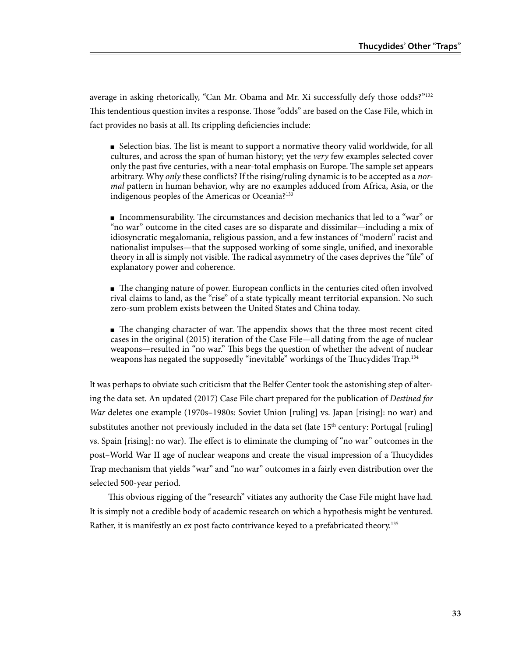average in asking rhetorically, "Can Mr. Obama and Mr. Xi successfully defy those odds?"132 This tendentious question invites a response. Those "odds" are based on the Case File, which in fact provides no basis at all. Its crippling deficiencies include:

■ Selection bias. The list is meant to support a normative theory valid worldwide, for all cultures, and across the span of human history; yet the *very* few examples selected cover only the past five centuries, with a near-total emphasis on Europe. The sample set appears arbitrary. Why *only* these conflicts? If the rising/ruling dynamic is to be accepted as a *normal* pattern in human behavior, why are no examples adduced from Africa, Asia, or the indigenous peoples of the Americas or Oceania?<sup>133</sup>

■ Incommensurability. The circumstances and decision mechanics that led to a "war" or "no war" outcome in the cited cases are so disparate and dissimilar—including a mix of idiosyncratic megalomania, religious passion, and a few instances of "modern" racist and nationalist impulses—that the supposed working of some single, unified, and inexorable theory in all is simply not visible. The radical asymmetry of the cases deprives the "file" of explanatory power and coherence.

■ The changing nature of power. European conflicts in the centuries cited often involved rival claims to land, as the "rise" of a state typically meant territorial expansion. No such zero-sum problem exists between the United States and China today.

■ The changing character of war. The appendix shows that the three most recent cited cases in the original (2015) iteration of the Case File—all dating from the age of nuclear weapons—resulted in "no war." This begs the question of whether the advent of nuclear weapons has negated the supposedly "inevitable" workings of the Thucydides Trap.<sup>134</sup>

It was perhaps to obviate such criticism that the Belfer Center took the astonishing step of altering the data set. An updated (2017) Case File chart prepared for the publication of *Destined for War* deletes one example (1970s–1980s: Soviet Union [ruling] vs. Japan [rising]: no war) and substitutes another not previously included in the data set (late  $15<sup>th</sup>$  century: Portugal [ruling] vs. Spain [rising]: no war). The effect is to eliminate the clumping of "no war" outcomes in the post–World War II age of nuclear weapons and create the visual impression of a Thucydides Trap mechanism that yields "war" and "no war" outcomes in a fairly even distribution over the selected 500-year period.

This obvious rigging of the "research" vitiates any authority the Case File might have had. It is simply not a credible body of academic research on which a hypothesis might be ventured. Rather, it is manifestly an ex post facto contrivance keyed to a prefabricated theory.135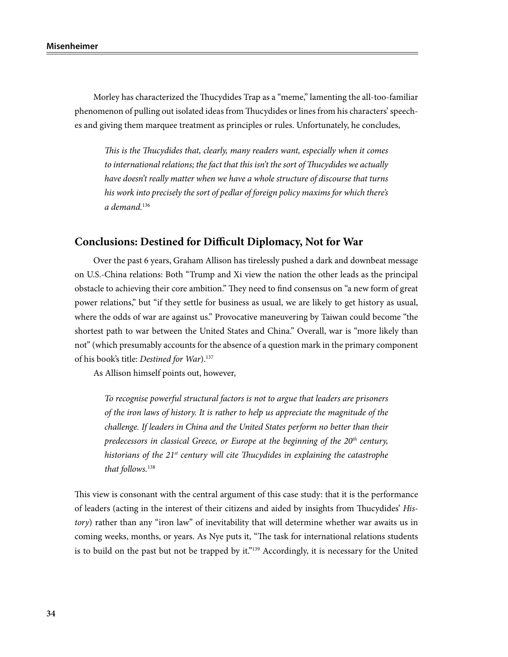Morley has characterized the Thucydides Trap as a "meme," lamenting the all-too-familiar phenomenon of pulling out isolated ideas from Thucydides or lines from his characters' speeches and giving them marquee treatment as principles or rules. Unfortunately, he concludes,

*This is the Thucydides that, clearly, many readers want, especially when it comes to international relations; the fact that this isn't the sort of Thucydides we actually have doesn't really matter when we have a whole structure of discourse that turns his work into precisely the sort of pedlar of foreign policy maxims for which there's a demand.*<sup>136</sup>

### **Conclusions: Destined for Difficult Diplomacy, Not for War**

Over the past 6 years, Graham Allison has tirelessly pushed a dark and downbeat message on U.S.-China relations: Both "Trump and Xi view the nation the other leads as the principal obstacle to achieving their core ambition." They need to find consensus on "a new form of great power relations," but "if they settle for business as usual, we are likely to get history as usual, where the odds of war are against us." Provocative maneuvering by Taiwan could become "the shortest path to war between the United States and China." Overall, war is "more likely than not" (which presumably accounts for the absence of a question mark in the primary component of his book's title: *Destined for War*).137

As Allison himself points out, however,

*To recognise powerful structural factors is not to argue that leaders are prisoners of the iron laws of history. It is rather to help us appreciate the magnitude of the challenge. If leaders in China and the United States perform no better than their predecessors in classical Greece, or Europe at the beginning of the 20th century, historians of the 21st century will cite Thucydides in explaining the catastrophe that follows.*<sup>138</sup>

This view is consonant with the central argument of this case study: that it is the performance of leaders (acting in the interest of their citizens and aided by insights from Thucydides' *History*) rather than any "iron law" of inevitability that will determine whether war awaits us in coming weeks, months, or years. As Nye puts it, "The task for international relations students is to build on the past but not be trapped by it."<sup>139</sup> Accordingly, it is necessary for the United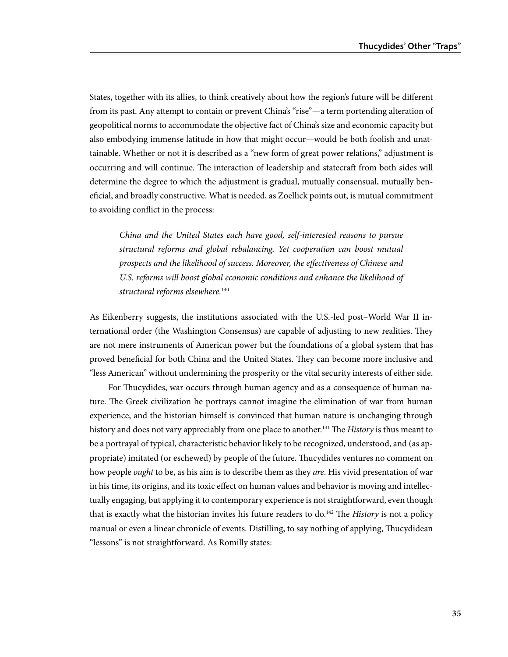States, together with its allies, to think creatively about how the region's future will be different from its past. Any attempt to contain or prevent China's "rise"—a term portending alteration of geopolitical norms to accommodate the objective fact of China's size and economic capacity but also embodying immense latitude in how that might occur—would be both foolish and unattainable. Whether or not it is described as a "new form of great power relations," adjustment is occurring and will continue. The interaction of leadership and statecraft from both sides will determine the degree to which the adjustment is gradual, mutually consensual, mutually beneficial, and broadly constructive. What is needed, as Zoellick points out, is mutual commitment to avoiding conflict in the process:

*China and the United States each have good, self-interested reasons to pursue structural reforms and global rebalancing. Yet cooperation can boost mutual prospects and the likelihood of success. Moreover, the effectiveness of Chinese and*  U.S. reforms will boost global economic conditions and enhance the likelihood of *structural reforms elsewhere.*<sup>140</sup>

As Eikenberry suggests, the institutions associated with the U.S.-led post–World War II international order (the Washington Consensus) are capable of adjusting to new realities. They are not mere instruments of American power but the foundations of a global system that has proved beneficial for both China and the United States. They can become more inclusive and "less American" without undermining the prosperity or the vital security interests of either side.

For Thucydides, war occurs through human agency and as a consequence of human nature. The Greek civilization he portrays cannot imagine the elimination of war from human experience, and the historian himself is convinced that human nature is unchanging through history and does not vary appreciably from one place to another.<sup>141</sup> The *History* is thus meant to be a portrayal of typical, characteristic behavior likely to be recognized, understood, and (as appropriate) imitated (or eschewed) by people of the future. Thucydides ventures no comment on how people *ought* to be, as his aim is to describe them as they *are*. His vivid presentation of war in his time, its origins, and its toxic effect on human values and behavior is moving and intellectually engaging, but applying it to contemporary experience is not straightforward, even though that is exactly what the historian invites his future readers to do.142 The *History* is not a policy manual or even a linear chronicle of events. Distilling, to say nothing of applying, Thucydidean "lessons" is not straightforward. As Romilly states: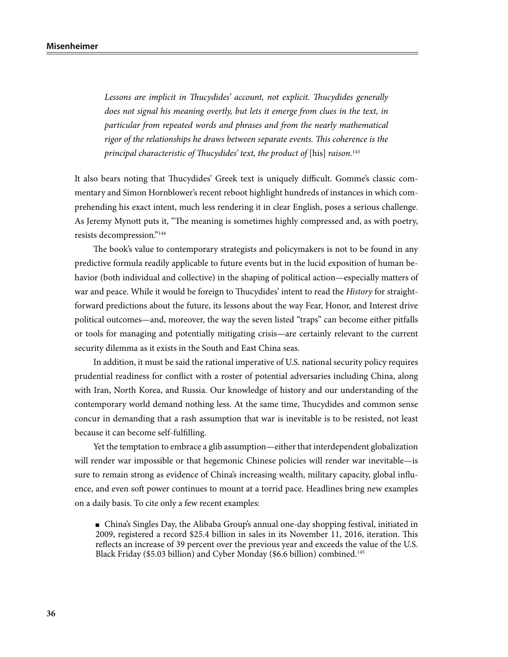Lessons are *implicit in Thucydides' account, not explicit*. Thucydides generally *does not signal his meaning overtly, but lets it emerge from clues in the text, in particular from repeated words and phrases and from the nearly mathematical rigor of the relationships he draws between separate events. This coherence is the principal characteristic of Thucydides' text, the product of [his] raison.*<sup>143</sup>

It also bears noting that Thucydides' Greek text is uniquely difficult. Gomme's classic commentary and Simon Hornblower's recent reboot highlight hundreds of instances in which comprehending his exact intent, much less rendering it in clear English, poses a serious challenge. As Jeremy Mynott puts it, "The meaning is sometimes highly compressed and, as with poetry, resists decompression."144

The book's value to contemporary strategists and policymakers is not to be found in any predictive formula readily applicable to future events but in the lucid exposition of human behavior (both individual and collective) in the shaping of political action—especially matters of war and peace. While it would be foreign to Thucydides' intent to read the *History* for straightforward predictions about the future, its lessons about the way Fear, Honor, and Interest drive political outcomes—and, moreover, the way the seven listed "traps" can become either pitfalls or tools for managing and potentially mitigating crisis—are certainly relevant to the current security dilemma as it exists in the South and East China seas.

In addition, it must be said the rational imperative of U.S. national security policy requires prudential readiness for conflict with a roster of potential adversaries including China, along with Iran, North Korea, and Russia. Our knowledge of history and our understanding of the contemporary world demand nothing less. At the same time, Thucydides and common sense concur in demanding that a rash assumption that war is inevitable is to be resisted, not least because it can become self-fulfilling.

Yet the temptation to embrace a glib assumption—either that interdependent globalization will render war impossible or that hegemonic Chinese policies will render war inevitable—is sure to remain strong as evidence of China's increasing wealth, military capacity, global influence, and even soft power continues to mount at a torrid pace. Headlines bring new examples on a daily basis. To cite only a few recent examples:

■ China's Singles Day, the Alibaba Group's annual one-day shopping festival, initiated in 2009, registered a record \$25.4 billion in sales in its November 11, 2016, iteration. This reflects an increase of 39 percent over the previous year and exceeds the value of the U.S. Black Friday (\$5.03 billion) and Cyber Monday (\$6.6 billion) combined.145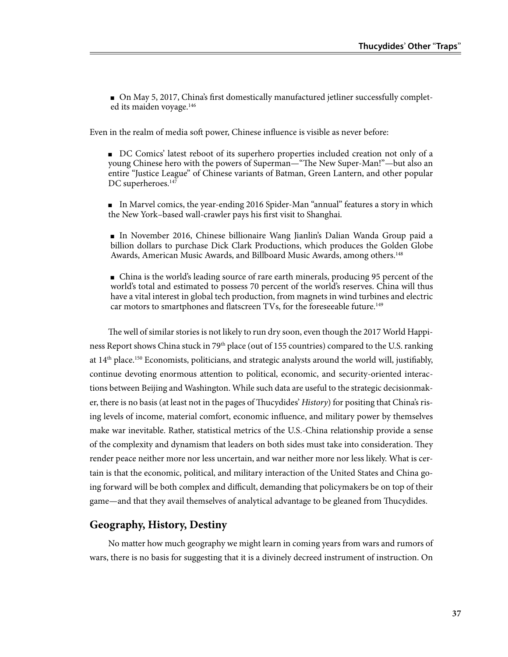■ On May 5, 2017, China's first domestically manufactured jetliner successfully completed its maiden voyage.<sup>146</sup>

Even in the realm of media soft power, Chinese influence is visible as never before:

■ DC Comics' latest reboot of its superhero properties included creation not only of a young Chinese hero with the powers of Superman—"The New Super-Man!"—but also an entire "Justice League" of Chinese variants of Batman, Green Lantern, and other popular DC superheroes.<sup>147</sup>

■ In Marvel comics, the year-ending 2016 Spider-Man "annual" features a story in which the New York–based wall-crawler pays his first visit to Shanghai.

■ In November 2016, Chinese billionaire Wang Jianlin's Dalian Wanda Group paid a billion dollars to purchase Dick Clark Productions, which produces the Golden Globe Awards, American Music Awards, and Billboard Music Awards, among others.<sup>148</sup>

■ China is the world's leading source of rare earth minerals, producing 95 percent of the world's total and estimated to possess 70 percent of the world's reserves. China will thus have a vital interest in global tech production, from magnets in wind turbines and electric car motors to smartphones and flatscreen TVs, for the foreseeable future.<sup>149</sup>

The well of similar stories is not likely to run dry soon, even though the 2017 World Happiness Report shows China stuck in 79<sup>th</sup> place (out of 155 countries) compared to the U.S. ranking at  $14<sup>th</sup>$  place.<sup>150</sup> Economists, politicians, and strategic analysts around the world will, justifiably, continue devoting enormous attention to political, economic, and security-oriented interactions between Beijing and Washington. While such data are useful to the strategic decisionmaker, there is no basis (at least not in the pages of Thucydides' *History*) for positing that China's rising levels of income, material comfort, economic influence, and military power by themselves make war inevitable. Rather, statistical metrics of the U.S.-China relationship provide a sense of the complexity and dynamism that leaders on both sides must take into consideration. They render peace neither more nor less uncertain, and war neither more nor less likely. What is certain is that the economic, political, and military interaction of the United States and China going forward will be both complex and difficult, demanding that policymakers be on top of their game—and that they avail themselves of analytical advantage to be gleaned from Thucydides.

### **Geography, History, Destiny**

No matter how much geography we might learn in coming years from wars and rumors of wars, there is no basis for suggesting that it is a divinely decreed instrument of instruction. On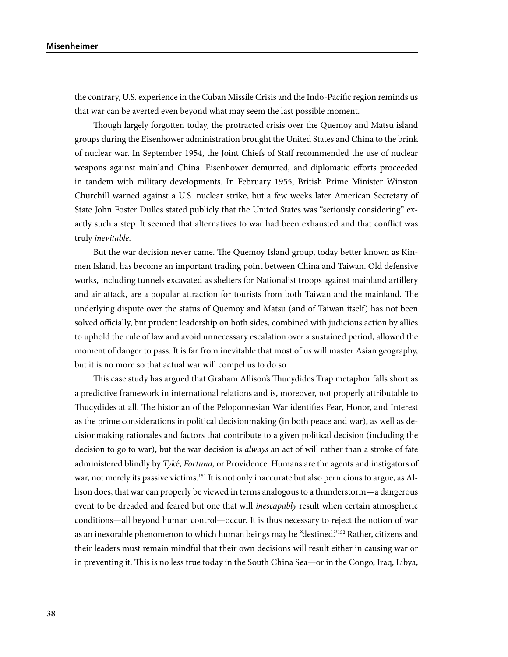the contrary, U.S. experience in the Cuban Missile Crisis and the Indo-Pacific region reminds us that war can be averted even beyond what may seem the last possible moment.

Though largely forgotten today, the protracted crisis over the Quemoy and Matsu island groups during the Eisenhower administration brought the United States and China to the brink of nuclear war. In September 1954, the Joint Chiefs of Staff recommended the use of nuclear weapons against mainland China. Eisenhower demurred, and diplomatic efforts proceeded in tandem with military developments. In February 1955, British Prime Minister Winston Churchill warned against a U.S. nuclear strike, but a few weeks later American Secretary of State John Foster Dulles stated publicly that the United States was "seriously considering" exactly such a step. It seemed that alternatives to war had been exhausted and that conflict was truly *inevitable*.

But the war decision never came. The Quemoy Island group, today better known as Kinmen Island, has become an important trading point between China and Taiwan. Old defensive works, including tunnels excavated as shelters for Nationalist troops against mainland artillery and air attack, are a popular attraction for tourists from both Taiwan and the mainland. The underlying dispute over the status of Quemoy and Matsu (and of Taiwan itself) has not been solved officially, but prudent leadership on both sides, combined with judicious action by allies to uphold the rule of law and avoid unnecessary escalation over a sustained period, allowed the moment of danger to pass. It is far from inevitable that most of us will master Asian geography, but it is no more so that actual war will compel us to do so.

This case study has argued that Graham Allison's Thucydides Trap metaphor falls short as a predictive framework in international relations and is, moreover, not properly attributable to Thucydides at all. The historian of the Peloponnesian War identifies Fear, Honor, and Interest as the prime considerations in political decisionmaking (in both peace and war), as well as decisionmaking rationales and factors that contribute to a given political decision (including the decision to go to war), but the war decision is *always* an act of will rather than a stroke of fate administered blindly by *Tyk*é, *Fortuna,* or Providence. Humans are the agents and instigators of war, not merely its passive victims.<sup>151</sup> It is not only inaccurate but also pernicious to argue, as Allison does, that war can properly be viewed in terms analogous to a thunderstorm—a dangerous event to be dreaded and feared but one that will *inescapably* result when certain atmospheric conditions—all beyond human control—occur. It is thus necessary to reject the notion of war as an inexorable phenomenon to which human beings may be "destined."152 Rather, citizens and their leaders must remain mindful that their own decisions will result either in causing war or in preventing it. This is no less true today in the South China Sea—or in the Congo, Iraq, Libya,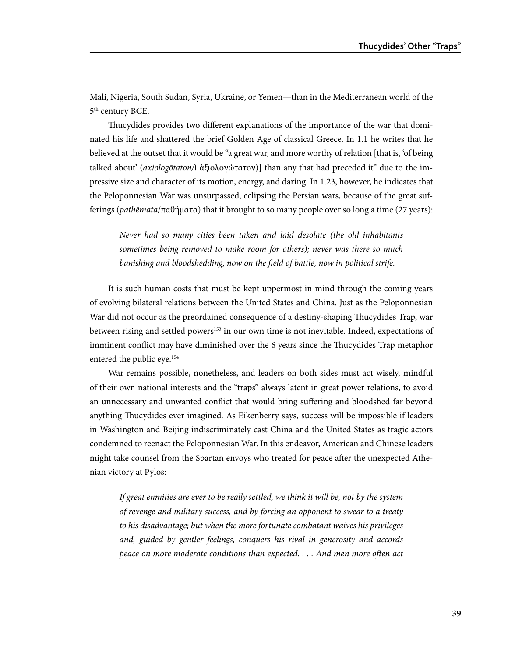Mali, Nigeria, South Sudan, Syria, Ukraine, or Yemen—than in the Mediterranean world of the 5<sup>th</sup> century BCE.

Thucydides provides two different explanations of the importance of the war that dominated his life and shattered the brief Golden Age of classical Greece. In 1.1 he writes that he believed at the outset that it would be "a great war, and more worthy of relation [that is, 'of being talked about' (*axiologōtaton/*ὶ ἀξιολογώτατον)] than any that had preceded it" due to the impressive size and character of its motion, energy, and daring. In 1.23, however, he indicates that the Peloponnesian War was unsurpassed, eclipsing the Persian wars, because of the great sufferings (*pathēmata*/παθήματα) that it brought to so many people over so long a time (27 years):

*Never had so many cities been taken and laid desolate (the old inhabitants sometimes being removed to make room for others); never was there so much banishing and bloodshedding, now on the field of battle, now in political strife.* 

It is such human costs that must be kept uppermost in mind through the coming years of evolving bilateral relations between the United States and China. Just as the Peloponnesian War did not occur as the preordained consequence of a destiny-shaping Thucydides Trap, war between rising and settled powers<sup>153</sup> in our own time is not inevitable. Indeed, expectations of imminent conflict may have diminished over the 6 years since the Thucydides Trap metaphor entered the public eye.154

War remains possible, nonetheless, and leaders on both sides must act wisely, mindful of their own national interests and the "traps" always latent in great power relations, to avoid an unnecessary and unwanted conflict that would bring suffering and bloodshed far beyond anything Thucydides ever imagined. As Eikenberry says, success will be impossible if leaders in Washington and Beijing indiscriminately cast China and the United States as tragic actors condemned to reenact the Peloponnesian War. In this endeavor, American and Chinese leaders might take counsel from the Spartan envoys who treated for peace after the unexpected Athenian victory at Pylos:

*If great enmities are ever to be really settled, we think it will be, not by the system of revenge and military success, and by forcing an opponent to swear to a treaty to his disadvantage; but when the more fortunate combatant waives his privileges and, guided by gentler feelings, conquers his rival in generosity and accords peace on more moderate conditions than expected. . . . And men more often act*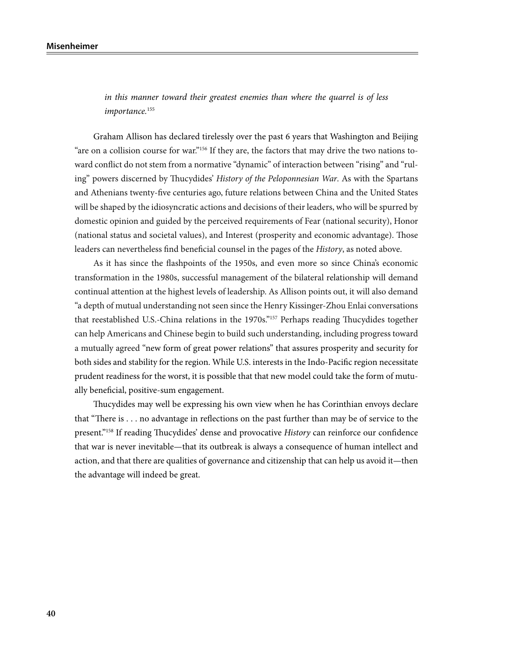*in this manner toward their greatest enemies than where the quarrel is of less importance.*<sup>155</sup>

Graham Allison has declared tirelessly over the past 6 years that Washington and Beijing "are on a collision course for war."<sup>156</sup> If they are, the factors that may drive the two nations toward conflict do not stem from a normative "dynamic" of interaction between "rising" and "ruling" powers discerned by Thucydides' *History of the Peloponnesian War*. As with the Spartans and Athenians twenty-five centuries ago, future relations between China and the United States will be shaped by the idiosyncratic actions and decisions of their leaders, who will be spurred by domestic opinion and guided by the perceived requirements of Fear (national security), Honor (national status and societal values), and Interest (prosperity and economic advantage). Those leaders can nevertheless find beneficial counsel in the pages of the *History*, as noted above.

As it has since the flashpoints of the 1950s, and even more so since China's economic transformation in the 1980s, successful management of the bilateral relationship will demand continual attention at the highest levels of leadership. As Allison points out, it will also demand "a depth of mutual understanding not seen since the Henry Kissinger-Zhou Enlai conversations that reestablished U.S.-China relations in the 1970s."157 Perhaps reading Thucydides together can help Americans and Chinese begin to build such understanding, including progress toward a mutually agreed "new form of great power relations" that assures prosperity and security for both sides and stability for the region. While U.S. interests in the Indo-Pacific region necessitate prudent readiness for the worst, it is possible that that new model could take the form of mutually beneficial, positive-sum engagement.

Thucydides may well be expressing his own view when he has Corinthian envoys declare that "There is . . . no advantage in reflections on the past further than may be of service to the present."158 If reading Thucydides' dense and provocative *History* can reinforce our confidence that war is never inevitable—that its outbreak is always a consequence of human intellect and action, and that there are qualities of governance and citizenship that can help us avoid it—then the advantage will indeed be great.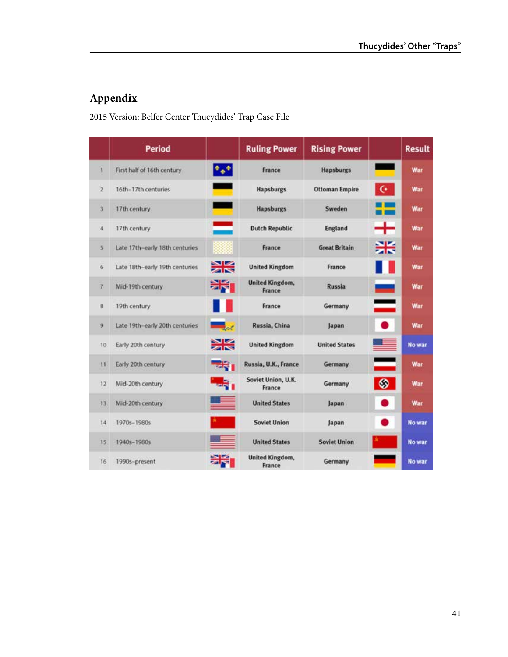# **Appendix**

2015 Version: Belfer Center Thucydides' Trap Case File

|                | <b>Period</b>                  |                    | <b>Ruling Power</b>              | <b>Rising Power</b>   |               | <b>Result</b> |
|----------------|--------------------------------|--------------------|----------------------------------|-----------------------|---------------|---------------|
|                | First half of 16th century     | $\Phi_{\Phi} \Phi$ | France                           | <b>Hapsburgs</b>      |               | War           |
| $\overline{2}$ | 16th-17th centuries            |                    | <b>Hapsburgs</b>                 | <b>Ottoman Empire</b> | $\mathbf{G}$  | War           |
| з              | 17th century                   |                    | <b>Hapsburgs</b>                 | Sweden                |               | War           |
| $\overline{4}$ | 17th century                   |                    | <b>Dutch Republic</b>            | England               | ┿             | War           |
| s              | Late 17th-early 18th centuries |                    | France                           | <b>Great Britain</b>  | 米             | War           |
| 6              | Late 18th-early 19th centuries | 米                  | <b>United Kingdom</b>            | France                |               | War           |
| 7.             | Mid-19th century               | 米」                 | <b>United Kingdom,</b><br>France | Russia                | $\Rightarrow$ | War           |
| $\overline{8}$ | 19th century                   |                    | France                           | Germany               | $\equiv$      | War           |
| 9              | Late 19th-early 20th centuries |                    | Russia, China                    | Japan                 | $\bullet$     | War           |
| 10             | Early 20th century             | ≽k                 | <b>United Kingdom</b>            | <b>United States</b>  |               | No war        |
| 11             | Early 20th century             | <b>FRING</b>       | Russia, U.K., France             | Germany               | ═             | War           |
| 12             | Mid-20th century               |                    | Soviet Union, U.K.<br>France     | Germany               | ◎             | War           |
| 13             | Mid-20th century               |                    | <b>United States</b>             | Japan                 |               | War           |
| 14             | 1970s-1980s                    |                    | <b>Soviet Union</b>              | Japan                 |               | No war        |
| 15             | 1940s-1980s                    |                    | <b>United States</b>             | <b>Soviet Union</b>   |               | <b>No war</b> |
| 16             | 1990s-present                  |                    | United Kingdom,<br>France        | Germany               |               | No war        |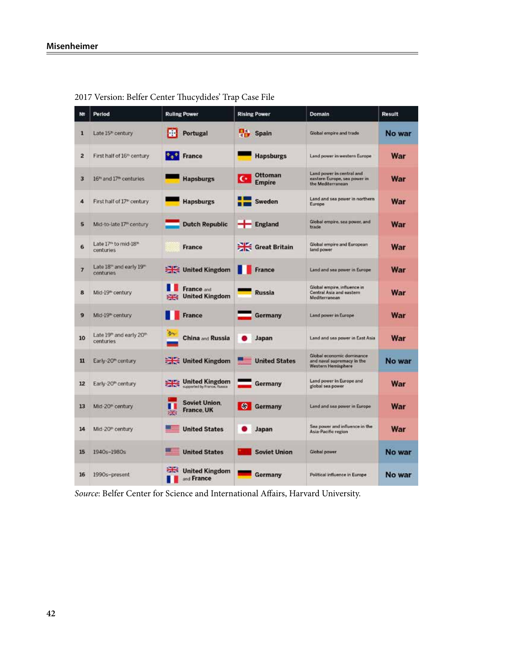|                | Period                                                        | <b>Ruling Power</b>                                | <b>Rising Power</b>                      | Domain                                                                         | Result     |
|----------------|---------------------------------------------------------------|----------------------------------------------------|------------------------------------------|--------------------------------------------------------------------------------|------------|
| 1              | Late 15 <sup>*</sup> century                                  | ш<br>Portugal                                      | п,<br><b>Spain</b>                       | Global empire and trade                                                        | No war     |
| $\overline{z}$ | First half of 16 <sup>th</sup> century.                       | <b>Deal</b> France                                 | <b>Hapsburgs</b>                         | Land power in western Europe                                                   | War        |
| 3              | 16 <sup>th</sup> and 17 <sup>th</sup> centuries               | <b>Hapsburgs</b>                                   | Ottoman<br>$\mathbf{C}$<br><b>Empire</b> | Land power in central and<br>eastern Europe, sea power in<br>the Mediterranean | <b>War</b> |
| 4              | First half of 17 <sup>th</sup> century                        | <b>Hapsburgs</b>                                   | Sweden<br>- -                            | Land and sea power in northern<br>Europe                                       | War        |
| 5              | Mid-to-late 17" century                                       | <b>Dutch Republic</b>                              | $F$ England                              | Global empire, sea power, and<br>trade                                         | War        |
| 6              | Late 17 <sup>th</sup> to mid-18 <sup>th</sup><br>centuries    | <b>France</b>                                      | Great Britain                            | Global empire and European<br>land power                                       | War        |
| $\overline{7}$ | Late 18 <sup>th</sup> and early 19 <sup>th</sup><br>centuries | United Kingdom                                     | <b>France</b>                            | Land and sea power in Europe                                                   | <b>War</b> |
| 8              | Mid-19 <sup>th</sup> century                                  | France and<br><b>United Kingdom</b>                | <b>Russia</b>                            | Global empire, influence in<br>Central Asia and eastern<br>Mediterranean       | War        |
| 9              | Mid-19 <sup>m</sup> century                                   | <b>France</b>                                      | Germany                                  | Land power in Europe                                                           | War        |
| 10             | Late 19th and early 20th<br>centuries                         | <b>China and Russia</b>                            | Japan                                    | Land and sea power in East Asia                                                | War        |
| 11             | Early-20 <sup>m</sup> century                                 | United Kingdom                                     | <b>United States</b>                     | Global economic dominance<br>and naval supremacy in the<br>Western Hemisphere  | No war     |
| 12             | Early-20 <sup>th</sup> century                                | <b>United Kingdom</b><br>先<br>supported by France. | Germany                                  | Land power in Europe and<br>global sea power                                   | War        |
| 13             | Mid-20 <sup>®</sup> century                                   | <b>Soviet Union.</b><br><b>France, UK</b><br>原     | S Germany                                | Land and sea power in Europe                                                   | War        |
| 14             | Mid-20 <sup>®</sup> century                                   | <b>United States</b>                               | Japan                                    | Sea power and influence in the<br>Asia-Pacific region                          | War        |
| 15             | 1940s-1980s                                                   | <b>United States</b>                               | <b>Soviet Union</b>                      | <b>Global power</b>                                                            | No war     |
| 16             | 1990s-present                                                 | <b>United Kingdom</b><br>and France                | Germany                                  | Political influence in Europe                                                  | No war     |

2017 Version: Belfer Center Thucydides' Trap Case File

*Source*: Belfer Center for Science and International Affairs, Harvard University.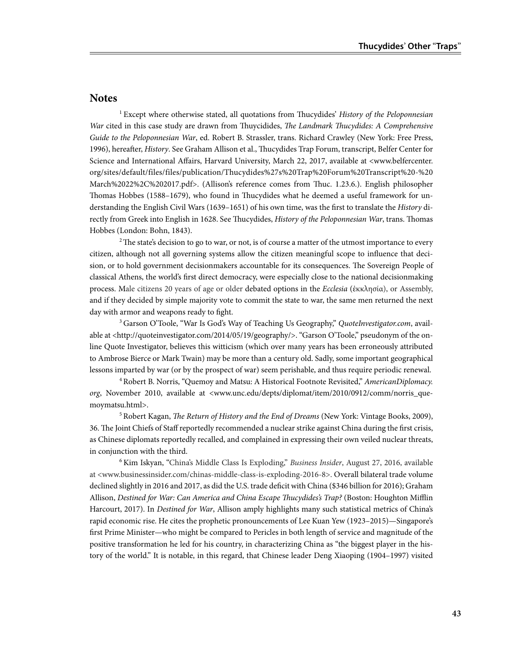#### **Notes**

1 Except where otherwise stated, all quotations from Thucydides' *History of the Peloponnesian War* cited in this case study are drawn from Thuycidides, *The Landmark Thucydides: A Comprehensive Guide to the Peloponnesian War*, ed. Robert B. Strassler, trans. Richard Crawley (New York: Free Press, 1996), hereafter, *History*. See Graham Allison et al., Thucydides Trap Forum, transcript, Belfer Center for Science and International Affairs, Harvard University, March 22, 2017, available at <www.belfercenter. org/sites/default/files/files/publication/Thucydides%27s%20Trap%20Forum%20Transcript%20-%20 March%2022%2C%202017.pdf>. (Allison's reference comes from Thuc. 1.23.6.). English philosopher Thomas Hobbes (1588–1679), who found in Thucydides what he deemed a useful framework for understanding the English Civil Wars (1639–1651) of his own time, was the first to translate the *History* directly from Greek into English in 1628. See Thucydides, *History of the Peloponnesian War*, trans. Thomas Hobbes (London: Bohn, 1843).

<sup>2</sup> The state's decision to go to war, or not, is of course a matter of the utmost importance to every citizen, although not all governing systems allow the citizen meaningful scope to influence that decision, or to hold government decisionmakers accountable for its consequences. The Sovereign People of classical Athens, the world's first direct democracy, were especially close to the national decisionmaking process. Male citizens 20 years of age or older debated options in the *Ecclesia* (ἐκκλησία), or Assembly, and if they decided by simple majority vote to commit the state to war, the same men returned the next day with armor and weapons ready to fight.

3 Garson O'Toole, "War Is God's Way of Teaching Us Geography," *QuoteInvestigator.com*, available at <http://quoteinvestigator.com/2014/05/19/geography/>. "Garson O'Toole," pseudonym of the online Quote Investigator, believes this witticism (which over many years has been erroneously attributed to Ambrose Bierce or Mark Twain) may be more than a century old. Sadly, some important geographical lessons imparted by war (or by the prospect of war) seem perishable, and thus require periodic renewal.

4 Robert B. Norris, "Quemoy and Matsu: A Historical Footnote Revisited," *AmericanDiplomacy. org*, November 2010, available at <www.unc.edu/depts/diplomat/item/2010/0912/comm/norris\_quemoymatsu.html>.

5 Robert Kagan, *The Return of History and the End of Dreams* (New York: Vintage Books, 2009), 36. The Joint Chiefs of Staff reportedly recommended a nuclear strike against China during the first crisis, as Chinese diplomats reportedly recalled, and complained in expressing their own veiled nuclear threats, in conjunction with the third.

6 Kim Iskyan, "China's Middle Class Is Exploding," *Business Insider*, August 27, 2016, available at <www.businessinsider.com/chinas-middle-class-is-exploding-2016-8>. Overall bilateral trade volume declined slightly in 2016 and 2017, as did the U.S. trade deficit with China (\$346 billion for 2016); Graham Allison, *Destined for War: Can America and China Escape Thucydides's Trap?* (Boston: Houghton Mifflin Harcourt, 2017). In *Destined for War*, Allison amply highlights many such statistical metrics of China's rapid economic rise. He cites the prophetic pronouncements of Lee Kuan Yew (1923–2015)—Singapore's first Prime Minister—who might be compared to Pericles in both length of service and magnitude of the positive transformation he led for his country, in characterizing China as "the biggest player in the history of the world." It is notable, in this regard, that Chinese leader Deng Xiaoping (1904–1997) visited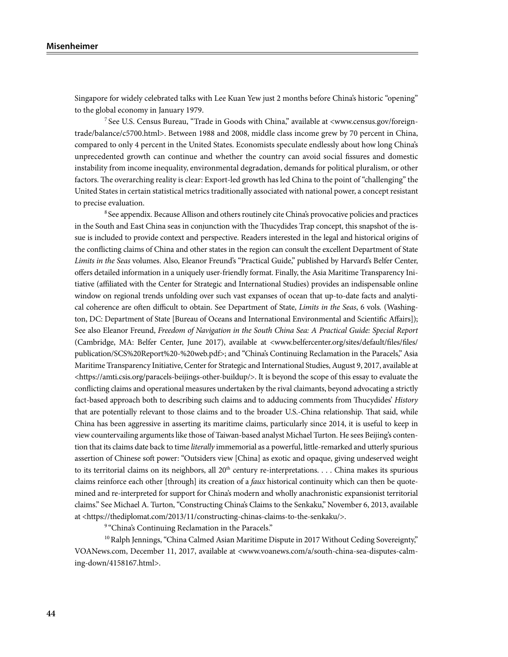#### **Misenheimer**

Singapore for widely celebrated talks with Lee Kuan Yew just 2 months before China's historic "opening" to the global economy in January 1979.

7 See U.S. Census Bureau, "Trade in Goods with China," available at <www.census.gov/foreigntrade/balance/c5700.html>. Between 1988 and 2008, middle class income grew by 70 percent in China, compared to only 4 percent in the United States. Economists speculate endlessly about how long China's unprecedented growth can continue and whether the country can avoid social fissures and domestic instability from income inequality, environmental degradation, demands for political pluralism, or other factors. The overarching reality is clear: Export-led growth has led China to the point of "challenging" the United States in certain statistical metrics traditionally associated with national power, a concept resistant to precise evaluation.

<sup>8</sup> See appendix. Because Allison and others routinely cite China's provocative policies and practices in the South and East China seas in conjunction with the Thucydides Trap concept, this snapshot of the issue is included to provide context and perspective. Readers interested in the legal and historical origins of the conflicting claims of China and other states in the region can consult the excellent Department of State *Limits in the Seas* volumes. Also, Eleanor Freund's "Practical Guide," published by Harvard's Belfer Center, offers detailed information in a uniquely user-friendly format. Finally, the Asia Maritime Transparency Initiative (affiliated with the Center for Strategic and International Studies) provides an indispensable online window on regional trends unfolding over such vast expanses of ocean that up-to-date facts and analytical coherence are often difficult to obtain. See Department of State, *Limits in the Seas*, 6 vols*.* (Washington, DC: Department of State [Bureau of Oceans and International Environmental and Scientific Affairs]); See also Eleanor Freund, *Freedom of Navigation in the South China Sea: A Practical Guide: Special Report*  (Cambridge, MA: Belfer Center, June 2017), available at <www.belfercenter.org/sites/default/files/files/ publication/SCS%20Report%20-%20web.pdf>; and "China's Continuing Reclamation in the Paracels," Asia Maritime Transparency Initiative, Center for Strategic and International Studies, August 9, 2017, available at <https://amti.csis.org/paracels-beijings-other-buildup/>. It is beyond the scope of this essay to evaluate the conflicting claims and operational measures undertaken by the rival claimants, beyond advocating a strictly fact-based approach both to describing such claims and to adducing comments from Thucydides' *History* that are potentially relevant to those claims and to the broader U.S.-China relationship. That said, while China has been aggressive in asserting its maritime claims, particularly since 2014, it is useful to keep in view countervailing arguments like those of Taiwan-based analyst Michael Turton. He sees Beijing's contention that its claims date back to time *literally* immemorial as a powerful, little-remarked and utterly spurious assertion of Chinese soft power: "Outsiders view [China] as exotic and opaque, giving undeserved weight to its territorial claims on its neighbors, all  $20<sup>th</sup>$  century re-interpretations. . . . China makes its spurious claims reinforce each other [through] its creation of a *faux* historical continuity which can then be quotemined and re-interpreted for support for China's modern and wholly anachronistic expansionist territorial claims." See Michael A. Turton, "Constructing China's Claims to the Senkaku," November 6, 2013, available at <https://thediplomat.com/2013/11/constructing-chinas-claims-to-the-senkaku/>.

<sup>9</sup> "China's Continuing Reclamation in the Paracels."

 $10$  Ralph Jennings, "China Calmed Asian Maritime Dispute in 2017 Without Ceding Sovereignty," VOANews.com, December 11, 2017, available at <www.voanews.com/a/south-china-sea-disputes-calming-down/4158167.html>.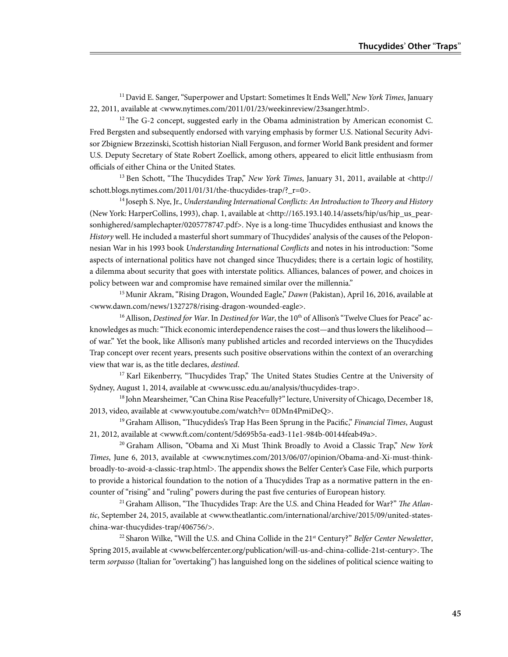<sup>11</sup> David E. Sanger, "Superpower and Upstart: Sometimes It Ends Well," *New York Times*, January 22, 2011, available at <www.nytimes.com/2011/01/23/weekinreview/23sanger.html>.

 $12$  The G-2 concept, suggested early in the Obama administration by American economist C. Fred Bergsten and subsequently endorsed with varying emphasis by former U.S. National Security Advisor Zbigniew Brzezinski, Scottish historian Niall Ferguson, and former World Bank president and former U.S. Deputy Secretary of State Robert Zoellick, among others, appeared to elicit little enthusiasm from officials of either China or the United States.

13 Ben Schott, "The Thucydides Trap," *New York Times*, January 31, 2011, available at <http:// schott.blogs.nytimes.com/2011/01/31/the-thucydides-trap/? r=0>.

14 Joseph S. Nye, Jr., *Understanding International Conflicts: An Introduction to Theory and History* (New York: HarperCollins, 1993), chap. 1, available at <http://165.193.140.14/assets/hip/us/hip\_us\_pearsonhighered/samplechapter/0205778747.pdf>. Nye is a long-time Thucydides enthusiast and knows the *History* well. He included a masterful short summary of Thucydides' analysis of the causes of the Peloponnesian War in his 1993 book *Understanding International Conflicts* and notes in his introduction: "Some aspects of international politics have not changed since Thucydides; there is a certain logic of hostility, a dilemma about security that goes with interstate politics. Alliances, balances of power, and choices in policy between war and compromise have remained similar over the millennia."

15 Munir Akram, "Rising Dragon, Wounded Eagle," *Dawn* (Pakistan), April 16, 2016, available at <www.dawn.com/news/1327278/rising-dragon-wounded-eagle>.

<sup>16</sup> Allison, *Destined for War*. In *Destined for War*, the 10<sup>th</sup> of Allison's "Twelve Clues for Peace" acknowledges as much: "Thick economic interdependence raises the cost—and thus lowers the likelihood of war." Yet the book, like Allison's many published articles and recorded interviews on the Thucydides Trap concept over recent years, presents such positive observations within the context of an overarching view that war is, as the title declares, *destined*.

<sup>17</sup> Karl Eikenberry, "Thucydides Trap," The United States Studies Centre at the University of Sydney, August 1, 2014, available at <www.ussc.edu.au/analysis/thucydides-trap>.

<sup>18</sup> John Mearsheimer, "Can China Rise Peacefully?" lecture, University of Chicago, December 18, 2013, video, available at <www.youtube.com/watch?v= 0DMn4PmiDeQ>.

19 Graham Allison, "Thucydides's Trap Has Been Sprung in the Pacific," *Financial Times*, August 21, 2012, available at <www.ft.com/content/5d695b5a-ead3-11e1-984b-00144feab49a>.

20 Graham Allison, "Obama and Xi Must Think Broadly to Avoid a Classic Trap," *New York Times*, June 6, 2013, available at <www.nytimes.com/2013/06/07/opinion/Obama-and-Xi-must-thinkbroadly-to-avoid-a-classic-trap.html>. The appendix shows the Belfer Center's Case File, which purports to provide a historical foundation to the notion of a Thucydides Trap as a normative pattern in the encounter of "rising" and "ruling" powers during the past five centuries of European history.

21 Graham Allison, "The Thucydides Trap: Are the U.S. and China Headed for War?" *The Atlantic*, September 24, 2015, available at <www.theatlantic.com/international/archive/2015/09/united-stateschina-war-thucydides-trap/406756/>.

<sup>22</sup> Sharon Wilke, "Will the U.S. and China Collide in the 21<sup>st</sup> Century?" *Belfer Center Newsletter*, Spring 2015, available at <www.belfercenter.org/publication/will-us-and-china-collide-21st-century>. The term *sorpasso* (Italian for "overtaking") has languished long on the sidelines of political science waiting to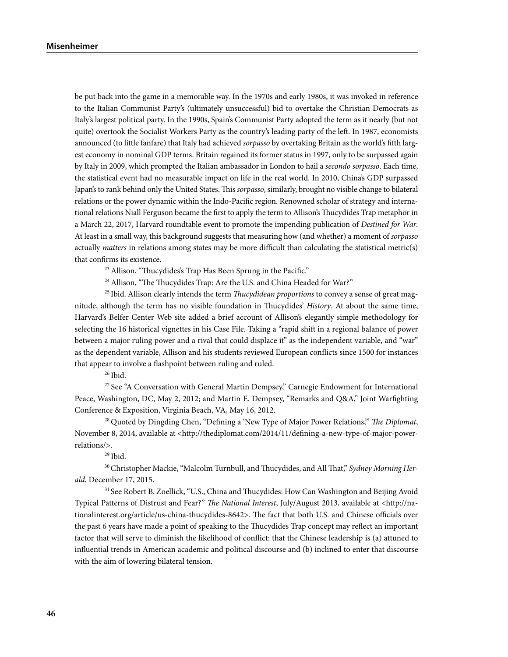be put back into the game in a memorable way. In the 1970s and early 1980s, it was invoked in reference to the Italian Communist Party's (ultimately unsuccessful) bid to overtake the Christian Democrats as Italy's largest political party. In the 1990s, Spain's Communist Party adopted the term as it nearly (but not quite) overtook the Socialist Workers Party as the country's leading party of the left. In 1987, economists announced (to little fanfare) that Italy had achieved *sorpasso* by overtaking Britain as the world's fifth largest economy in nominal GDP terms. Britain regained its former status in 1997, only to be surpassed again by Italy in 2009, which prompted the Italian ambassador in London to hail a *secondo sorpasso*. Each time, the statistical event had no measurable impact on life in the real world. In 2010, China's GDP surpassed Japan's to rank behind only the United States. This *sorpasso*, similarly, brought no visible change to bilateral relations or the power dynamic within the Indo-Pacific region. Renowned scholar of strategy and international relations Niall Ferguson became the first to apply the term to Allison's Thucydides Trap metaphor in a March 22, 2017, Harvard roundtable event to promote the impending publication of *Destined for War*. At least in a small way, this background suggests that measuring how (and whether) a moment of *sorpasso* actually *matters* in relations among states may be more difficult than calculating the statistical metric(s) that confirms its existence.

<sup>23</sup> Allison, "Thucydides's Trap Has Been Sprung in the Pacific."

<sup>24</sup> Allison, "The Thucydides Trap: Are the U.S. and China Headed for War?"

25 Ibid. Allison clearly intends the term *Thucydidean proportions* to convey a sense of great magnitude, although the term has no visible foundation in Thucydides' *History*. At about the same time, Harvard's Belfer Center Web site added a brief account of Allison's elegantly simple methodology for selecting the 16 historical vignettes in his Case File. Taking a "rapid shift in a regional balance of power between a major ruling power and a rival that could displace it" as the independent variable, and "war" as the dependent variable, Allison and his students reviewed European conflicts since 1500 for instances that appear to involve a flashpoint between ruling and ruled.

 $26$  Ibid.

27 See "A Conversation with General Martin Dempsey," Carnegie Endowment for International Peace, Washington, DC, May 2, 2012; and Martin E. Dempsey, "Remarks and Q&A," Joint Warfighting Conference & Exposition, Virginia Beach, VA, May 16, 2012.

28 Quoted by Dingding Chen, "Defining a 'New Type of Major Power Relations,'" *The Diplomat*, November 8, 2014, available at <http://thediplomat.com/2014/11/defining-a-new-type-of-major-powerrelations/>.

 $29$  Ibid.

<sup>30</sup> Christopher Mackie, "Malcolm Turnbull, and Thucydides, and All That," Sydney Morning Her*ald*, December 17, 2015.

<sup>31</sup> See Robert B. Zoellick, "U.S., China and Thucydides: How Can Washington and Beijing Avoid Typical Patterns of Distrust and Fear?" *The National Interest*, July/August 2013, available at <http://nationalinterest.org/article/us-china-thucydides-8642>. The fact that both U.S. and Chinese officials over the past 6 years have made a point of speaking to the Thucydides Trap concept may reflect an important factor that will serve to diminish the likelihood of conflict: that the Chinese leadership is (a) attuned to influential trends in American academic and political discourse and (b) inclined to enter that discourse with the aim of lowering bilateral tension.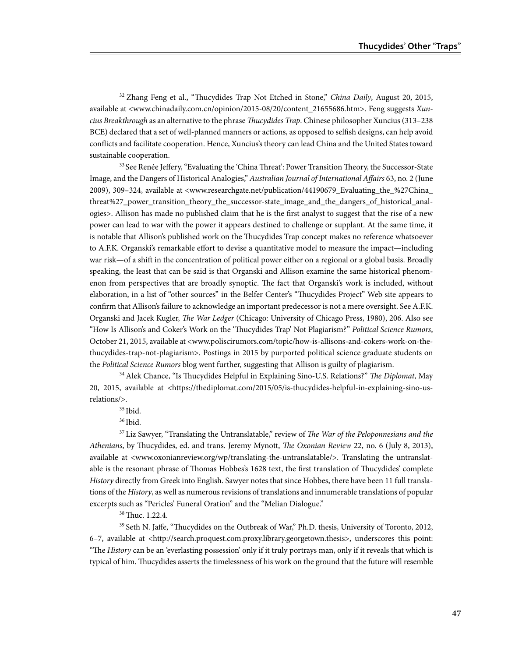<sup>32</sup> Zhang Feng et al., "Thucydides Trap Not Etched in Stone," *China Daily*, August 20, 2015, available at <www.chinadaily.com.cn/opinion/2015-08/20/content\_21655686.htm>. Feng suggests *Xuncius Breakthrough* as an alternative to the phrase *Thucydides Trap*. Chinese philosopher Xuncius (313–238 BCE) declared that a set of well-planned manners or actions, as opposed to selfish designs, can help avoid conflicts and facilitate cooperation. Hence, Xuncius's theory can lead China and the United States toward sustainable cooperation.

<sup>33</sup> See Renée Jeffery, "Evaluating the 'China Threat': Power Transition Theory, the Successor-State Image, and the Dangers of Historical Analogies," *Australian Journal of International Affairs* 63, no. 2 (June 2009), 309–324, available at <www.researchgate.net/publication/44190679\_Evaluating\_the\_%27China\_ threat%27\_power\_transition\_theory\_the\_successor-state\_image\_and\_the\_dangers\_of\_historical\_analogies>. Allison has made no published claim that he is the first analyst to suggest that the rise of a new power can lead to war with the power it appears destined to challenge or supplant. At the same time, it is notable that Allison's published work on the Thucydides Trap concept makes no reference whatsoever to A.F.K. Organski's remarkable effort to devise a quantitative model to measure the impact—including war risk—of a shift in the concentration of political power either on a regional or a global basis. Broadly speaking, the least that can be said is that Organski and Allison examine the same historical phenomenon from perspectives that are broadly synoptic. The fact that Organski's work is included, without elaboration, in a list of "other sources" in the Belfer Center's "Thucydides Project" Web site appears to confirm that Allison's failure to acknowledge an important predecessor is not a mere oversight. See A.F.K. Organski and Jacek Kugler, *The War Ledger* (Chicago: University of Chicago Press, 1980), 206. Also see "How Is Allison's and Coker's Work on the 'Thucydides Trap' Not Plagiarism?" *Political Science Rumors*, October 21, 2015, available at <www.poliscirumors.com/topic/how-is-allisons-and-cokers-work-on-thethucydides-trap-not-plagiarism>. Postings in 2015 by purported political science graduate students on the *Political Science Rumors* blog went further, suggesting that Allison is guilty of plagiarism.

34 Alek Chance, "Is Thucydides Helpful in Explaining Sino-U.S. Relations?" *The Diplomat*, May 20, 2015, available at <https://thediplomat.com/2015/05/is-thucydides-helpful-in-explaining-sino-usrelations/>.

35 Ibid.

36 Ibid.

37 Liz Sawyer, "Translating the Untranslatable," review of *The War of the Peloponnesians and the Athenians*, by Thucydides, ed. and trans. Jeremy Mynott, *The Oxonian Review* 22, no. 6 (July 8, 2013), available at <www.oxonianreview.org/wp/translating-the-untranslatable/>. Translating the untranslatable is the resonant phrase of Thomas Hobbes's 1628 text, the first translation of Thucydides' complete *History* directly from Greek into English. Sawyer notes that since Hobbes, there have been 11 full translations of the *History*, as well as numerous revisions of translations and innumerable translations of popular excerpts such as "Pericles' Funeral Oration" and the "Melian Dialogue."

<sup>38</sup> Thuc. 1.22.4.

<sup>39</sup> Seth N. Jaffe, "Thucydides on the Outbreak of War," Ph.D. thesis, University of Toronto, 2012, 6–7, available at <http://search.proquest.com.proxy.library.georgetown.thesis>, underscores this point: "The *History* can be an 'everlasting possession' only if it truly portrays man, only if it reveals that which is typical of him. Thucydides asserts the timelessness of his work on the ground that the future will resemble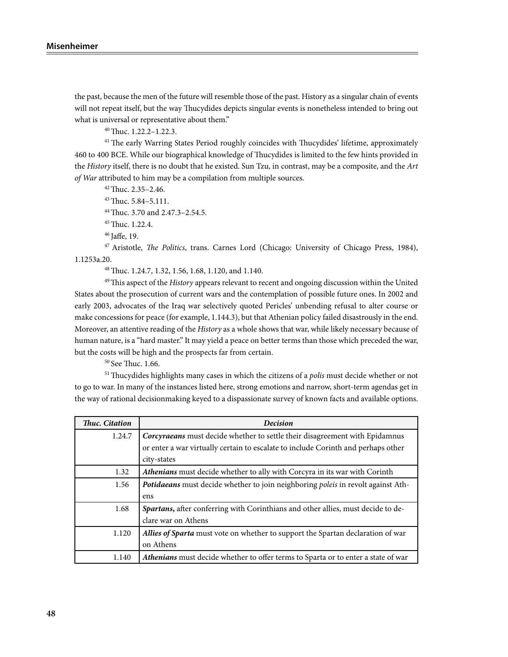the past, because the men of the future will resemble those of the past. History as a singular chain of events will not repeat itself, but the way Thucydides depicts singular events is nonetheless intended to bring out what is universal or representative about them."

40 Thuc. 1.22.2–1.22.3.

<sup>41</sup> The early Warring States Period roughly coincides with Thucydides' lifetime, approximately 460 to 400 BCE. While our biographical knowledge of Thucydides is limited to the few hints provided in the *History* itself, there is no doubt that he existed. Sun Tzu, in contrast, may be a composite, and the *Art of War* attributed to him may be a compilation from multiple sources.

42 Thuc. 2.35–2.46.

43 Thuc. 5.84–5.111.

44 Thuc. 3.70 and 2.47.3–2.54.5.

45 Thuc. 1.22.4.

46 Jaffe, 19.

47 Aristotle, *The Politics*, trans. Carnes Lord (Chicago: University of Chicago Press, 1984), 1.1253a.20.

48 Thuc. 1.24.7, 1.32, 1.56, 1.68, 1.120, and 1.140.

49 This aspect of the *History* appears relevant to recent and ongoing discussion within the United States about the prosecution of current wars and the contemplation of possible future ones. In 2002 and early 2003, advocates of the Iraq war selectively quoted Pericles' unbending refusal to alter course or make concessions for peace (for example, 1.144.3), but that Athenian policy failed disastrously in the end. Moreover, an attentive reading of the *History* as a whole shows that war, while likely necessary because of human nature, is a "hard master." It may yield a peace on better terms than those which preceded the war, but the costs will be high and the prospects far from certain.

50 See Thuc. 1.66.

51 Thucydides highlights many cases in which the citizens of a *polis* must decide whether or not to go to war. In many of the instances listed here, strong emotions and narrow, short-term agendas get in the way of rational decisionmaking keyed to a dispassionate survey of known facts and available options.

| Thuc. Citation | <b>Decision</b>                                                                   |  |
|----------------|-----------------------------------------------------------------------------------|--|
| 1.24.7         | Corcyraeans must decide whether to settle their disagreement with Epidamnus       |  |
|                | or enter a war virtually certain to escalate to include Corinth and perhaps other |  |
|                | city-states                                                                       |  |
| 1.32           | Athenians must decide whether to ally with Corcyra in its war with Corinth        |  |
| 1.56           | Potidaeans must decide whether to join neighboring poleis in revolt against Ath-  |  |
|                | ens                                                                               |  |
| 1.68           | Spartans, after conferring with Corinthians and other allies, must decide to de-  |  |
|                | clare war on Athens                                                               |  |
| 1.120          | Allies of Sparta must vote on whether to support the Spartan declaration of war   |  |
|                | on Athens                                                                         |  |
| 1.140          | Athenians must decide whether to offer terms to Sparta or to enter a state of war |  |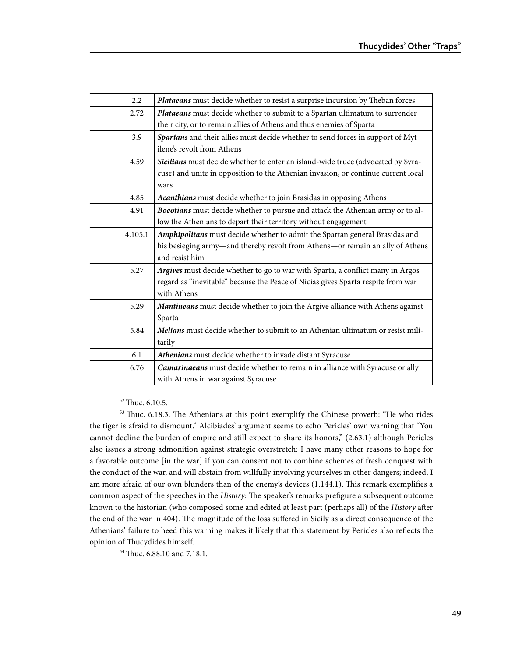| 2.2     | Plataeans must decide whether to resist a surprise incursion by Theban forces     |  |  |
|---------|-----------------------------------------------------------------------------------|--|--|
| 2.72    | Plataeans must decide whether to submit to a Spartan ultimatum to surrender       |  |  |
|         | their city, or to remain allies of Athens and thus enemies of Sparta              |  |  |
| 3.9     | Spartans and their allies must decide whether to send forces in support of Myt-   |  |  |
|         | ilene's revolt from Athens                                                        |  |  |
| 4.59    | Sicilians must decide whether to enter an island-wide truce (advocated by Syra-   |  |  |
|         | cuse) and unite in opposition to the Athenian invasion, or continue current local |  |  |
|         | wars                                                                              |  |  |
| 4.85    | Acanthians must decide whether to join Brasidas in opposing Athens                |  |  |
| 4.91    | Boeotians must decide whether to pursue and attack the Athenian army or to al-    |  |  |
|         | low the Athenians to depart their territory without engagement                    |  |  |
| 4.105.1 | Amphipolitans must decide whether to admit the Spartan general Brasidas and       |  |  |
|         | his besieging army-and thereby revolt from Athens-or remain an ally of Athens     |  |  |
|         | and resist him                                                                    |  |  |
| 5.27    | Argives must decide whether to go to war with Sparta, a conflict many in Argos    |  |  |
|         | regard as "inevitable" because the Peace of Nicias gives Sparta respite from war  |  |  |
|         | with Athens                                                                       |  |  |
| 5.29    | Mantineans must decide whether to join the Argive alliance with Athens against    |  |  |
|         | Sparta                                                                            |  |  |
| 5.84    | Melians must decide whether to submit to an Athenian ultimatum or resist mili-    |  |  |
|         | tarily                                                                            |  |  |
| 6.1     | Athenians must decide whether to invade distant Syracuse                          |  |  |
| 6.76    | Camarinaeans must decide whether to remain in alliance with Syracuse or ally      |  |  |
|         | with Athens in war against Syracuse                                               |  |  |

52 Thuc. 6.10.5.

53 Thuc. 6.18.3. The Athenians at this point exemplify the Chinese proverb: "He who rides the tiger is afraid to dismount." Alcibiades' argument seems to echo Pericles' own warning that "You cannot decline the burden of empire and still expect to share its honors," (2.63.1) although Pericles also issues a strong admonition against strategic overstretch: I have many other reasons to hope for a favorable outcome [in the war] if you can consent not to combine schemes of fresh conquest with the conduct of the war, and will abstain from willfully involving yourselves in other dangers; indeed, I am more afraid of our own blunders than of the enemy's devices (1.144.1). This remark exemplifies a common aspect of the speeches in the *History*: The speaker's remarks prefigure a subsequent outcome known to the historian (who composed some and edited at least part (perhaps all) of the *History* after the end of the war in 404). The magnitude of the loss suffered in Sicily as a direct consequence of the Athenians' failure to heed this warning makes it likely that this statement by Pericles also reflects the opinion of Thucydides himself.

54 Thuc. 6.88.10 and 7.18.1.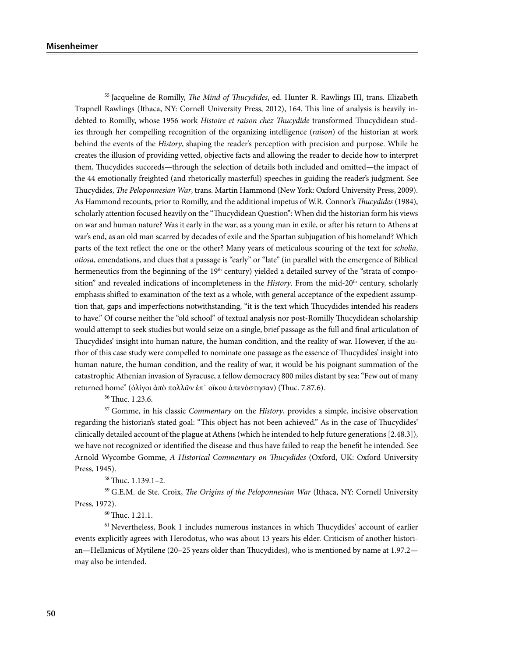<sup>55</sup> Jacqueline de Romilly, *The Mind of Thucydides*, ed. Hunter R. Rawlings III, trans. Elizabeth Trapnell Rawlings (Ithaca, NY: Cornell University Press, 2012), 164. This line of analysis is heavily indebted to Romilly, whose 1956 work *Histoire et raison chez Thucydide* transformed Thucydidean studies through her compelling recognition of the organizing intelligence (*raison*) of the historian at work behind the events of the *History*, shaping the reader's perception with precision and purpose. While he creates the illusion of providing vetted, objective facts and allowing the reader to decide how to interpret them, Thucydides succeeds—through the selection of details both included and omitted—the impact of the 44 emotionally freighted (and rhetorically masterful) speeches in guiding the reader's judgment. See Thucydides, *The Peloponnesian War*, trans. Martin Hammond (New York: Oxford University Press, 2009). As Hammond recounts, prior to Romilly, and the additional impetus of W.R. Connor's *Thucydides* (1984), scholarly attention focused heavily on the "Thucydidean Question": When did the historian form his views on war and human nature? Was it early in the war, as a young man in exile, or after his return to Athens at war's end, as an old man scarred by decades of exile and the Spartan subjugation of his homeland? Which parts of the text reflect the one or the other? Many years of meticulous scouring of the text for *scholia*, *otiosa*, emendations, and clues that a passage is "early" or "late" (in parallel with the emergence of Biblical hermeneutics from the beginning of the 19<sup>th</sup> century) yielded a detailed survey of the "strata of composition" and revealed indications of incompleteness in the *History*. From the mid-20th century, scholarly emphasis shifted to examination of the text as a whole, with general acceptance of the expedient assumption that, gaps and imperfections notwithstanding, "it is the text which Thucydides intended his readers to have." Of course neither the "old school" of textual analysis nor post-Romilly Thucydidean scholarship would attempt to seek studies but would seize on a single, brief passage as the full and final articulation of Thucydides' insight into human nature, the human condition, and the reality of war. However, if the author of this case study were compelled to nominate one passage as the essence of Thucydides' insight into human nature, the human condition, and the reality of war, it would be his poignant summation of the catastrophic Athenian invasion of Syracuse, a fellow democracy 800 miles distant by sea: "Few out of many returned home" (ὀλίγοι ἀπὸ πολλῶν ἐπ᾽ οἴκου ἀπενόστησαν) (Thuc. 7.87.6).

56 Thuc. 1.23.6.

<sup>57</sup> Gomme, in his classic *Commentary* on the *History*, provides a simple, incisive observation regarding the historian's stated goal: "This object has not been achieved." As in the case of Thucydides' clinically detailed account of the plague at Athens (which he intended to help future generations [2.48.3]), we have not recognized or identified the disease and thus have failed to reap the benefit he intended. See Arnold Wycombe Gomme, *A Historical Commentary on Thucydides* (Oxford, UK: Oxford University Press, 1945).

58 Thuc. 1.139.1–2.

59 G.E.M. de Ste. Croix, *The Origins of the Peloponnesian War* (Ithaca, NY: Cornell University Press, 1972).

60Thuc. 1.21.1.

 $61$  Nevertheless, Book 1 includes numerous instances in which Thucydides' account of earlier events explicitly agrees with Herodotus, who was about 13 years his elder. Criticism of another historian—Hellanicus of Mytilene (20–25 years older than Thucydides), who is mentioned by name at 1.97.2 may also be intended.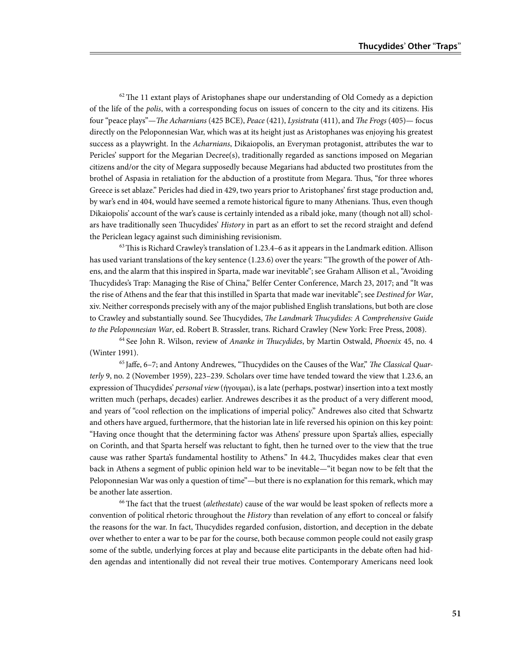$62$  The 11 extant plays of Aristophanes shape our understanding of Old Comedy as a depiction of the life of the *polis*, with a corresponding focus on issues of concern to the city and its citizens. His four "peace plays"—*The Acharnians* (425 BCE), *Peace* (421), *Lysistrata* (411), and *The Frogs* (405)— focus directly on the Peloponnesian War, which was at its height just as Aristophanes was enjoying his greatest success as a playwright. In the *Acharnians*, Dikaiopolis, an Everyman protagonist, attributes the war to Pericles' support for the Megarian Decree(s), traditionally regarded as sanctions imposed on Megarian citizens and/or the city of Megara supposedly because Megarians had abducted two prostitutes from the brothel of Aspasia in retaliation for the abduction of a prostitute from Megara. Thus, "for three whores Greece is set ablaze." Pericles had died in 429, two years prior to Aristophanes' first stage production and, by war's end in 404, would have seemed a remote historical figure to many Athenians. Thus, even though Dikaiopolis' account of the war's cause is certainly intended as a ribald joke, many (though not all) scholars have traditionally seen Thucydides' *History* in part as an effort to set the record straight and defend the Periclean legacy against such diminishing revisionism.

 $63$  This is Richard Crawley's translation of 1.23.4–6 as it appears in the Landmark edition. Allison has used variant translations of the key sentence (1.23.6) over the years: "The growth of the power of Athens, and the alarm that this inspired in Sparta, made war inevitable"; see Graham Allison et al., "Avoiding Thucydides's Trap: Managing the Rise of China," Belfer Center Conference, March 23, 2017; and "It was the rise of Athens and the fear that this instilled in Sparta that made war inevitable"; see *Destined for War*, xiv. Neither corresponds precisely with any of the major published English translations, but both are close to Crawley and substantially sound. See Thucydides, *The Landmark Thucydides: A Comprehensive Guide to the Peloponnesian War*, ed. Robert B. Strassler, trans. Richard Crawley (New York: Free Press, 2008).

64 See John R. Wilson, review of *Ananke in Thucydides*, by Martin Ostwald, *Phoenix* 45, no. 4 (Winter 1991).

65 Jaffe, 6–7; and Antony Andrewes, "Thucydides on the Causes of the War," *The Classical Quarterly* 9, no. 2 (November 1959), 223–239. Scholars over time have tended toward the view that 1.23.6, an expression of Thucydides' *personal view* (ήγουμαι), is a late (perhaps, postwar) insertion into a text mostly written much (perhaps, decades) earlier. Andrewes describes it as the product of a very different mood, and years of "cool reflection on the implications of imperial policy." Andrewes also cited that Schwartz and others have argued, furthermore, that the historian late in life reversed his opinion on this key point: "Having once thought that the determining factor was Athens' pressure upon Sparta's allies, especially on Corinth, and that Sparta herself was reluctant to fight, then he turned over to the view that the true cause was rather Sparta's fundamental hostility to Athens." In 44.2, Thucydides makes clear that even back in Athens a segment of public opinion held war to be inevitable—"it began now to be felt that the Peloponnesian War was only a question of time"—but there is no explanation for this remark, which may be another late assertion.

66 The fact that the truest (*alethestate*) cause of the war would be least spoken of reflects more a convention of political rhetoric throughout the *History* than revelation of any effort to conceal or falsify the reasons for the war. In fact, Thucydides regarded confusion, distortion, and deception in the debate over whether to enter a war to be par for the course, both because common people could not easily grasp some of the subtle, underlying forces at play and because elite participants in the debate often had hidden agendas and intentionally did not reveal their true motives. Contemporary Americans need look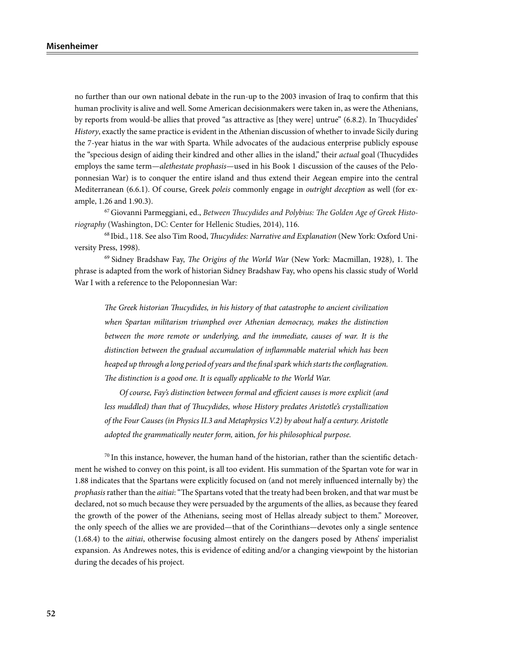no further than our own national debate in the run-up to the 2003 invasion of Iraq to confirm that this human proclivity is alive and well. Some American decisionmakers were taken in, as were the Athenians, by reports from would-be allies that proved "as attractive as [they were] untrue" (6.8.2). In Thucydides' *History*, exactly the same practice is evident in the Athenian discussion of whether to invade Sicily during the 7-year hiatus in the war with Sparta. While advocates of the audacious enterprise publicly espouse the "specious design of aiding their kindred and other allies in the island," their *actual* goal (Thucydides employs the same term—*alethestate prophasis*—used in his Book 1 discussion of the causes of the Peloponnesian War) is to conquer the entire island and thus extend their Aegean empire into the central Mediterranean (6.6.1). Of course, Greek *poleis* commonly engage in *outright deception* as well (for example, 1.26 and 1.90.3).

67 Giovanni Parmeggiani, ed., *Between Thucydides and Polybius: The Golden Age of Greek Historiography* (Washington, DC: Center for Hellenic Studies, 2014), 116.

68 Ibid., 118. See also Tim Rood, *Thucydides: Narrative and Explanation* (New York: Oxford University Press, 1998).

69 Sidney Bradshaw Fay, *The Origins of the World War* (New York: Macmillan, 1928), 1. The phrase is adapted from the work of historian Sidney Bradshaw Fay, who opens his classic study of World War I with a reference to the Peloponnesian War:

*The Greek historian Thucydides, in his history of that catastrophe to ancient civilization when Spartan militarism triumphed over Athenian democracy, makes the distinction between the more remote or underlying, and the immediate, causes of war. It is the distinction between the gradual accumulation of inflammable material which has been heaped up through a long period of years and the final spark which starts the conflagration. The distinction is a good one. It is equally applicable to the World War.*

*Of course, Fay's distinction between formal and efficient causes is more explicit (and*  less muddled) than that of Thucydides, whose History predates Aristotle's crystallization *of the Four Causes (in Physics II.3 and Metaphysics V.2) by about half a century. Aristotle adopted the grammatically neuter form,* aition*, for his philosophical purpose.*

 $70$  In this instance, however, the human hand of the historian, rather than the scientific detachment he wished to convey on this point, is all too evident. His summation of the Spartan vote for war in 1.88 indicates that the Spartans were explicitly focused on (and not merely influenced internally by) the *prophasis* rather than the *aitiai*: "The Spartans voted that the treaty had been broken, and that war must be declared, not so much because they were persuaded by the arguments of the allies, as because they feared the growth of the power of the Athenians, seeing most of Hellas already subject to them." Moreover, the only speech of the allies we are provided—that of the Corinthians—devotes only a single sentence (1.68.4) to the *aitiai*, otherwise focusing almost entirely on the dangers posed by Athens' imperialist expansion. As Andrewes notes, this is evidence of editing and/or a changing viewpoint by the historian during the decades of his project.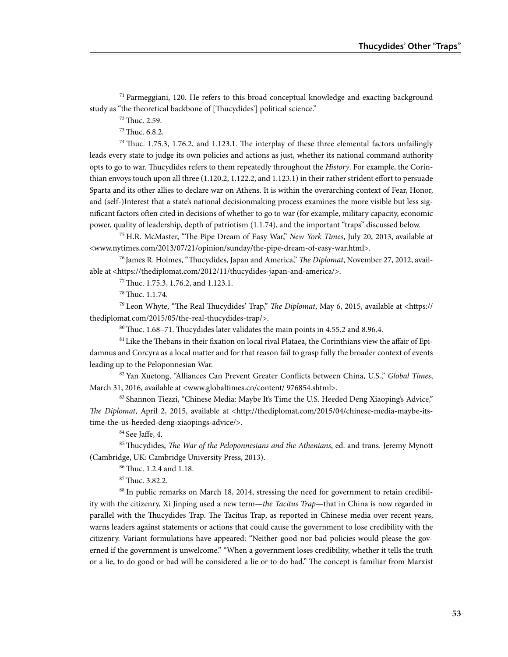$71$  Parmeggiani, 120. He refers to this broad conceptual knowledge and exacting background study as "the theoretical backbone of [Thucydides'] political science."

72 Thuc. 2.59.

73 Thuc. 6.8.2.

<sup>74</sup> Thuc. 1.75.3, 1.76.2, and 1.123.1. The interplay of these three elemental factors unfailingly leads every state to judge its own policies and actions as just, whether its national command authority opts to go to war. Thucydides refers to them repeatedly throughout the *History*. For example, the Corinthian envoys touch upon all three (1.120.2, 1.122.2, and 1.123.1) in their rather strident effort to persuade Sparta and its other allies to declare war on Athens. It is within the overarching context of Fear, Honor, and (self-)Interest that a state's national decisionmaking process examines the more visible but less significant factors often cited in decisions of whether to go to war (for example, military capacity, economic power, quality of leadership, depth of patriotism (1.1.74), and the important "traps" discussed below.

75 H.R. McMaster, "The Pipe Dream of Easy War," *New York Times*, July 20, 2013, available at <www.nytimes.com/2013/07/21/opinion/sunday/the-pipe-dream-of-easy-war.html>.

76 James R. Holmes, "Thucydides, Japan and America," *The Diplomat*, November 27, 2012, available at <https://thediplomat.com/2012/11/thucydides-japan-and-america/>.

77 Thuc. 1.75.3, 1.76.2, and 1.123.1.

78 Thuc. 1.1.74.

79 Leon Whyte, "The Real Thucydides' Trap," *The Diplomat*, May 6, 2015, available at <https:// thediplomat.com/2015/05/the-real-thucydides-trap/>.

 $80$  Thuc. 1.68–71. Thucydides later validates the main points in 4.55.2 and 8.96.4.

81 Like the Thebans in their fixation on local rival Plataea, the Corinthians view the affair of Epidamnus and Corcyra as a local matter and for that reason fail to grasp fully the broader context of events leading up to the Peloponnesian War.

82 Yan Xuetong, "Alliances Can Prevent Greater Conflicts between China, U.S.," *Global Times*, March 31, 2016, available at <www.globaltimes.cn/content/ 976854.shtml>.

83 Shannon Tiezzi, "Chinese Media: Maybe It's Time the U.S. Heeded Deng Xiaoping's Advice," *The Diplomat*, April 2, 2015, available at <http://thediplomat.com/2015/04/chinese-media-maybe-itstime-the-us-heeded-deng-xiaopings-advice/>.

84 See Jaffe, 4.

85 Thucydides, *The War of the Peloponnesians and the Athenians*, ed. and trans. Jeremy Mynott (Cambridge, UK: Cambridge University Press, 2013).

86 Thuc. 1.2.4 and 1.18.

87 Thuc. 3.82.2.

88 In public remarks on March 18, 2014, stressing the need for government to retain credibility with the citizenry, Xi Jinping used a new term—*the Tacitus Trap*—that in China is now regarded in parallel with the Thucydides Trap. The Tacitus Trap, as reported in Chinese media over recent years, warns leaders against statements or actions that could cause the government to lose credibility with the citizenry. Variant formulations have appeared: "Neither good nor bad policies would please the governed if the government is unwelcome." "When a government loses credibility, whether it tells the truth or a lie, to do good or bad will be considered a lie or to do bad." The concept is familiar from Marxist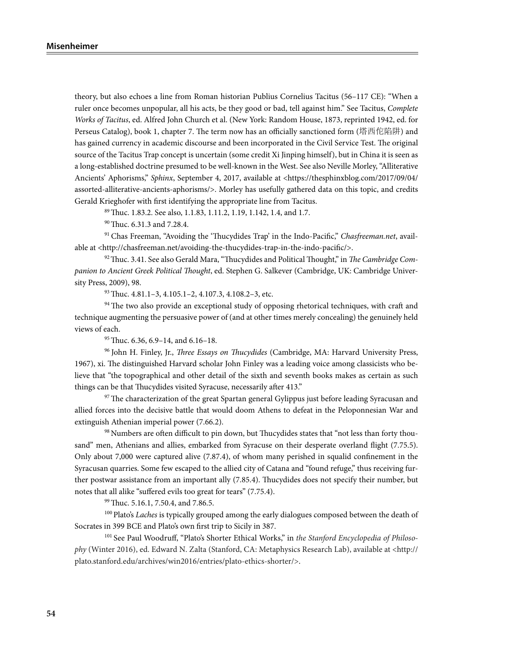theory, but also echoes a line from Roman historian Publius Cornelius Tacitus (56–117 CE): "When a ruler once becomes unpopular, all his acts, be they good or bad, tell against him." See Tacitus, *Complete Works of Tacitus*, ed. Alfred John Church et al. (New York: Random House, 1873, reprinted 1942, ed. for Perseus Catalog), book 1, chapter 7. The term now has an officially sanctioned form (塔西佗陷阱) and has gained currency in academic discourse and been incorporated in the Civil Service Test. The original source of the Tacitus Trap concept is uncertain (some credit Xi Jinping himself), but in China it is seen as a long-established doctrine presumed to be well-known in the West. See also Neville Morley, "Alliterative Ancients' Aphorisms," *Sphinx*, September 4, 2017, available at <https://thesphinxblog.com/2017/09/04/ assorted-alliterative-ancients-aphorisms/>. Morley has usefully gathered data on this topic, and credits Gerald Krieghofer with first identifying the appropriate line from Tacitus.

89 Thuc. 1.83.2. See also, 1.1.83, 1.11.2, 1.19, 1.142, 1.4, and 1.7.

90 Thuc. 6.31.3 and 7.28.4.

91 Chas Freeman, "Avoiding the 'Thucydides Trap' in the Indo-Pacific," *Chasfreeman.net*, available at <http://chasfreeman.net/avoiding-the-thucydides-trap-in-the-indo-pacific/>.

92 Thuc. 3.41. See also Gerald Mara, "Thucydides and Political Thought," in *The Cambridge Companion to Ancient Greek Political Thought*, ed. Stephen G. Salkever (Cambridge, UK: Cambridge University Press, 2009), 98.

93 Thuc. 4.81.1–3, 4.105.1–2, 4.107.3, 4.108.2–3, etc.

<sup>94</sup> The two also provide an exceptional study of opposing rhetorical techniques, with craft and technique augmenting the persuasive power of (and at other times merely concealing) the genuinely held views of each.

95 Thuc. 6.36, 6.9–14, and 6.16–18.

96 John H. Finley, Jr., *Three Essays on Thucydides* (Cambridge, MA: Harvard University Press, 1967), xi. The distinguished Harvard scholar John Finley was a leading voice among classicists who believe that "the topographical and other detail of the sixth and seventh books makes as certain as such things can be that Thucydides visited Syracuse, necessarily after 413."

 $97$  The characterization of the great Spartan general Gylippus just before leading Syracusan and allied forces into the decisive battle that would doom Athens to defeat in the Peloponnesian War and extinguish Athenian imperial power (7.66.2).

98 Numbers are often difficult to pin down, but Thucydides states that "not less than forty thousand" men, Athenians and allies, embarked from Syracuse on their desperate overland flight (7.75.5). Only about 7,000 were captured alive (7.87.4), of whom many perished in squalid confinement in the Syracusan quarries. Some few escaped to the allied city of Catana and "found refuge," thus receiving further postwar assistance from an important ally (7.85.4). Thucydides does not specify their number, but notes that all alike "suffered evils too great for tears" (7.75.4).

<sup>99</sup> Thuc. 5.16.1, 7.50.4, and 7.86.5.

100 Plato's *Laches* is typically grouped among the early dialogues composed between the death of Socrates in 399 BCE and Plato's own first trip to Sicily in 387.

101 See Paul Woodruff, "Plato's Shorter Ethical Works," in *the Stanford Encyclopedia of Philosophy* (Winter 2016), ed. Edward N. Zalta (Stanford, CA: Metaphysics Research Lab), available at <http:// plato.stanford.edu/archives/win2016/entries/plato-ethics-shorter/>.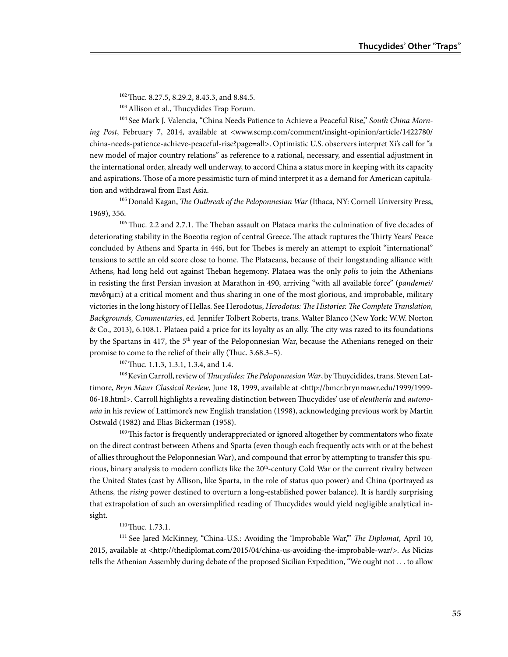<sup>102</sup> Thuc. 8.27.5, 8.29.2, 8.43.3, and 8.84.5.

<sup>103</sup> Allison et al., Thucydides Trap Forum.

<sup>104</sup> See Mark J. Valencia, "China Needs Patience to Achieve a Peaceful Rise," *South China Morning Post*, February 7, 2014, available at <www.scmp.com/comment/insight-opinion/article/1422780/ china-needs-patience-achieve-peaceful-rise?page=all>. Optimistic U.S. observers interpret Xi's call for "a new model of major country relations" as reference to a rational, necessary, and essential adjustment in the international order, already well underway, to accord China a status more in keeping with its capacity and aspirations. Those of a more pessimistic turn of mind interpret it as a demand for American capitulation and withdrawal from East Asia.

105 Donald Kagan, *The Outbreak of the Peloponnesian War* (Ithaca, NY: Cornell University Press, 1969), 356.

 $106$  Thuc. 2.2 and 2.7.1. The Theban assault on Plataea marks the culmination of five decades of deteriorating stability in the Boeotia region of central Greece. The attack ruptures the Thirty Years' Peace concluded by Athens and Sparta in 446, but for Thebes is merely an attempt to exploit "international" tensions to settle an old score close to home. The Plataeans, because of their longstanding alliance with Athens, had long held out against Theban hegemony. Plataea was the only *polis* to join the Athenians in resisting the first Persian invasion at Marathon in 490, arriving "with all available force" (*pandemei/*  $\pi\alpha v \delta \eta$ uet) at a critical moment and thus sharing in one of the most glorious, and improbable, military victories in the long history of Hellas. See Herodotus, *Herodotus: The Histories: The Complete Translation, Backgrounds, Commentaries*, ed. Jennifer Tolbert Roberts, trans. Walter Blanco (New York: W.W. Norton & Co., 2013), 6.108.1. Plataea paid a price for its loyalty as an ally. The city was razed to its foundations by the Spartans in 417, the 5<sup>th</sup> year of the Peloponnesian War, because the Athenians reneged on their promise to come to the relief of their ally (Thuc. 3.68.3–5).

<sup>107</sup> Thuc. 1.1.3, 1.3.1, 1.3.4, and 1.4.

108 Kevin Carroll, review of *Thucydides: The Peloponnesian War*, by Thuycidides, trans. Steven Lattimore, *Bryn Mawr Classical Review*, June 18, 1999, available at <http://bmcr.brynmawr.edu/1999/1999- 06-18.html>. Carroll highlights a revealing distinction between Thucydides' use of *eleutheria* and *autonomia* in his review of Lattimore's new English translation (1998), acknowledging previous work by Martin Ostwald (1982) and Elias Bickerman (1958).

<sup>109</sup> This factor is frequently underappreciated or ignored altogether by commentators who fixate on the direct contrast between Athens and Sparta (even though each frequently acts with or at the behest of allies throughout the Peloponnesian War), and compound that error by attempting to transfer this spurious, binary analysis to modern conflicts like the 20<sup>th</sup>-century Cold War or the current rivalry between the United States (cast by Allison, like Sparta, in the role of status quo power) and China (portrayed as Athens, the *rising* power destined to overturn a long-established power balance). It is hardly surprising that extrapolation of such an oversimplified reading of Thucydides would yield negligible analytical insight.

#### <sup>110</sup> Thuc. 1.73.1.

111 See Jared McKinney, "China-U.S.: Avoiding the 'Improbable War,'" *The Diplomat*, April 10, 2015, available at <http://thediplomat.com/2015/04/china-us-avoiding-the-improbable-war/>. As Nicias tells the Athenian Assembly during debate of the proposed Sicilian Expedition, "We ought not . . . to allow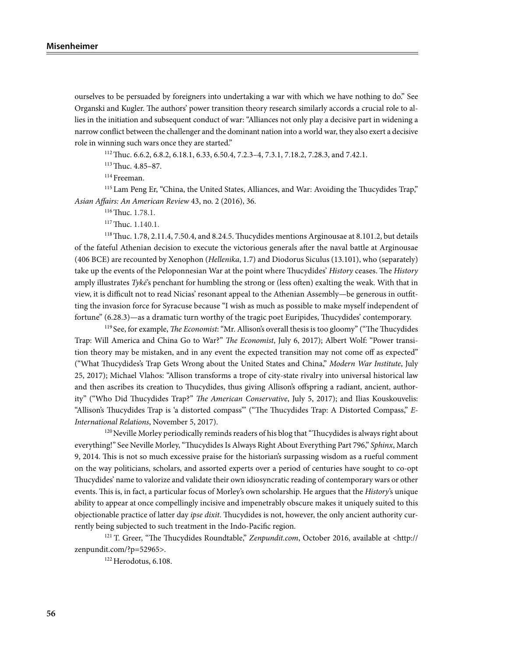ourselves to be persuaded by foreigners into undertaking a war with which we have nothing to do." See Organski and Kugler. The authors' power transition theory research similarly accords a crucial role to allies in the initiation and subsequent conduct of war: "Alliances not only play a decisive part in widening a narrow conflict between the challenger and the dominant nation into a world war, they also exert a decisive role in winning such wars once they are started."

112 Thuc. 6.6.2, 6.8.2, 6.18.1, 6.33, 6.50.4, 7.2.3–4, 7.3.1, 7.18.2, 7.28.3, and 7.42.1.

113 Thuc. 4.85–87.

114 Freeman.

115 Lam Peng Er, "China, the United States, Alliances, and War: Avoiding the Thucydides Trap," *Asian Affairs: An American Review* 43, no. 2 (2016), 36.

116 Thuc. 1.78.1.

117 Thuc. 1.140.1.

118 Thuc. 1.78, 2.11.4, 7.50.4, and 8.24.5. Thucydides mentions Arginousae at 8.101.2, but details of the fateful Athenian decision to execute the victorious generals after the naval battle at Arginousae (406 BCE) are recounted by Xenophon (*Hellenika*, 1.7) and Diodorus Siculus (13.101), who (separately) take up the events of the Peloponnesian War at the point where Thucydides' *History* ceases. The *History* amply illustrates *Tyké*'s penchant for humbling the strong or (less often) exalting the weak. With that in view, it is difficult not to read Nicias' resonant appeal to the Athenian Assembly—be generous in outfitting the invasion force for Syracuse because "I wish as much as possible to make myself independent of fortune" (6.28.3)—as a dramatic turn worthy of the tragic poet Euripides, Thucydides' contemporary.

119 See, for example, *The Economist*: "Mr. Allison's overall thesis is too gloomy" ("The Thucydides Trap: Will America and China Go to War?" *The Economist*, July 6, 2017); Albert Wolf: "Power transition theory may be mistaken, and in any event the expected transition may not come off as expected" ("What Thucydides's Trap Gets Wrong about the United States and China," *Modern War Institute*, July 25, 2017); Michael Vlahos: "Allison transforms a trope of city-state rivalry into universal historical law and then ascribes its creation to Thucydides, thus giving Allison's offspring a radiant, ancient, authority" ("Who Did Thucydides Trap?" *The American Conservative*, July 5, 2017); and Ilias Kouskouvelis: "Allison's Thucydides Trap is 'a distorted compass'" ("The Thucydides Trap: A Distorted Compass," *E-International Relations*, November 5, 2017).

<sup>120</sup> Neville Morley periodically reminds readers of his blog that "Thucydides is always right about everything!" See Neville Morley, "Thucydides Is Always Right About Everything Part 796," *Sphinx*, March 9, 2014. This is not so much excessive praise for the historian's surpassing wisdom as a rueful comment on the way politicians, scholars, and assorted experts over a period of centuries have sought to co-opt Thucydides' name to valorize and validate their own idiosyncratic reading of contemporary wars or other events. This is, in fact, a particular focus of Morley's own scholarship. He argues that the *History*'s unique ability to appear at once compellingly incisive and impenetrably obscure makes it uniquely suited to this objectionable practice of latter day *ipse dixit*. Thucydides is not, however, the only ancient authority currently being subjected to such treatment in the Indo-Pacific region.

<sup>121</sup> T. Greer, "The Thucydides Roundtable," *Zenpundit.com*, October 2016, available at <http:// zenpundit.com/?p=52965>.

 $122$  Herodotus, 6.108.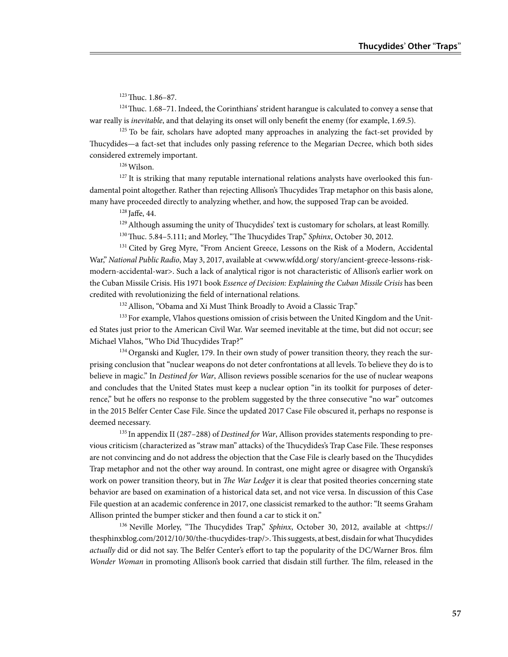123 Thuc. 1.86–87.

124 Thuc. 1.68–71. Indeed, the Corinthians' strident harangue is calculated to convey a sense that war really is *inevitable*, and that delaying its onset will only benefit the enemy (for example, 1.69.5).

<sup>125</sup> To be fair, scholars have adopted many approaches in analyzing the fact-set provided by Thucydides—a fact-set that includes only passing reference to the Megarian Decree, which both sides considered extremely important.

126 Wilson.

<sup>127</sup> It is striking that many reputable international relations analysts have overlooked this fundamental point altogether. Rather than rejecting Allison's Thucydides Trap metaphor on this basis alone, many have proceeded directly to analyzing whether, and how, the supposed Trap can be avoided.

128 Jaffe, 44.

<sup>129</sup> Although assuming the unity of Thucydides' text is customary for scholars, at least Romilly. <sup>130</sup> Thuc. 5.84-5.111; and Morley, "The Thucydides Trap," *Sphinx*, October 30, 2012.

<sup>131</sup> Cited by Greg Myre, "From Ancient Greece, Lessons on the Risk of a Modern, Accidental War," *National Public Radio*, May 3, 2017, available at <www.wfdd.org/ story/ancient-greece-lessons-riskmodern-accidental-war>. Such a lack of analytical rigor is not characteristic of Allison's earlier work on the Cuban Missile Crisis. His 1971 book *Essence of Decision: Explaining the Cuban Missile Crisis* has been credited with revolutionizing the field of international relations.

<sup>132</sup> Allison, "Obama and Xi Must Think Broadly to Avoid a Classic Trap."

<sup>133</sup> For example, Vlahos questions omission of crisis between the United Kingdom and the United States just prior to the American Civil War. War seemed inevitable at the time, but did not occur; see Michael Vlahos, "Who Did Thucydides Trap?"

 $134$  Organski and Kugler, 179. In their own study of power transition theory, they reach the surprising conclusion that "nuclear weapons do not deter confrontations at all levels. To believe they do is to believe in magic." In *Destined for War*, Allison reviews possible scenarios for the use of nuclear weapons and concludes that the United States must keep a nuclear option "in its toolkit for purposes of deterrence," but he offers no response to the problem suggested by the three consecutive "no war" outcomes in the 2015 Belfer Center Case File. Since the updated 2017 Case File obscured it, perhaps no response is deemed necessary.

135 In appendix II (287–288) of *Destined for War*, Allison provides statements responding to previous criticism (characterized as "straw man" attacks) of the Thucydides's Trap Case File. These responses are not convincing and do not address the objection that the Case File is clearly based on the Thucydides Trap metaphor and not the other way around. In contrast, one might agree or disagree with Organski's work on power transition theory, but in *The War Ledger* it is clear that posited theories concerning state behavior are based on examination of a historical data set, and not vice versa. In discussion of this Case File question at an academic conference in 2017, one classicist remarked to the author: "It seems Graham Allison printed the bumper sticker and then found a car to stick it on."

136 Neville Morley, "The Thucydides Trap," *Sphinx*, October 30, 2012, available at <https:// thesphinxblog.com/2012/10/30/the-thucydides-trap/>. This suggests, at best, disdain for what Thucydides *actually* did or did not say. The Belfer Center's effort to tap the popularity of the DC/Warner Bros. film *Wonder Woman* in promoting Allison's book carried that disdain still further. The film, released in the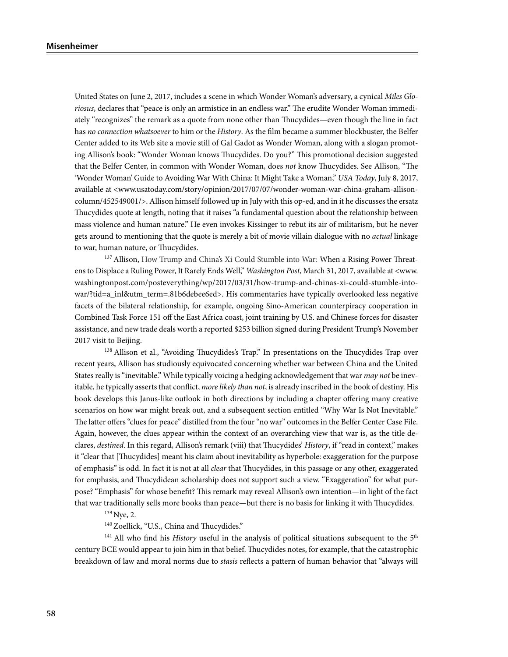United States on June 2, 2017, includes a scene in which Wonder Woman's adversary, a cynical *Miles Gloriosus*, declares that "peace is only an armistice in an endless war." The erudite Wonder Woman immediately "recognizes" the remark as a quote from none other than Thucydides—even though the line in fact has *no connection whatsoever* to him or the *History*. As the film became a summer blockbuster, the Belfer Center added to its Web site a movie still of Gal Gadot as Wonder Woman, along with a slogan promoting Allison's book: "Wonder Woman knows Thucydides. Do you?" This promotional decision suggested that the Belfer Center, in common with Wonder Woman, does *not* know Thucydides. See Allison, "The 'Wonder Woman' Guide to Avoiding War With China: It Might Take a Woman," *USA Today*, July 8, 2017, available at <www.usatoday.com/story/opinion/2017/07/07/wonder-woman-war-china-graham-allisoncolumn/452549001/>. Allison himself followed up in July with this op-ed, and in it he discusses the ersatz Thucydides quote at length, noting that it raises "a fundamental question about the relationship between mass violence and human nature." He even invokes Kissinger to rebut its air of militarism, but he never gets around to mentioning that the quote is merely a bit of movie villain dialogue with no *actual* linkage to war, human nature, or Thucydides.

<sup>137</sup> Allison, How Trump and China's Xi Could Stumble into War: When a Rising Power Threatens to Displace a Ruling Power, It Rarely Ends Well," *Washington Post*, March 31, 2017, available at <www. washingtonpost.com/posteverything/wp/2017/03/31/how-trump-and-chinas-xi-could-stumble-intowar/?tid=a\_inl&utm\_term=.81b6debee6ed>. His commentaries have typically overlooked less negative facets of the bilateral relationship, for example, ongoing Sino-American counterpiracy cooperation in Combined Task Force 151 off the East Africa coast, joint training by U.S. and Chinese forces for disaster assistance, and new trade deals worth a reported \$253 billion signed during President Trump's November 2017 visit to Beijing.

138 Allison et al., "Avoiding Thucydides's Trap." In presentations on the Thucydides Trap over recent years, Allison has studiously equivocated concerning whether war between China and the United States really is "inevitable." While typically voicing a hedging acknowledgement that war *may not* be inevitable, he typically asserts that conflict, *more likely than not*, is already inscribed in the book of destiny. His book develops this Janus-like outlook in both directions by including a chapter offering many creative scenarios on how war might break out, and a subsequent section entitled "Why War Is Not Inevitable." The latter offers "clues for peace" distilled from the four "no war" outcomes in the Belfer Center Case File. Again, however, the clues appear within the context of an overarching view that war is, as the title declares, *destined*. In this regard, Allison's remark (viii) that Thucydides' *History*, if "read in context," makes it "clear that [Thucydides] meant his claim about inevitability as hyperbole: exaggeration for the purpose of emphasis" is odd. In fact it is not at all *clear* that Thucydides, in this passage or any other, exaggerated for emphasis, and Thucydidean scholarship does not support such a view. "Exaggeration" for what purpose? "Emphasis" for whose benefit? This remark may reveal Allison's own intention—in light of the fact that war traditionally sells more books than peace—but there is no basis for linking it with Thucydides.

139 Nye, 2.

<sup>140</sup> Zoellick, "U.S., China and Thucydides."

<sup>141</sup> All who find his *History* useful in the analysis of political situations subsequent to the 5<sup>th</sup> century BCE would appear to join him in that belief. Thucydides notes, for example, that the catastrophic breakdown of law and moral norms due to *stasis* reflects a pattern of human behavior that "always will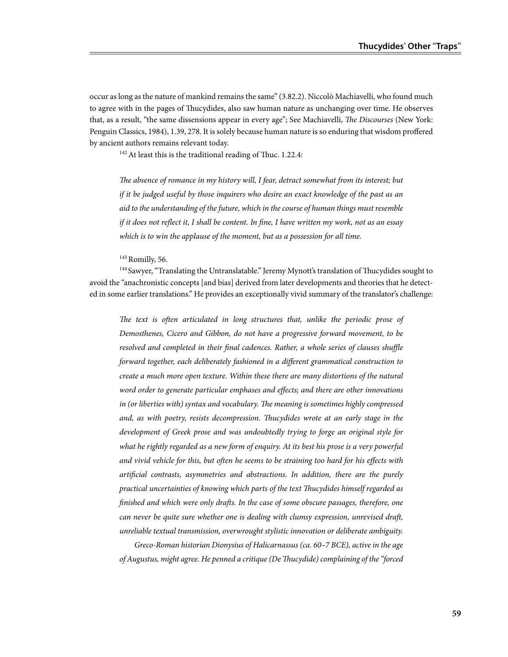occur as long as the nature of mankind remains the same" (3.82.2). Niccolò Machiavelli, who found much to agree with in the pages of Thucydides, also saw human nature as unchanging over time. He observes that, as a result, "the same dissensions appear in every age"; See Machiavelli, *The Discourses* (New York: Penguin Classics, 1984), 1.39, 278. It is solely because human nature is so enduring that wisdom proffered by ancient authors remains relevant today.

<sup>142</sup> At least this is the traditional reading of Thuc. 1.22.4:

*The absence of romance in my history will, I fear, detract somewhat from its interest; but if it be judged useful by those inquirers who desire an exact knowledge of the past as an aid to the understanding of the future, which in the course of human things must resemble if it does not reflect it, I shall be content. In fine, I have written my work, not as an essay which is to win the applause of the moment, but as a possession for all time.*

<sup>143</sup> Romilly, 56.

<sup>144</sup> Sawyer, "Translating the Untranslatable." Jeremy Mynott's translation of Thucydides sought to avoid the "anachronistic concepts [and bias] derived from later developments and theories that he detected in some earlier translations." He provides an exceptionally vivid summary of the translator's challenge:

The text is often articulated in long structures that, unlike the periodic prose of *Demosthenes, Cicero and Gibbon, do not have a progressive forward movement, to be resolved and completed in their final cadences. Rather, a whole series of clauses shuffle forward together, each deliberately fashioned in a different grammatical construction to create a much more open texture. Within these there are many distortions of the natural word order to generate particular emphases and effects; and there are other innovations in (or liberties with) syntax and vocabulary. The meaning is sometimes highly compressed and, as with poetry, resists decompression. Thucydides wrote at an early stage in the development of Greek prose and was undoubtedly trying to forge an original style for what he rightly regarded as a new form of enquiry. At its best his prose is a very powerful and vivid vehicle for this, but often he seems to be straining too hard for his effects with artificial contrasts, asymmetries and abstractions. In addition, there are the purely practical uncertainties of knowing which parts of the text Thucydides himself regarded as finished and which were only drafts. In the case of some obscure passages, therefore, one can never be quite sure whether one is dealing with clumsy expression, unrevised draft, unreliable textual transmission, overwrought stylistic innovation or deliberate ambiguity.* 

*Greco-Roman historian Dionysius of Halicarnassus (ca. 60–7 BCE), active in the age of Augustus, might agree. He penned a critique (De Thucydide) complaining of the "forced*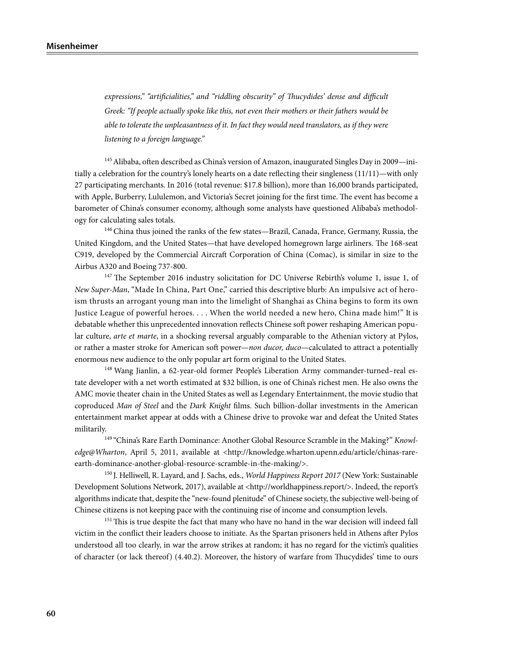*expressions," "artificialities," and "riddling obscurity" of Thucydides' dense and difficult Greek: "If people actually spoke like this, not even their mothers or their fathers would be able to tolerate the unpleasantness of it. In fact they would need translators, as if they were listening to a foreign language."*

<sup>145</sup> Alibaba, often described as China's version of Amazon, inaugurated Singles Day in 2009-initially a celebration for the country's lonely hearts on a date reflecting their singleness (11/11)—with only 27 participating merchants. In 2016 (total revenue: \$17.8 billion), more than 16,000 brands participated, with Apple, Burberry, Lululemon, and Victoria's Secret joining for the first time. The event has become a barometer of China's consumer economy, although some analysts have questioned Alibaba's methodology for calculating sales totals.

<sup>146</sup> China thus joined the ranks of the few states—Brazil, Canada, France, Germany, Russia, the United Kingdom, and the United States—that have developed homegrown large airliners. The 168-seat C919, developed by the Commercial Aircraft Corporation of China (Comac), is similar in size to the Airbus A320 and Boeing 737-800.

<sup>147</sup> The September 2016 industry solicitation for DC Universe Rebirth's volume 1, issue 1, of *New Super-Man*, "Made In China, Part One," carried this descriptive blurb: An impulsive act of heroism thrusts an arrogant young man into the limelight of Shanghai as China begins to form its own Justice League of powerful heroes. . . . When the world needed a new hero, China made him!" It is debatable whether this unprecedented innovation reflects Chinese soft power reshaping American popular culture, *arte et marte*, in a shocking reversal arguably comparable to the Athenian victory at Pylos, or rather a master stroke for American soft power—*non ducor, duco*—calculated to attract a potentially enormous new audience to the only popular art form original to the United States.

148 Wang Jianlin, a 62-year-old former People's Liberation Army commander-turned–real estate developer with a net worth estimated at \$32 billion, is one of China's richest men. He also owns the AMC movie theater chain in the United States as well as Legendary Entertainment, the movie studio that coproduced *Man of Steel* and the *Dark Knight* films. Such billion-dollar investments in the American entertainment market appear at odds with a Chinese drive to provoke war and defeat the United States militarily.

149 "China's Rare Earth Dominance: Another Global Resource Scramble in the Making?" *Knowledge@Wharton*, April 5, 2011, available at <http://knowledge.wharton.upenn.edu/article/chinas-rareearth-dominance-another-global-resource-scramble-in-the-making/>.

150 J. Helliwell, R. Layard, and J. Sachs, eds., *World Happiness Report 2017* (New York: Sustainable Development Solutions Network, 2017), available at <http://worldhappiness.report/>. Indeed, the report's algorithms indicate that, despite the "new-found plenitude" of Chinese society, the subjective well-being of Chinese citizens is not keeping pace with the continuing rise of income and consumption levels.

<sup>151</sup> This is true despite the fact that many who have no hand in the war decision will indeed fall victim in the conflict their leaders choose to initiate. As the Spartan prisoners held in Athens after Pylos understood all too clearly, in war the arrow strikes at random; it has no regard for the victim's qualities of character (or lack thereof) (4.40.2). Moreover, the history of warfare from Thucydides' time to ours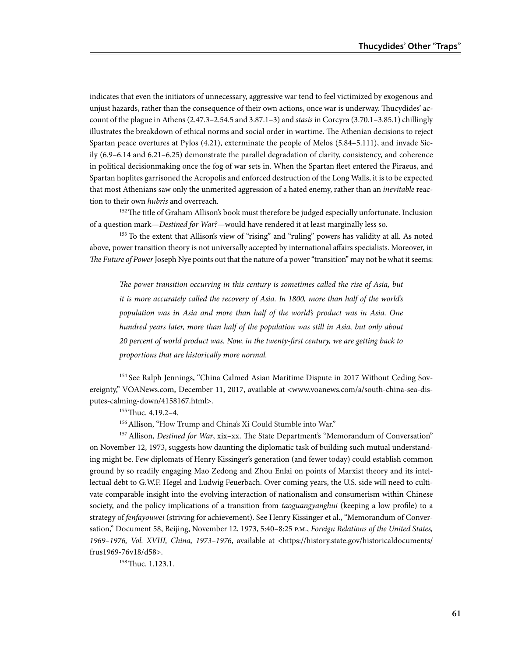indicates that even the initiators of unnecessary, aggressive war tend to feel victimized by exogenous and unjust hazards, rather than the consequence of their own actions, once war is underway. Thucydides' account of the plague in Athens (2.47.3–2.54.5 and 3.87.1–3) and *stasis* in Corcyra (3.70.1–3.85.1) chillingly illustrates the breakdown of ethical norms and social order in wartime. The Athenian decisions to reject Spartan peace overtures at Pylos (4.21), exterminate the people of Melos (5.84–5.111), and invade Sicily (6.9–6.14 and 6.21–6.25) demonstrate the parallel degradation of clarity, consistency, and coherence in political decisionmaking once the fog of war sets in. When the Spartan fleet entered the Piraeus, and Spartan hoplites garrisoned the Acropolis and enforced destruction of the Long Walls, it is to be expected that most Athenians saw only the unmerited aggression of a hated enemy, rather than an *inevitable* reaction to their own *hubris* and overreach.

<sup>152</sup> The title of Graham Allison's book must therefore be judged especially unfortunate. Inclusion of a question mark—*Destined for War?*—would have rendered it at least marginally less so.

153 To the extent that Allison's view of "rising" and "ruling" powers has validity at all. As noted above, power transition theory is not universally accepted by international affairs specialists. Moreover, in *The Future of Power* Joseph Nye points out that the nature of a power "transition" may not be what it seems:

*The power transition occurring in this century is sometimes called the rise of Asia, but it is more accurately called the recovery of Asia. In 1800, more than half of the world's population was in Asia and more than half of the world's product was in Asia. One hundred years later, more than half of the population was still in Asia, but only about 20 percent of world product was. Now, in the twenty-first century, we are getting back to proportions that are historically more normal.* 

<sup>154</sup> See Ralph Jennings, "China Calmed Asian Maritime Dispute in 2017 Without Ceding Sovereignty," VOANews.com, December 11, 2017, available at <www.voanews.com/a/south-china-sea-disputes-calming-down/4158167.html>.

155 Thuc. 4.19.2–4.

156 Allison, "How Trump and China's Xi Could Stumble into War."

<sup>157</sup> Allison, *Destined for War*, xix-xx. The State Department's "Memorandum of Conversation" on November 12, 1973, suggests how daunting the diplomatic task of building such mutual understanding might be. Few diplomats of Henry Kissinger's generation (and fewer today) could establish common ground by so readily engaging Mao Zedong and Zhou Enlai on points of Marxist theory and its intellectual debt to G.W.F. Hegel and Ludwig Feuerbach. Over coming years, the U.S. side will need to cultivate comparable insight into the evolving interaction of nationalism and consumerism within Chinese society, and the policy implications of a transition from *taoguangyanghui* (keeping a low profile) to a strategy of *fenfayouwei* (striving for achievement). See Henry Kissinger et al., "Memorandum of Conversation," Document 58, Beijing, November 12, 1973, 5:40–8:25 p.m., *Foreign Relations of the United States, 1969–1976, Vol. XVIII, China, 1973–1976*, available at <https://history.state.gov/historicaldocuments/ frus1969-76v18/d58>.

 $158$  Thuc. 1.123.1.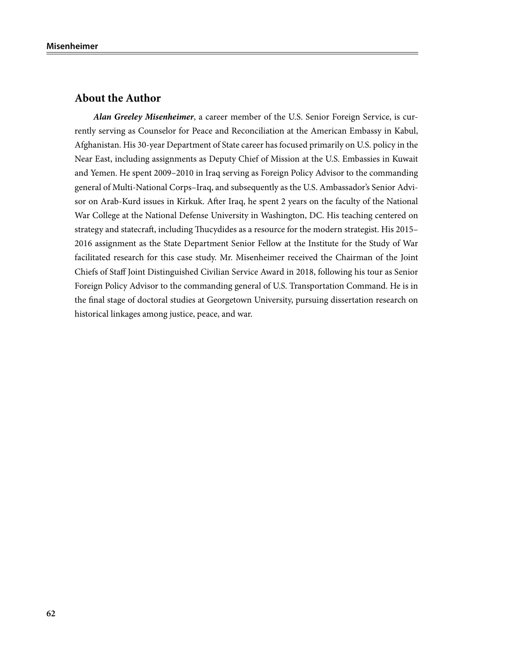## **About the Author**

*Alan Greeley Misenheimer*, a career member of the U.S. Senior Foreign Service, is currently serving as Counselor for Peace and Reconciliation at the American Embassy in Kabul, Afghanistan. His 30-year Department of State career has focused primarily on U.S. policy in the Near East, including assignments as Deputy Chief of Mission at the U.S. Embassies in Kuwait and Yemen. He spent 2009–2010 in Iraq serving as Foreign Policy Advisor to the commanding general of Multi-National Corps–Iraq, and subsequently as the U.S. Ambassador's Senior Advisor on Arab-Kurd issues in Kirkuk. After Iraq, he spent 2 years on the faculty of the National War College at the National Defense University in Washington, DC. His teaching centered on strategy and statecraft, including Thucydides as a resource for the modern strategist. His 2015– 2016 assignment as the State Department Senior Fellow at the Institute for the Study of War facilitated research for this case study. Mr. Misenheimer received the Chairman of the Joint Chiefs of Staff Joint Distinguished Civilian Service Award in 2018, following his tour as Senior Foreign Policy Advisor to the commanding general of U.S. Transportation Command. He is in the final stage of doctoral studies at Georgetown University, pursuing dissertation research on historical linkages among justice, peace, and war.